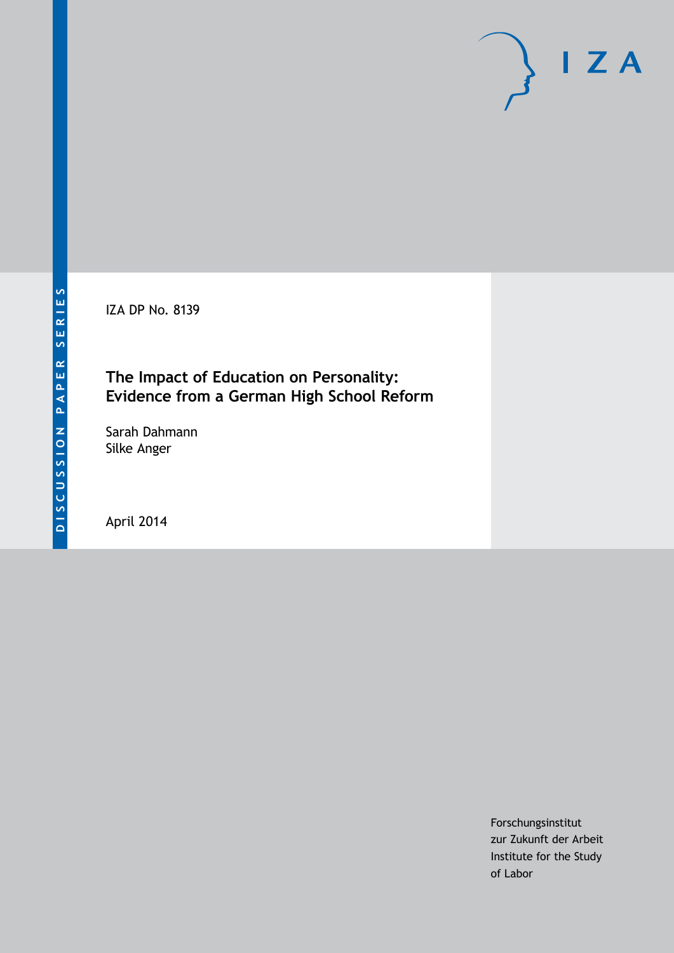IZA DP No. 8139

### **The Impact of Education on Personality: Evidence from a German High School Reform**

Sarah Dahmann Silke Anger

April 2014

Forschungsinstitut zur Zukunft der Arbeit Institute for the Study of Labor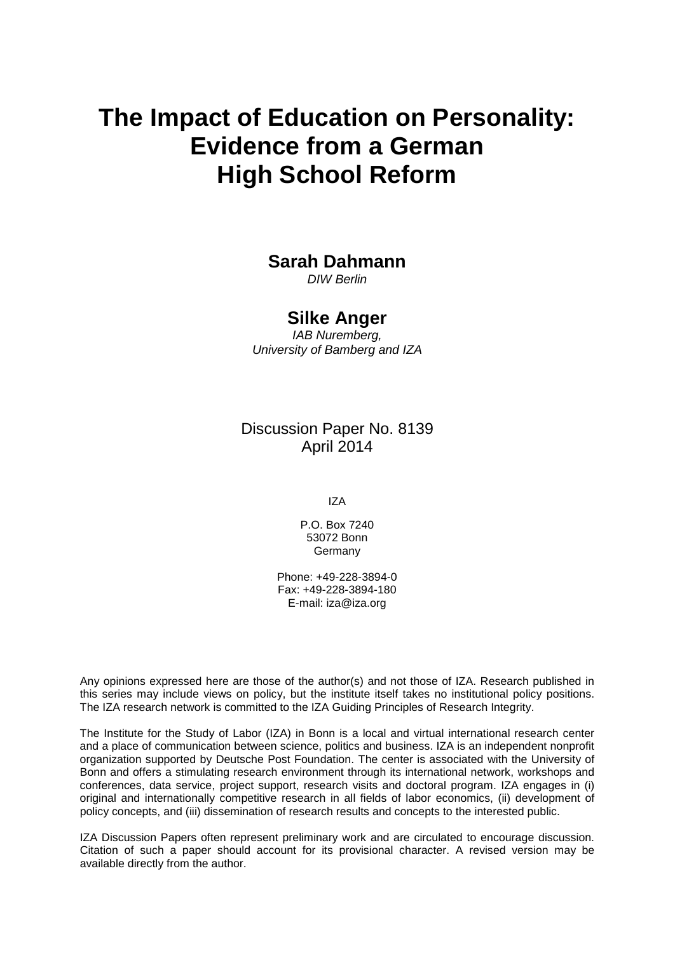# **The Impact of Education on Personality: Evidence from a German High School Reform**

### **Sarah Dahmann**

*DIW Berlin*

#### **Silke Anger**

*IAB Nuremberg, University of Bamberg and IZA*

Discussion Paper No. 8139 April 2014

IZA

P.O. Box 7240 53072 Bonn **Germany** 

Phone: +49-228-3894-0 Fax: +49-228-3894-180 E-mail: [iza@iza.org](mailto:iza@iza.org)

Any opinions expressed here are those of the author(s) and not those of IZA. Research published in this series may include views on policy, but the institute itself takes no institutional policy positions. The IZA research network is committed to the IZA Guiding Principles of Research Integrity.

The Institute for the Study of Labor (IZA) in Bonn is a local and virtual international research center and a place of communication between science, politics and business. IZA is an independent nonprofit organization supported by Deutsche Post Foundation. The center is associated with the University of Bonn and offers a stimulating research environment through its international network, workshops and conferences, data service, project support, research visits and doctoral program. IZA engages in (i) original and internationally competitive research in all fields of labor economics, (ii) development of policy concepts, and (iii) dissemination of research results and concepts to the interested public.

<span id="page-1-0"></span>IZA Discussion Papers often represent preliminary work and are circulated to encourage discussion. Citation of such a paper should account for its provisional character. A revised version may be available directly from the author.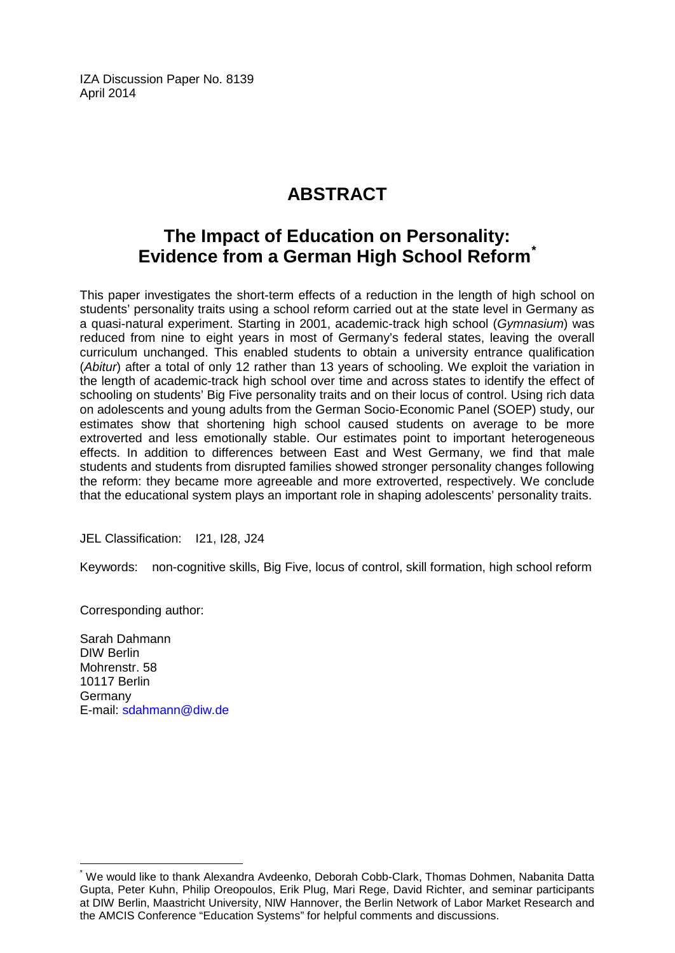IZA Discussion Paper No. 8139 April 2014

# **ABSTRACT**

### **The Impact of Education on Personality: Evidence from a German High School Reform[\\*](#page-1-0)**

This paper investigates the short-term effects of a reduction in the length of high school on students' personality traits using a school reform carried out at the state level in Germany as a quasi-natural experiment. Starting in 2001, academic-track high school (*Gymnasium*) was reduced from nine to eight years in most of Germany's federal states, leaving the overall curriculum unchanged. This enabled students to obtain a university entrance qualification (*Abitur*) after a total of only 12 rather than 13 years of schooling. We exploit the variation in the length of academic-track high school over time and across states to identify the effect of schooling on students' Big Five personality traits and on their locus of control. Using rich data on adolescents and young adults from the German Socio-Economic Panel (SOEP) study, our estimates show that shortening high school caused students on average to be more extroverted and less emotionally stable. Our estimates point to important heterogeneous effects. In addition to differences between East and West Germany, we find that male students and students from disrupted families showed stronger personality changes following the reform: they became more agreeable and more extroverted, respectively. We conclude that the educational system plays an important role in shaping adolescents' personality traits.

JEL Classification: I21, I28, J24

Keywords: non-cognitive skills, Big Five, locus of control, skill formation, high school reform

Corresponding author:

Sarah Dahmann DIW Berlin Mohrenstr. 58 10117 Berlin Germany E-mail: [sdahmann@diw.de](mailto:sdahmann@diw.de)

We would like to thank Alexandra Avdeenko, Deborah Cobb-Clark, Thomas Dohmen, Nabanita Datta Gupta, Peter Kuhn, Philip Oreopoulos, Erik Plug, Mari Rege, David Richter, and seminar participants at DIW Berlin, Maastricht University, NIW Hannover, the Berlin Network of Labor Market Research and the AMCIS Conference "Education Systems" for helpful comments and discussions.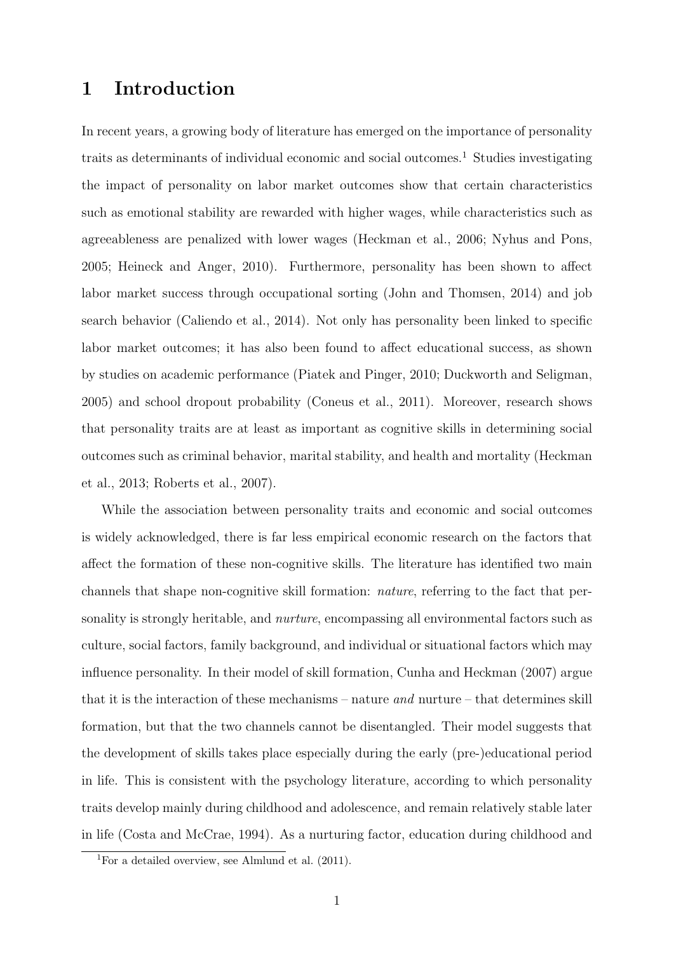### 1 Introduction

In recent years, a growing body of literature has emerged on the importance of personality traits as determinants of individual economic and social outcomes.<sup>1</sup> Studies investigating the impact of personality on labor market outcomes show that certain characteristics such as emotional stability are rewarded with higher wages, while characteristics such as agreeableness are penalized with lower wages (Heckman et al., 2006; Nyhus and Pons, 2005; Heineck and Anger, 2010). Furthermore, personality has been shown to affect labor market success through occupational sorting (John and Thomsen, 2014) and job search behavior (Caliendo et al., 2014). Not only has personality been linked to specific labor market outcomes; it has also been found to affect educational success, as shown by studies on academic performance (Piatek and Pinger, 2010; Duckworth and Seligman, 2005) and school dropout probability (Coneus et al., 2011). Moreover, research shows that personality traits are at least as important as cognitive skills in determining social outcomes such as criminal behavior, marital stability, and health and mortality (Heckman et al., 2013; Roberts et al., 2007).

While the association between personality traits and economic and social outcomes is widely acknowledged, there is far less empirical economic research on the factors that affect the formation of these non-cognitive skills. The literature has identified two main channels that shape non-cognitive skill formation: nature, referring to the fact that personality is strongly heritable, and nurture, encompassing all environmental factors such as culture, social factors, family background, and individual or situational factors which may influence personality. In their model of skill formation, Cunha and Heckman (2007) argue that it is the interaction of these mechanisms – nature *and* nurture – that determines skill formation, but that the two channels cannot be disentangled. Their model suggests that the development of skills takes place especially during the early (pre-)educational period in life. This is consistent with the psychology literature, according to which personality traits develop mainly during childhood and adolescence, and remain relatively stable later in life (Costa and McCrae, 1994). As a nurturing factor, education during childhood and

<sup>&</sup>lt;sup>1</sup>For a detailed overview, see Almlund et al.  $(2011)$ .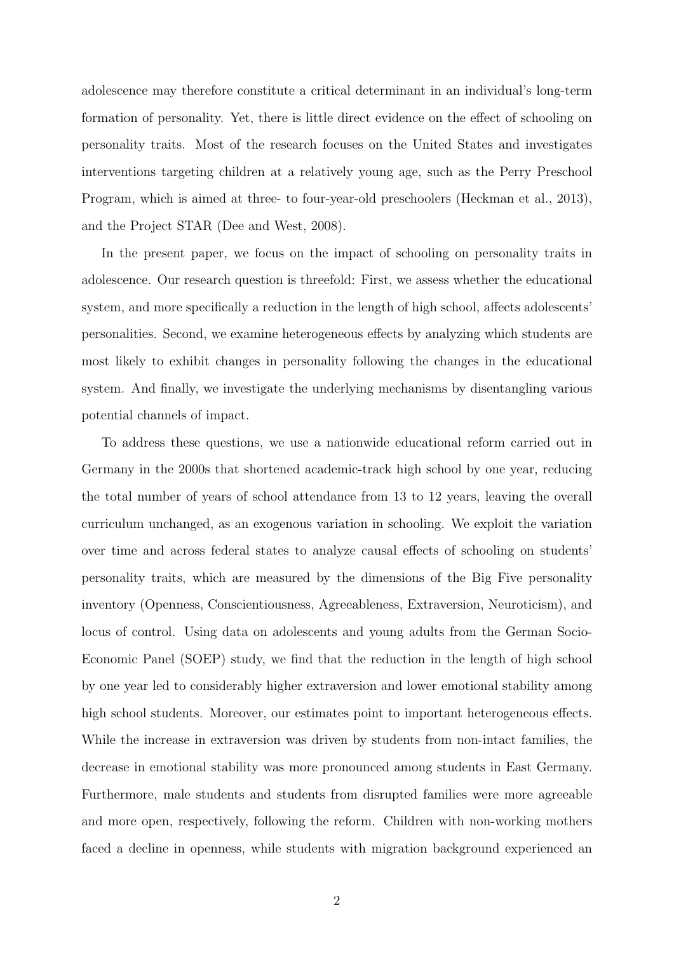adolescence may therefore constitute a critical determinant in an individual's long-term formation of personality. Yet, there is little direct evidence on the effect of schooling on personality traits. Most of the research focuses on the United States and investigates interventions targeting children at a relatively young age, such as the Perry Preschool Program, which is aimed at three- to four-year-old preschoolers (Heckman et al., 2013), and the Project STAR (Dee and West, 2008).

In the present paper, we focus on the impact of schooling on personality traits in adolescence. Our research question is threefold: First, we assess whether the educational system, and more specifically a reduction in the length of high school, affects adolescents' personalities. Second, we examine heterogeneous effects by analyzing which students are most likely to exhibit changes in personality following the changes in the educational system. And finally, we investigate the underlying mechanisms by disentangling various potential channels of impact.

To address these questions, we use a nationwide educational reform carried out in Germany in the 2000s that shortened academic-track high school by one year, reducing the total number of years of school attendance from 13 to 12 years, leaving the overall curriculum unchanged, as an exogenous variation in schooling. We exploit the variation over time and across federal states to analyze causal effects of schooling on students' personality traits, which are measured by the dimensions of the Big Five personality inventory (Openness, Conscientiousness, Agreeableness, Extraversion, Neuroticism), and locus of control. Using data on adolescents and young adults from the German Socio-Economic Panel (SOEP) study, we find that the reduction in the length of high school by one year led to considerably higher extraversion and lower emotional stability among high school students. Moreover, our estimates point to important heterogeneous effects. While the increase in extraversion was driven by students from non-intact families, the decrease in emotional stability was more pronounced among students in East Germany. Furthermore, male students and students from disrupted families were more agreeable and more open, respectively, following the reform. Children with non-working mothers faced a decline in openness, while students with migration background experienced an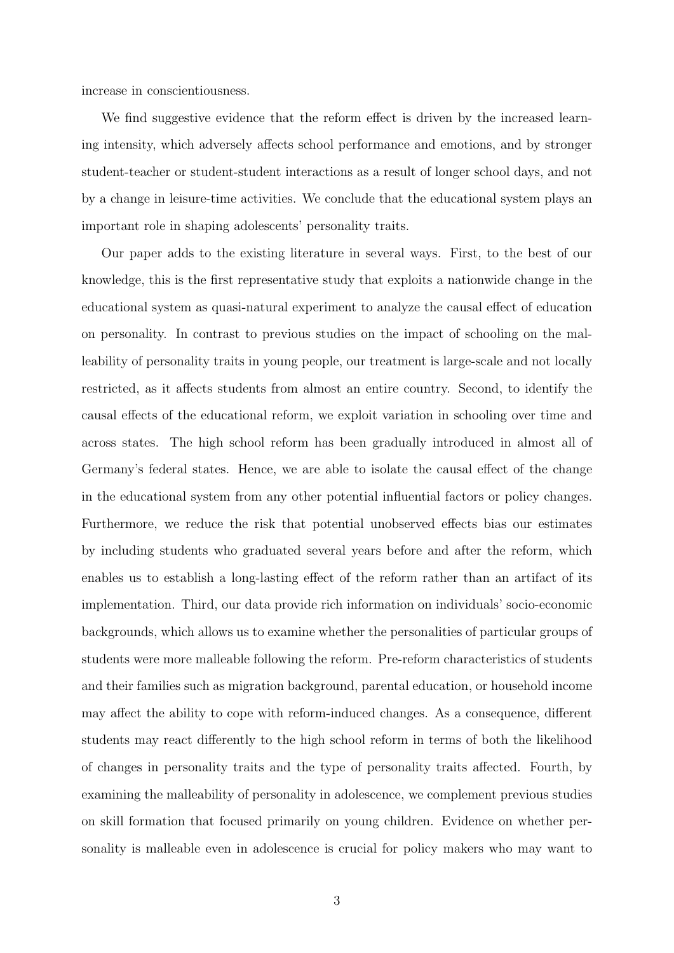increase in conscientiousness.

We find suggestive evidence that the reform effect is driven by the increased learning intensity, which adversely affects school performance and emotions, and by stronger student-teacher or student-student interactions as a result of longer school days, and not by a change in leisure-time activities. We conclude that the educational system plays an important role in shaping adolescents' personality traits.

Our paper adds to the existing literature in several ways. First, to the best of our knowledge, this is the first representative study that exploits a nationwide change in the educational system as quasi-natural experiment to analyze the causal effect of education on personality. In contrast to previous studies on the impact of schooling on the malleability of personality traits in young people, our treatment is large-scale and not locally restricted, as it affects students from almost an entire country. Second, to identify the causal effects of the educational reform, we exploit variation in schooling over time and across states. The high school reform has been gradually introduced in almost all of Germany's federal states. Hence, we are able to isolate the causal effect of the change in the educational system from any other potential influential factors or policy changes. Furthermore, we reduce the risk that potential unobserved effects bias our estimates by including students who graduated several years before and after the reform, which enables us to establish a long-lasting effect of the reform rather than an artifact of its implementation. Third, our data provide rich information on individuals' socio-economic backgrounds, which allows us to examine whether the personalities of particular groups of students were more malleable following the reform. Pre-reform characteristics of students and their families such as migration background, parental education, or household income may affect the ability to cope with reform-induced changes. As a consequence, different students may react differently to the high school reform in terms of both the likelihood of changes in personality traits and the type of personality traits affected. Fourth, by examining the malleability of personality in adolescence, we complement previous studies on skill formation that focused primarily on young children. Evidence on whether personality is malleable even in adolescence is crucial for policy makers who may want to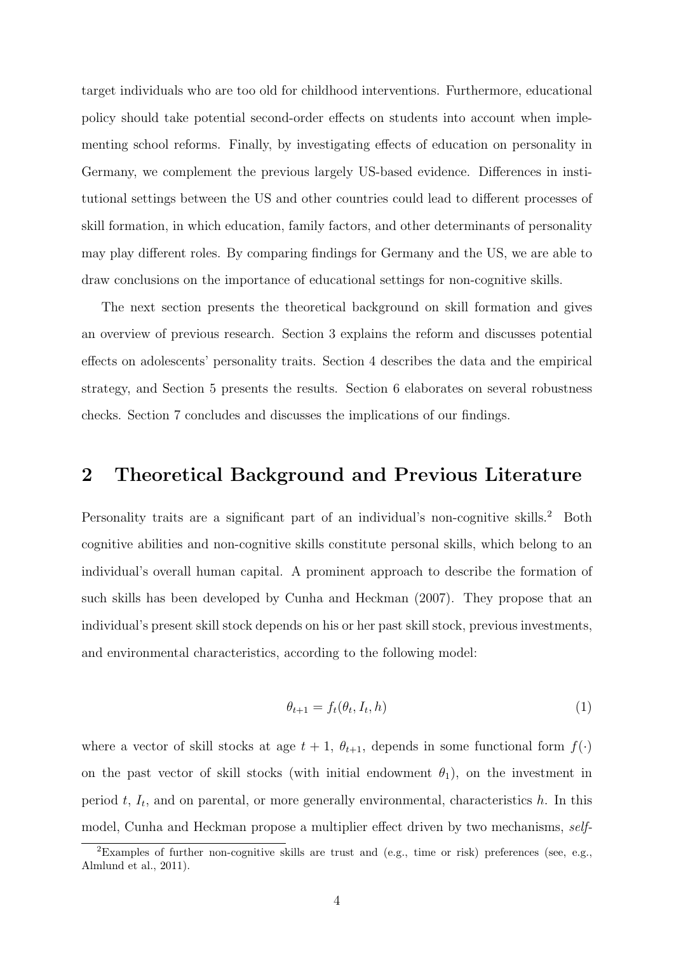target individuals who are too old for childhood interventions. Furthermore, educational policy should take potential second-order effects on students into account when implementing school reforms. Finally, by investigating effects of education on personality in Germany, we complement the previous largely US-based evidence. Differences in institutional settings between the US and other countries could lead to different processes of skill formation, in which education, family factors, and other determinants of personality may play different roles. By comparing findings for Germany and the US, we are able to draw conclusions on the importance of educational settings for non-cognitive skills.

The next section presents the theoretical background on skill formation and gives an overview of previous research. Section 3 explains the reform and discusses potential effects on adolescents' personality traits. Section 4 describes the data and the empirical strategy, and Section 5 presents the results. Section 6 elaborates on several robustness checks. Section 7 concludes and discusses the implications of our findings.

### 2 Theoretical Background and Previous Literature

Personality traits are a significant part of an individual's non-cognitive skills.<sup>2</sup> Both cognitive abilities and non-cognitive skills constitute personal skills, which belong to an individual's overall human capital. A prominent approach to describe the formation of such skills has been developed by Cunha and Heckman (2007). They propose that an individual's present skill stock depends on his or her past skill stock, previous investments, and environmental characteristics, according to the following model:

$$
\theta_{t+1} = f_t(\theta_t, I_t, h) \tag{1}
$$

where a vector of skill stocks at age  $t + 1$ ,  $\theta_{t+1}$ , depends in some functional form  $f(\cdot)$ on the past vector of skill stocks (with initial endowment  $\theta_1$ ), on the investment in period  $t, I_t$ , and on parental, or more generally environmental, characteristics h. In this model, Cunha and Heckman propose a multiplier effect driven by two mechanisms, self-

<sup>2</sup>Examples of further non-cognitive skills are trust and (e.g., time or risk) preferences (see, e.g., Almlund et al., 2011).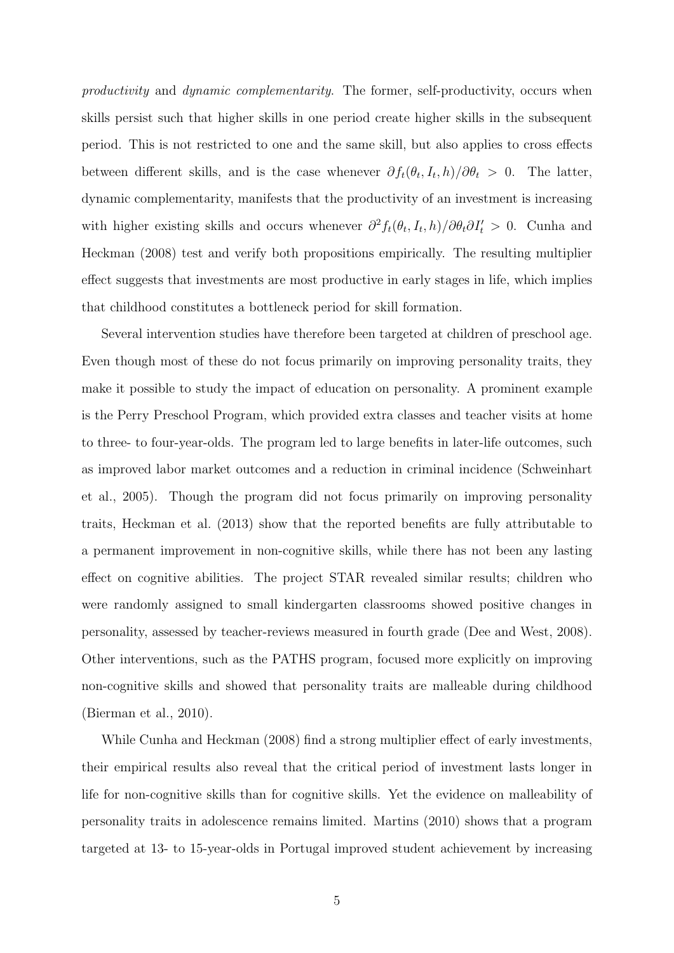productivity and dynamic complementarity. The former, self-productivity, occurs when skills persist such that higher skills in one period create higher skills in the subsequent period. This is not restricted to one and the same skill, but also applies to cross effects between different skills, and is the case whenever  $\partial f_t(\theta_t, I_t, h)/\partial \theta_t > 0$ . The latter, dynamic complementarity, manifests that the productivity of an investment is increasing with higher existing skills and occurs whenever  $\partial^2 f_t(\theta_t, I_t, h) / \partial \theta_t \partial I_t' > 0$ . Cunha and Heckman (2008) test and verify both propositions empirically. The resulting multiplier effect suggests that investments are most productive in early stages in life, which implies that childhood constitutes a bottleneck period for skill formation.

Several intervention studies have therefore been targeted at children of preschool age. Even though most of these do not focus primarily on improving personality traits, they make it possible to study the impact of education on personality. A prominent example is the Perry Preschool Program, which provided extra classes and teacher visits at home to three- to four-year-olds. The program led to large benefits in later-life outcomes, such as improved labor market outcomes and a reduction in criminal incidence (Schweinhart et al., 2005). Though the program did not focus primarily on improving personality traits, Heckman et al. (2013) show that the reported benefits are fully attributable to a permanent improvement in non-cognitive skills, while there has not been any lasting effect on cognitive abilities. The project STAR revealed similar results; children who were randomly assigned to small kindergarten classrooms showed positive changes in personality, assessed by teacher-reviews measured in fourth grade (Dee and West, 2008). Other interventions, such as the PATHS program, focused more explicitly on improving non-cognitive skills and showed that personality traits are malleable during childhood (Bierman et al., 2010).

While Cunha and Heckman (2008) find a strong multiplier effect of early investments, their empirical results also reveal that the critical period of investment lasts longer in life for non-cognitive skills than for cognitive skills. Yet the evidence on malleability of personality traits in adolescence remains limited. Martins (2010) shows that a program targeted at 13- to 15-year-olds in Portugal improved student achievement by increasing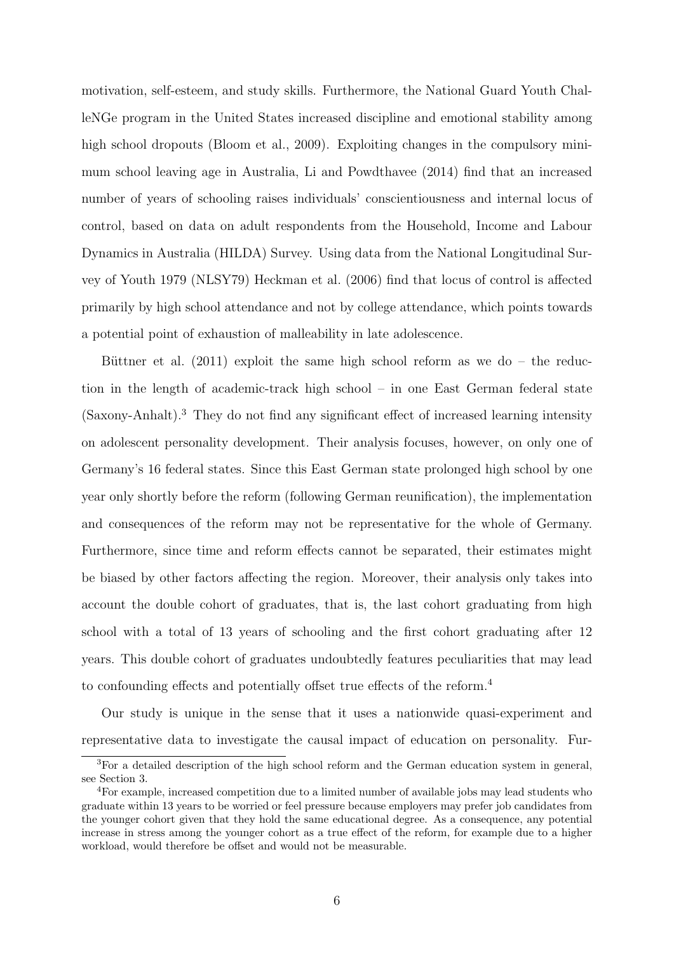motivation, self-esteem, and study skills. Furthermore, the National Guard Youth ChalleNGe program in the United States increased discipline and emotional stability among high school dropouts (Bloom et al., 2009). Exploiting changes in the compulsory minimum school leaving age in Australia, Li and Powdthavee (2014) find that an increased number of years of schooling raises individuals' conscientiousness and internal locus of control, based on data on adult respondents from the Household, Income and Labour Dynamics in Australia (HILDA) Survey. Using data from the National Longitudinal Survey of Youth 1979 (NLSY79) Heckman et al. (2006) find that locus of control is affected primarily by high school attendance and not by college attendance, which points towards a potential point of exhaustion of malleability in late adolescence.

Büttner et al.  $(2011)$  exploit the same high school reform as we do – the reduction in the length of academic-track high school – in one East German federal state (Saxony-Anhalt).<sup>3</sup> They do not find any significant effect of increased learning intensity on adolescent personality development. Their analysis focuses, however, on only one of Germany's 16 federal states. Since this East German state prolonged high school by one year only shortly before the reform (following German reunification), the implementation and consequences of the reform may not be representative for the whole of Germany. Furthermore, since time and reform effects cannot be separated, their estimates might be biased by other factors affecting the region. Moreover, their analysis only takes into account the double cohort of graduates, that is, the last cohort graduating from high school with a total of 13 years of schooling and the first cohort graduating after 12 years. This double cohort of graduates undoubtedly features peculiarities that may lead to confounding effects and potentially offset true effects of the reform.<sup>4</sup>

Our study is unique in the sense that it uses a nationwide quasi-experiment and representative data to investigate the causal impact of education on personality. Fur-

<sup>&</sup>lt;sup>3</sup>For a detailed description of the high school reform and the German education system in general, see Section 3.

<sup>&</sup>lt;sup>4</sup>For example, increased competition due to a limited number of available jobs may lead students who graduate within 13 years to be worried or feel pressure because employers may prefer job candidates from the younger cohort given that they hold the same educational degree. As a consequence, any potential increase in stress among the younger cohort as a true effect of the reform, for example due to a higher workload, would therefore be offset and would not be measurable.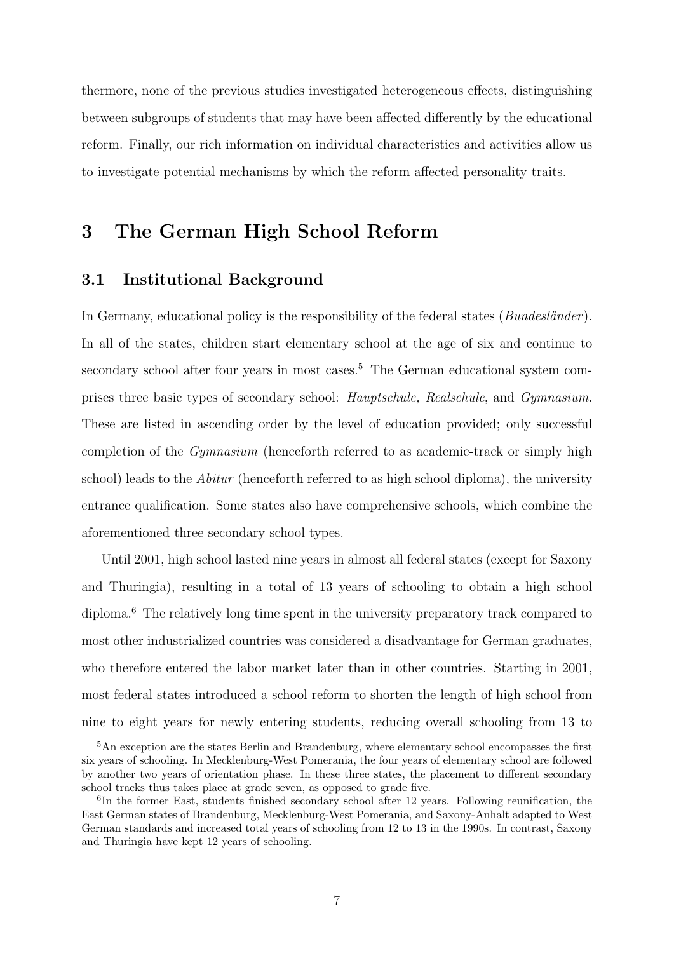thermore, none of the previous studies investigated heterogeneous effects, distinguishing between subgroups of students that may have been affected differently by the educational reform. Finally, our rich information on individual characteristics and activities allow us to investigate potential mechanisms by which the reform affected personality traits.

### 3 The German High School Reform

#### 3.1 Institutional Background

In Germany, educational policy is the responsibility of the federal states  $(Bundesländer)$ . In all of the states, children start elementary school at the age of six and continue to secondary school after four years in most cases.<sup>5</sup> The German educational system comprises three basic types of secondary school: Hauptschule, Realschule, and Gymnasium. These are listed in ascending order by the level of education provided; only successful completion of the Gymnasium (henceforth referred to as academic-track or simply high school) leads to the *Abitur* (henceforth referred to as high school diploma), the university entrance qualification. Some states also have comprehensive schools, which combine the aforementioned three secondary school types.

Until 2001, high school lasted nine years in almost all federal states (except for Saxony and Thuringia), resulting in a total of 13 years of schooling to obtain a high school diploma.<sup>6</sup> The relatively long time spent in the university preparatory track compared to most other industrialized countries was considered a disadvantage for German graduates, who therefore entered the labor market later than in other countries. Starting in 2001, most federal states introduced a school reform to shorten the length of high school from nine to eight years for newly entering students, reducing overall schooling from 13 to

<sup>&</sup>lt;sup>5</sup>An exception are the states Berlin and Brandenburg, where elementary school encompasses the first six years of schooling. In Mecklenburg-West Pomerania, the four years of elementary school are followed by another two years of orientation phase. In these three states, the placement to different secondary school tracks thus takes place at grade seven, as opposed to grade five.

<sup>&</sup>lt;sup>6</sup>In the former East, students finished secondary school after 12 years. Following reunification, the East German states of Brandenburg, Mecklenburg-West Pomerania, and Saxony-Anhalt adapted to West German standards and increased total years of schooling from 12 to 13 in the 1990s. In contrast, Saxony and Thuringia have kept 12 years of schooling.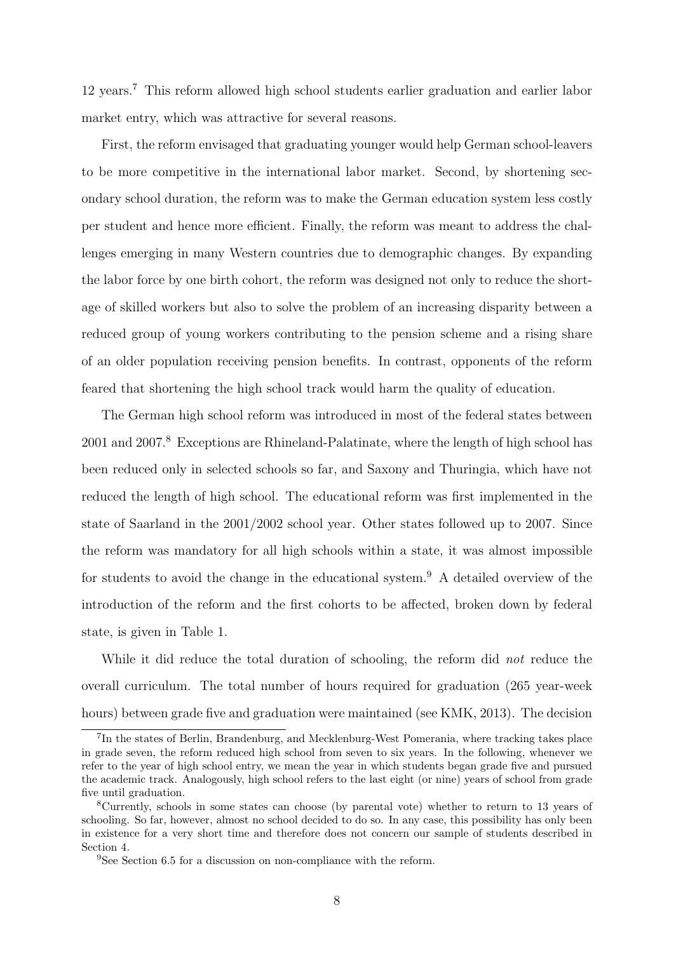12 years.<sup>7</sup> This reform allowed high school students earlier graduation and earlier labor market entry, which was attractive for several reasons.

First, the reform envisaged that graduating younger would help German school-leavers to be more competitive in the international labor market. Second, by shortening secondary school duration, the reform was to make the German education system less costly per student and hence more efficient. Finally, the reform was meant to address the challenges emerging in many Western countries due to demographic changes. By expanding the labor force by one birth cohort, the reform was designed not only to reduce the shortage of skilled workers but also to solve the problem of an increasing disparity between a reduced group of young workers contributing to the pension scheme and a rising share of an older population receiving pension benefits. In contrast, opponents of the reform feared that shortening the high school track would harm the quality of education.

The German high school reform was introduced in most of the federal states between 2001 and 2007.<sup>8</sup> Exceptions are Rhineland-Palatinate, where the length of high school has been reduced only in selected schools so far, and Saxony and Thuringia, which have not reduced the length of high school. The educational reform was first implemented in the state of Saarland in the 2001/2002 school year. Other states followed up to 2007. Since the reform was mandatory for all high schools within a state, it was almost impossible for students to avoid the change in the educational system.<sup>9</sup> A detailed overview of the introduction of the reform and the first cohorts to be affected, broken down by federal state, is given in Table 1.

While it did reduce the total duration of schooling, the reform did *not* reduce the overall curriculum. The total number of hours required for graduation (265 year-week hours) between grade five and graduation were maintained (see KMK, 2013). The decision

<sup>&</sup>lt;sup>7</sup>In the states of Berlin, Brandenburg, and Mecklenburg-West Pomerania, where tracking takes place in grade seven, the reform reduced high school from seven to six years. In the following, whenever we refer to the year of high school entry, we mean the year in which students began grade five and pursued the academic track. Analogously, high school refers to the last eight (or nine) years of school from grade five until graduation.

<sup>8</sup>Currently, schools in some states can choose (by parental vote) whether to return to 13 years of schooling. So far, however, almost no school decided to do so. In any case, this possibility has only been in existence for a very short time and therefore does not concern our sample of students described in Section 4.

<sup>&</sup>lt;sup>9</sup>See Section 6.5 for a discussion on non-compliance with the reform.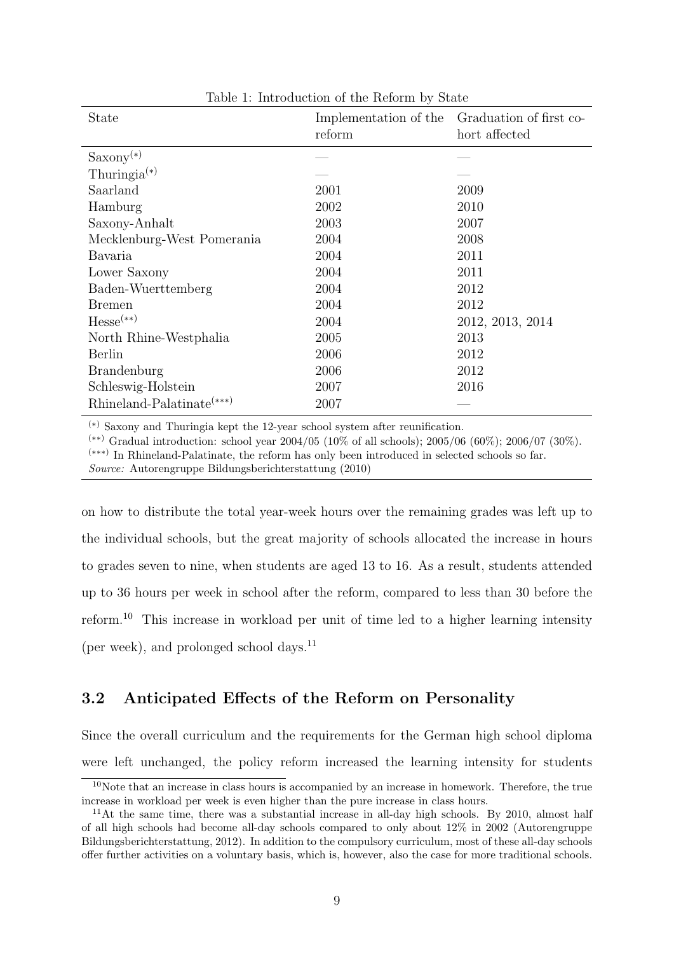| State                       | Implementation of the<br>reform | Graduation of first co-<br>hort affected |
|-----------------------------|---------------------------------|------------------------------------------|
| $Saxony^{(*)}$              |                                 |                                          |
| Thuringia $(*)$             |                                 |                                          |
| Saarland                    | 2001                            | 2009                                     |
| Hamburg                     | 2002                            | 2010                                     |
| Saxony-Anhalt               | 2003                            | 2007                                     |
| Mecklenburg-West Pomerania  | 2004                            | 2008                                     |
| Bavaria                     | 2004                            | 2011                                     |
| Lower Saxony                | 2004                            | 2011                                     |
| Baden-Wuerttemberg          | 2004                            | 2012                                     |
| Bremen                      | 2004                            | 2012                                     |
| $Hesse(**)$                 | 2004                            | 2012, 2013, 2014                         |
| North Rhine-Westphalia      | 2005                            | 2013                                     |
| Berlin                      | 2006                            | 2012                                     |
| <b>Brandenburg</b>          | 2006                            | 2012                                     |
| Schleswig-Holstein          | 2007                            | 2016                                     |
| $Rhineland-Palatinate(***)$ | 2007                            |                                          |

Table 1: Introduction of the Reform by State

(∗) Saxony and Thuringia kept the 12-year school system after reunification.

(∗∗) Gradual introduction: school year 2004/05 (10% of all schools); 2005/06 (60%); 2006/07 (30%). (∗∗∗) In Rhineland-Palatinate, the reform has only been introduced in selected schools so far. Source: Autorengruppe Bildungsberichterstattung (2010)

on how to distribute the total year-week hours over the remaining grades was left up to the individual schools, but the great majority of schools allocated the increase in hours to grades seven to nine, when students are aged 13 to 16. As a result, students attended up to 36 hours per week in school after the reform, compared to less than 30 before the reform.<sup>10</sup> This increase in workload per unit of time led to a higher learning intensity (per week), and prolonged school days.<sup>11</sup>

### 3.2 Anticipated Effects of the Reform on Personality

Since the overall curriculum and the requirements for the German high school diploma were left unchanged, the policy reform increased the learning intensity for students

 $10$ Note that an increase in class hours is accompanied by an increase in homework. Therefore, the true increase in workload per week is even higher than the pure increase in class hours.

<sup>&</sup>lt;sup>11</sup>At the same time, there was a substantial increase in all-day high schools. By 2010, almost half of all high schools had become all-day schools compared to only about 12% in 2002 (Autorengruppe Bildungsberichterstattung, 2012). In addition to the compulsory curriculum, most of these all-day schools offer further activities on a voluntary basis, which is, however, also the case for more traditional schools.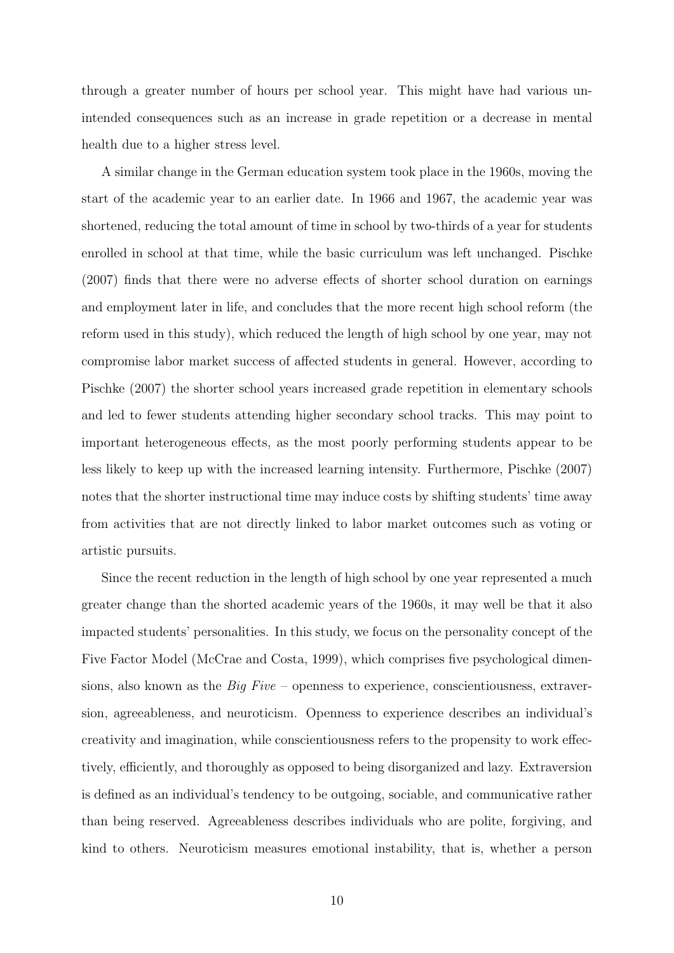through a greater number of hours per school year. This might have had various unintended consequences such as an increase in grade repetition or a decrease in mental health due to a higher stress level.

A similar change in the German education system took place in the 1960s, moving the start of the academic year to an earlier date. In 1966 and 1967, the academic year was shortened, reducing the total amount of time in school by two-thirds of a year for students enrolled in school at that time, while the basic curriculum was left unchanged. Pischke (2007) finds that there were no adverse effects of shorter school duration on earnings and employment later in life, and concludes that the more recent high school reform (the reform used in this study), which reduced the length of high school by one year, may not compromise labor market success of affected students in general. However, according to Pischke (2007) the shorter school years increased grade repetition in elementary schools and led to fewer students attending higher secondary school tracks. This may point to important heterogeneous effects, as the most poorly performing students appear to be less likely to keep up with the increased learning intensity. Furthermore, Pischke (2007) notes that the shorter instructional time may induce costs by shifting students' time away from activities that are not directly linked to labor market outcomes such as voting or artistic pursuits.

Since the recent reduction in the length of high school by one year represented a much greater change than the shorted academic years of the 1960s, it may well be that it also impacted students' personalities. In this study, we focus on the personality concept of the Five Factor Model (McCrae and Costa, 1999), which comprises five psychological dimensions, also known as the  $Big$  Five – openness to experience, conscientiousness, extraversion, agreeableness, and neuroticism. Openness to experience describes an individual's creativity and imagination, while conscientiousness refers to the propensity to work effectively, efficiently, and thoroughly as opposed to being disorganized and lazy. Extraversion is defined as an individual's tendency to be outgoing, sociable, and communicative rather than being reserved. Agreeableness describes individuals who are polite, forgiving, and kind to others. Neuroticism measures emotional instability, that is, whether a person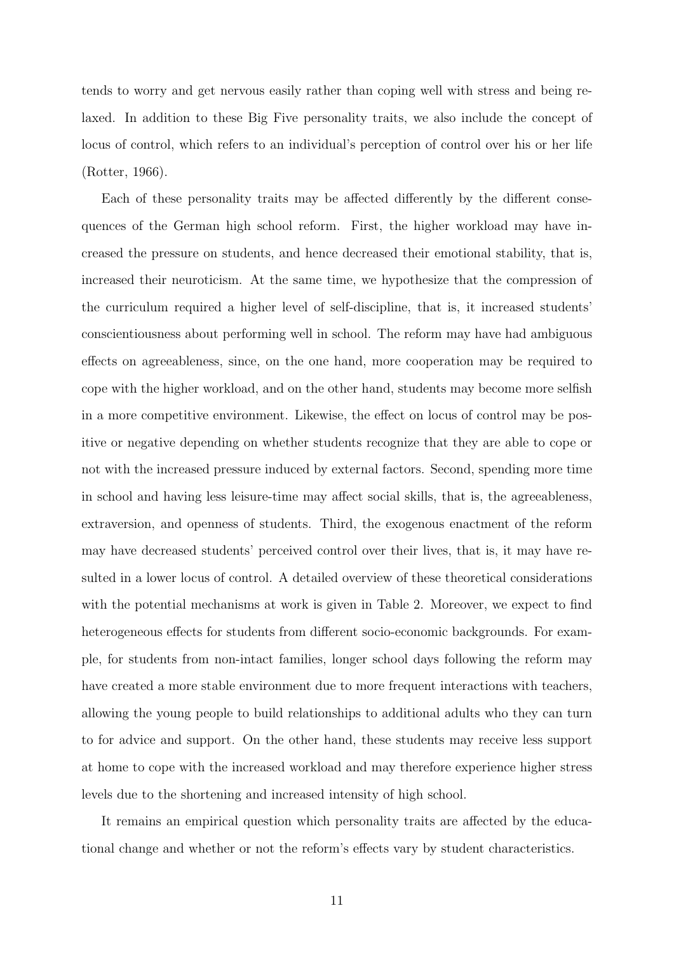tends to worry and get nervous easily rather than coping well with stress and being relaxed. In addition to these Big Five personality traits, we also include the concept of locus of control, which refers to an individual's perception of control over his or her life (Rotter, 1966).

Each of these personality traits may be affected differently by the different consequences of the German high school reform. First, the higher workload may have increased the pressure on students, and hence decreased their emotional stability, that is, increased their neuroticism. At the same time, we hypothesize that the compression of the curriculum required a higher level of self-discipline, that is, it increased students' conscientiousness about performing well in school. The reform may have had ambiguous effects on agreeableness, since, on the one hand, more cooperation may be required to cope with the higher workload, and on the other hand, students may become more selfish in a more competitive environment. Likewise, the effect on locus of control may be positive or negative depending on whether students recognize that they are able to cope or not with the increased pressure induced by external factors. Second, spending more time in school and having less leisure-time may affect social skills, that is, the agreeableness, extraversion, and openness of students. Third, the exogenous enactment of the reform may have decreased students' perceived control over their lives, that is, it may have resulted in a lower locus of control. A detailed overview of these theoretical considerations with the potential mechanisms at work is given in Table 2. Moreover, we expect to find heterogeneous effects for students from different socio-economic backgrounds. For example, for students from non-intact families, longer school days following the reform may have created a more stable environment due to more frequent interactions with teachers, allowing the young people to build relationships to additional adults who they can turn to for advice and support. On the other hand, these students may receive less support at home to cope with the increased workload and may therefore experience higher stress levels due to the shortening and increased intensity of high school.

It remains an empirical question which personality traits are affected by the educational change and whether or not the reform's effects vary by student characteristics.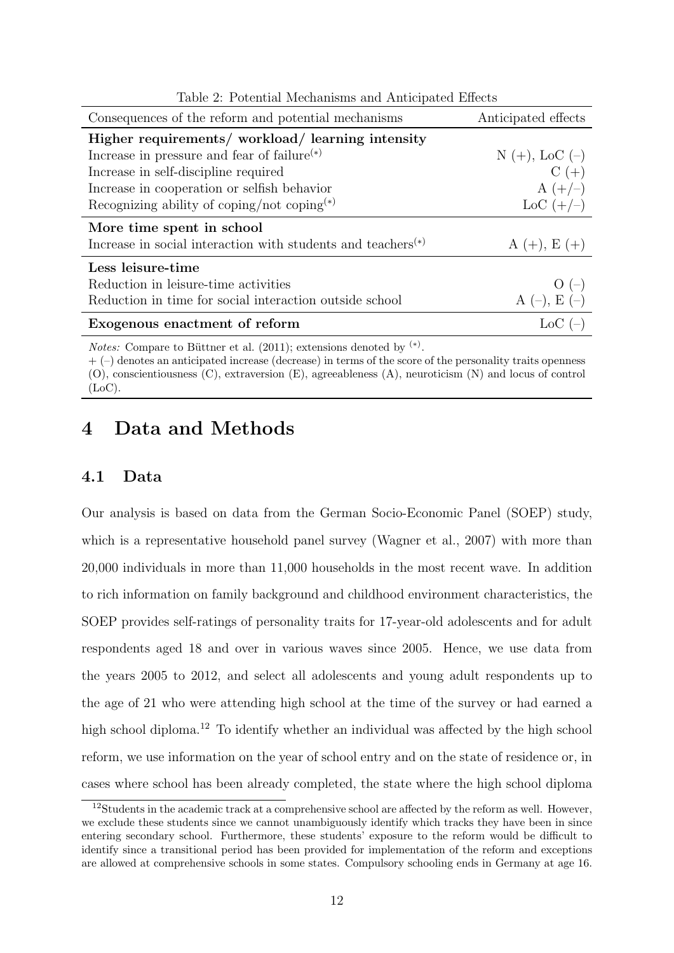| Consequences of the reform and potential mechanisms                      | Anticipated effects |
|--------------------------------------------------------------------------|---------------------|
| Higher requirements/ workload/ learning intensity                        |                     |
| Increase in pressure and fear of failure <sup><math>(*)</math></sup>     | $N (+),$ LoC $(-)$  |
| Increase in self-discipline required                                     | $C (+)$             |
| Increase in cooperation or selfish behavior                              | $A (+/-)$           |
| Recognizing ability of coping/not coping <sup>(*)</sup>                  | $\rm LoC (+/-)$     |
| More time spent in school                                                |                     |
| Increase in social interaction with students and teachers <sup>(*)</sup> | $A (+), E (+)$      |
| Less leisure-time                                                        |                     |
| Reduction in leisure-time activities                                     | $O(-)$              |
| Reduction in time for social interaction outside school                  | A $(-)$ , E $(-)$   |
| Exogenous enactment of reform                                            | $LoC$ $(-)$         |

Table 2: Potential Mechanisms and Anticipated Effects

*Notes:* Compare to Büttner et al.  $(2011)$ ; extensions denoted by <sup>(\*)</sup>.

 $+ (-)$  denotes an anticipated increase (decrease) in terms of the score of the personality traits openness (O), conscientiousness (C), extraversion (E), agreeableness (A), neuroticism (N) and locus of control (LoC).

### 4 Data and Methods

#### 4.1 Data

Our analysis is based on data from the German Socio-Economic Panel (SOEP) study, which is a representative household panel survey (Wagner et al., 2007) with more than 20,000 individuals in more than 11,000 households in the most recent wave. In addition to rich information on family background and childhood environment characteristics, the SOEP provides self-ratings of personality traits for 17-year-old adolescents and for adult respondents aged 18 and over in various waves since 2005. Hence, we use data from the years 2005 to 2012, and select all adolescents and young adult respondents up to the age of 21 who were attending high school at the time of the survey or had earned a high school diploma.<sup>12</sup> To identify whether an individual was affected by the high school reform, we use information on the year of school entry and on the state of residence or, in cases where school has been already completed, the state where the high school diploma

<sup>12</sup>Students in the academic track at a comprehensive school are affected by the reform as well. However, we exclude these students since we cannot unambiguously identify which tracks they have been in since entering secondary school. Furthermore, these students' exposure to the reform would be difficult to identify since a transitional period has been provided for implementation of the reform and exceptions are allowed at comprehensive schools in some states. Compulsory schooling ends in Germany at age 16.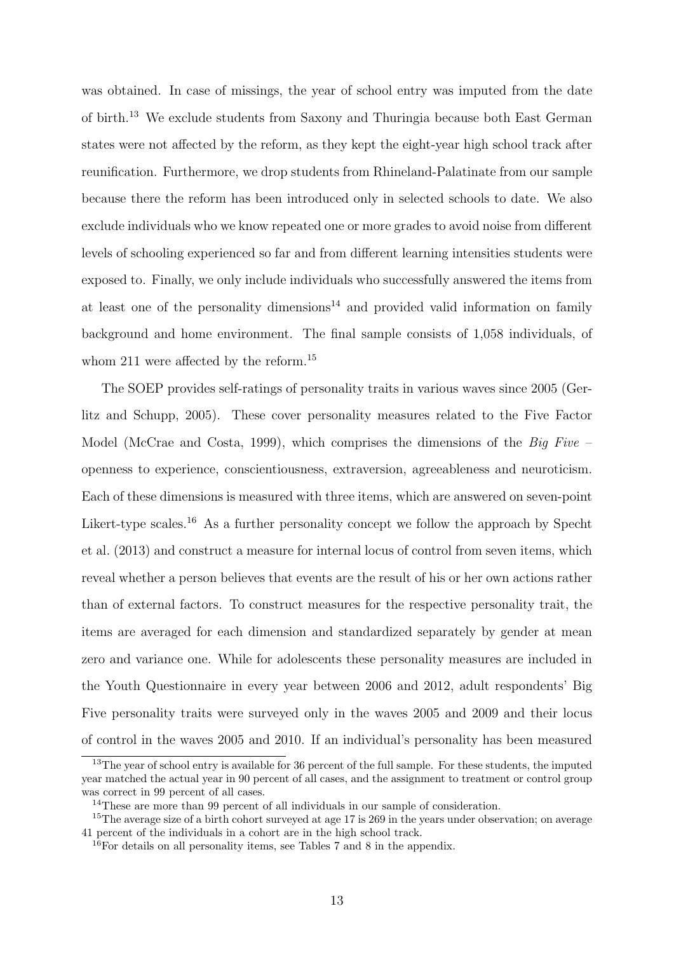was obtained. In case of missings, the year of school entry was imputed from the date of birth.<sup>13</sup> We exclude students from Saxony and Thuringia because both East German states were not affected by the reform, as they kept the eight-year high school track after reunification. Furthermore, we drop students from Rhineland-Palatinate from our sample because there the reform has been introduced only in selected schools to date. We also exclude individuals who we know repeated one or more grades to avoid noise from different levels of schooling experienced so far and from different learning intensities students were exposed to. Finally, we only include individuals who successfully answered the items from at least one of the personality dimensions<sup>14</sup> and provided valid information on family background and home environment. The final sample consists of 1,058 individuals, of whom 211 were affected by the reform.<sup>15</sup>

The SOEP provides self-ratings of personality traits in various waves since 2005 (Gerlitz and Schupp, 2005). These cover personality measures related to the Five Factor Model (McCrae and Costa, 1999), which comprises the dimensions of the Big Five – openness to experience, conscientiousness, extraversion, agreeableness and neuroticism. Each of these dimensions is measured with three items, which are answered on seven-point Likert-type scales.<sup>16</sup> As a further personality concept we follow the approach by Specht et al. (2013) and construct a measure for internal locus of control from seven items, which reveal whether a person believes that events are the result of his or her own actions rather than of external factors. To construct measures for the respective personality trait, the items are averaged for each dimension and standardized separately by gender at mean zero and variance one. While for adolescents these personality measures are included in the Youth Questionnaire in every year between 2006 and 2012, adult respondents' Big Five personality traits were surveyed only in the waves 2005 and 2009 and their locus of control in the waves 2005 and 2010. If an individual's personality has been measured

<sup>&</sup>lt;sup>13</sup>The year of school entry is available for 36 percent of the full sample. For these students, the imputed year matched the actual year in 90 percent of all cases, and the assignment to treatment or control group was correct in 99 percent of all cases.

<sup>&</sup>lt;sup>14</sup>These are more than 99 percent of all individuals in our sample of consideration.

<sup>&</sup>lt;sup>15</sup>The average size of a birth cohort surveyed at age 17 is 269 in the years under observation; on average 41 percent of the individuals in a cohort are in the high school track.

<sup>16</sup>For details on all personality items, see Tables 7 and 8 in the appendix.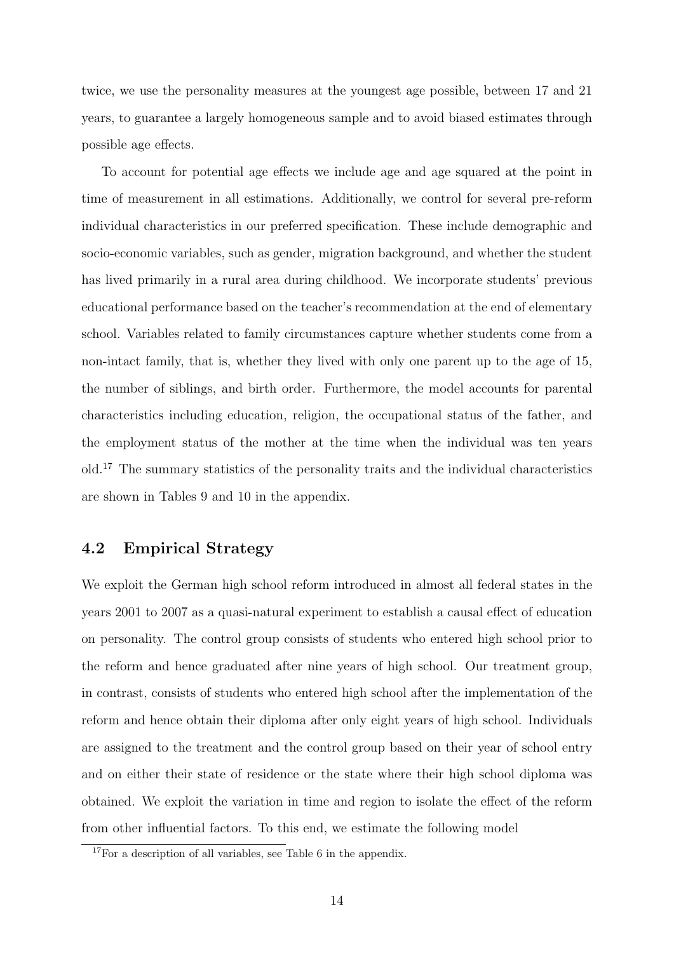twice, we use the personality measures at the youngest age possible, between 17 and 21 years, to guarantee a largely homogeneous sample and to avoid biased estimates through possible age effects.

To account for potential age effects we include age and age squared at the point in time of measurement in all estimations. Additionally, we control for several pre-reform individual characteristics in our preferred specification. These include demographic and socio-economic variables, such as gender, migration background, and whether the student has lived primarily in a rural area during childhood. We incorporate students' previous educational performance based on the teacher's recommendation at the end of elementary school. Variables related to family circumstances capture whether students come from a non-intact family, that is, whether they lived with only one parent up to the age of 15, the number of siblings, and birth order. Furthermore, the model accounts for parental characteristics including education, religion, the occupational status of the father, and the employment status of the mother at the time when the individual was ten years old.<sup>17</sup> The summary statistics of the personality traits and the individual characteristics are shown in Tables 9 and 10 in the appendix.

#### 4.2 Empirical Strategy

We exploit the German high school reform introduced in almost all federal states in the years 2001 to 2007 as a quasi-natural experiment to establish a causal effect of education on personality. The control group consists of students who entered high school prior to the reform and hence graduated after nine years of high school. Our treatment group, in contrast, consists of students who entered high school after the implementation of the reform and hence obtain their diploma after only eight years of high school. Individuals are assigned to the treatment and the control group based on their year of school entry and on either their state of residence or the state where their high school diploma was obtained. We exploit the variation in time and region to isolate the effect of the reform from other influential factors. To this end, we estimate the following model

<sup>17</sup>For a description of all variables, see Table 6 in the appendix.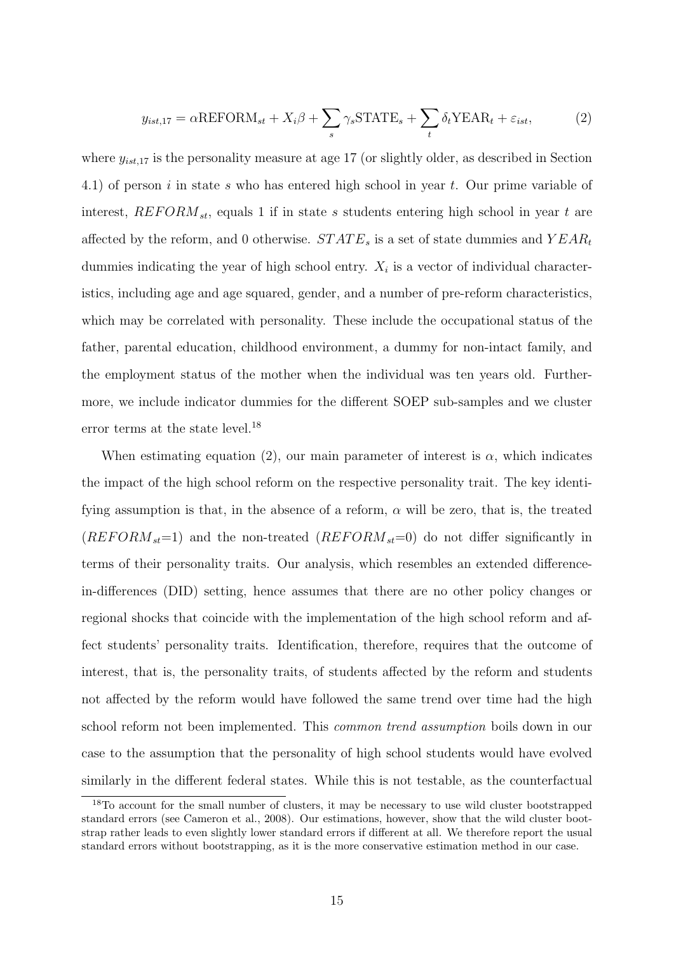$$
y_{ist,17} = \alpha \text{REFORM}_{st} + X_i \beta + \sum_s \gamma_s \text{STATE}_s + \sum_t \delta_t \text{YEAR}_t + \varepsilon_{ist},\tag{2}
$$

where  $y_{ist,17}$  is the personality measure at age 17 (or slightly older, as described in Section 4.1) of person i in state s who has entered high school in year t. Our prime variable of interest,  $REFORM_{st}$ , equals 1 if in state s students entering high school in year t are affected by the reform, and 0 otherwise.  $STATE_s$  is a set of state dummies and  $YEAR_t$ dummies indicating the year of high school entry.  $X_i$  is a vector of individual characteristics, including age and age squared, gender, and a number of pre-reform characteristics, which may be correlated with personality. These include the occupational status of the father, parental education, childhood environment, a dummy for non-intact family, and the employment status of the mother when the individual was ten years old. Furthermore, we include indicator dummies for the different SOEP sub-samples and we cluster error terms at the state level.<sup>18</sup>

When estimating equation (2), our main parameter of interest is  $\alpha$ , which indicates the impact of the high school reform on the respective personality trait. The key identifying assumption is that, in the absence of a reform,  $\alpha$  will be zero, that is, the treated  $(REFORM<sub>st</sub>=1)$  and the non-treated  $(REFORM<sub>st</sub>=0)$  do not differ significantly in terms of their personality traits. Our analysis, which resembles an extended differencein-differences (DID) setting, hence assumes that there are no other policy changes or regional shocks that coincide with the implementation of the high school reform and affect students' personality traits. Identification, therefore, requires that the outcome of interest, that is, the personality traits, of students affected by the reform and students not affected by the reform would have followed the same trend over time had the high school reform not been implemented. This common trend assumption boils down in our case to the assumption that the personality of high school students would have evolved similarly in the different federal states. While this is not testable, as the counterfactual

<sup>&</sup>lt;sup>18</sup>To account for the small number of clusters, it may be necessary to use wild cluster bootstrapped standard errors (see Cameron et al., 2008). Our estimations, however, show that the wild cluster bootstrap rather leads to even slightly lower standard errors if different at all. We therefore report the usual standard errors without bootstrapping, as it is the more conservative estimation method in our case.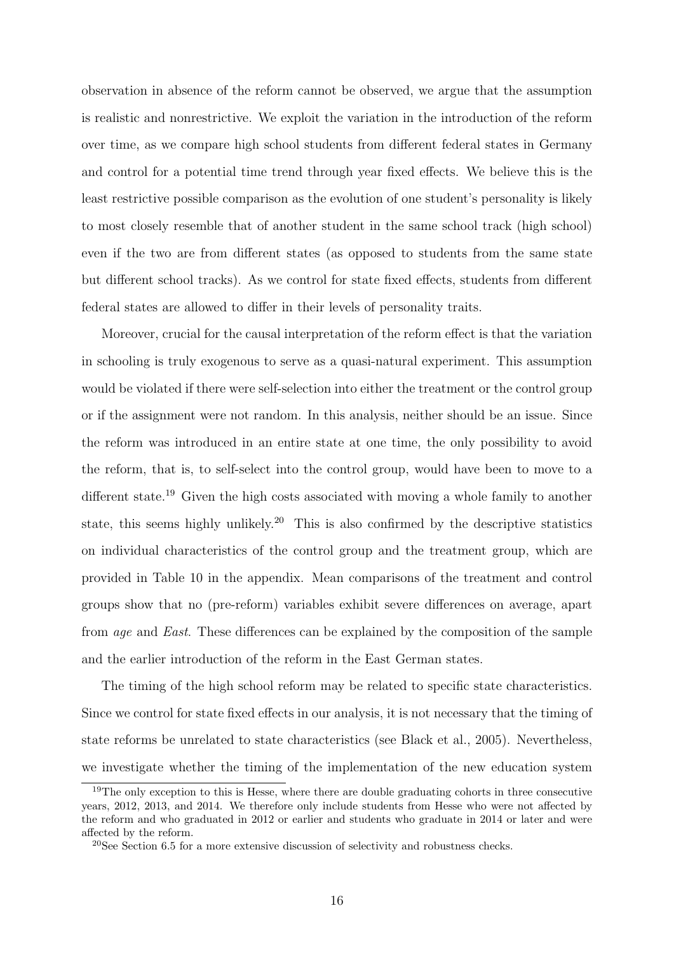observation in absence of the reform cannot be observed, we argue that the assumption is realistic and nonrestrictive. We exploit the variation in the introduction of the reform over time, as we compare high school students from different federal states in Germany and control for a potential time trend through year fixed effects. We believe this is the least restrictive possible comparison as the evolution of one student's personality is likely to most closely resemble that of another student in the same school track (high school) even if the two are from different states (as opposed to students from the same state but different school tracks). As we control for state fixed effects, students from different federal states are allowed to differ in their levels of personality traits.

Moreover, crucial for the causal interpretation of the reform effect is that the variation in schooling is truly exogenous to serve as a quasi-natural experiment. This assumption would be violated if there were self-selection into either the treatment or the control group or if the assignment were not random. In this analysis, neither should be an issue. Since the reform was introduced in an entire state at one time, the only possibility to avoid the reform, that is, to self-select into the control group, would have been to move to a different state.<sup>19</sup> Given the high costs associated with moving a whole family to another state, this seems highly unlikely.<sup>20</sup> This is also confirmed by the descriptive statistics on individual characteristics of the control group and the treatment group, which are provided in Table 10 in the appendix. Mean comparisons of the treatment and control groups show that no (pre-reform) variables exhibit severe differences on average, apart from age and East. These differences can be explained by the composition of the sample and the earlier introduction of the reform in the East German states.

The timing of the high school reform may be related to specific state characteristics. Since we control for state fixed effects in our analysis, it is not necessary that the timing of state reforms be unrelated to state characteristics (see Black et al., 2005). Nevertheless, we investigate whether the timing of the implementation of the new education system

 $19$ The only exception to this is Hesse, where there are double graduating cohorts in three consecutive years, 2012, 2013, and 2014. We therefore only include students from Hesse who were not affected by the reform and who graduated in 2012 or earlier and students who graduate in 2014 or later and were affected by the reform.

 $20$ See Section 6.5 for a more extensive discussion of selectivity and robustness checks.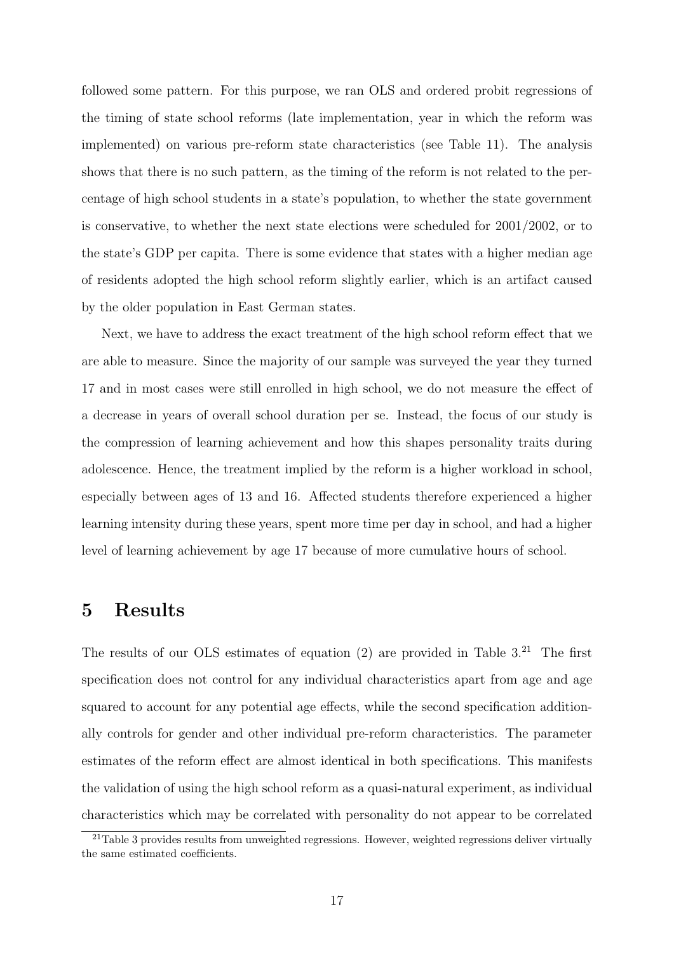followed some pattern. For this purpose, we ran OLS and ordered probit regressions of the timing of state school reforms (late implementation, year in which the reform was implemented) on various pre-reform state characteristics (see Table 11). The analysis shows that there is no such pattern, as the timing of the reform is not related to the percentage of high school students in a state's population, to whether the state government is conservative, to whether the next state elections were scheduled for 2001/2002, or to the state's GDP per capita. There is some evidence that states with a higher median age of residents adopted the high school reform slightly earlier, which is an artifact caused by the older population in East German states.

Next, we have to address the exact treatment of the high school reform effect that we are able to measure. Since the majority of our sample was surveyed the year they turned 17 and in most cases were still enrolled in high school, we do not measure the effect of a decrease in years of overall school duration per se. Instead, the focus of our study is the compression of learning achievement and how this shapes personality traits during adolescence. Hence, the treatment implied by the reform is a higher workload in school, especially between ages of 13 and 16. Affected students therefore experienced a higher learning intensity during these years, spent more time per day in school, and had a higher level of learning achievement by age 17 because of more cumulative hours of school.

### 5 Results

The results of our OLS estimates of equation  $(2)$  are provided in Table 3.<sup>21</sup> The first specification does not control for any individual characteristics apart from age and age squared to account for any potential age effects, while the second specification additionally controls for gender and other individual pre-reform characteristics. The parameter estimates of the reform effect are almost identical in both specifications. This manifests the validation of using the high school reform as a quasi-natural experiment, as individual characteristics which may be correlated with personality do not appear to be correlated

 $21$ Table 3 provides results from unweighted regressions. However, weighted regressions deliver virtually the same estimated coefficients.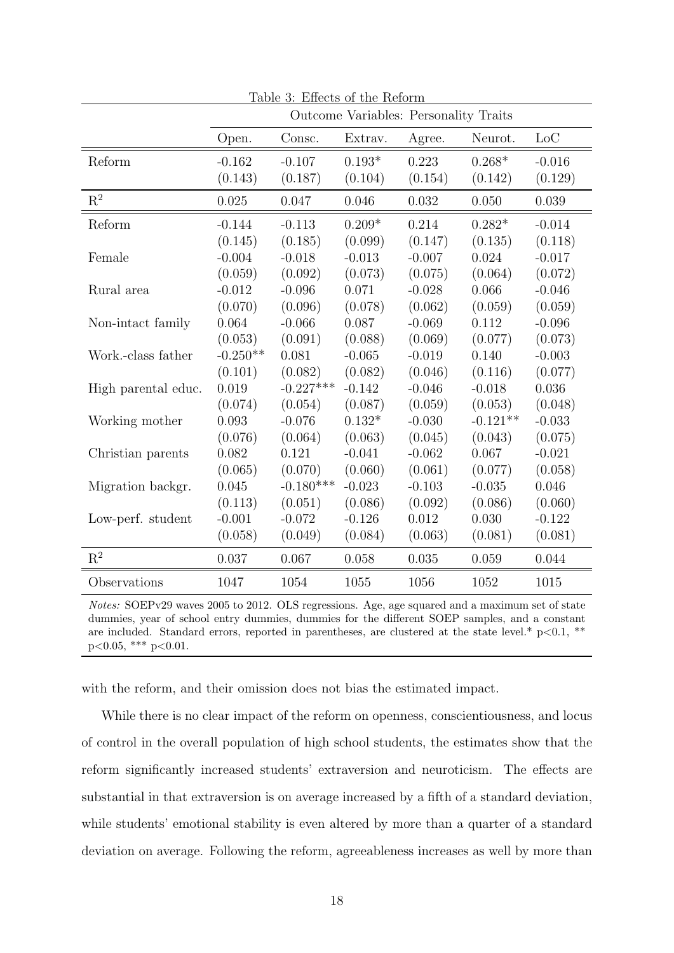| Table 3: Effects of the Reform |            |                                       |          |          |            |          |
|--------------------------------|------------|---------------------------------------|----------|----------|------------|----------|
|                                |            | Outcome Variables: Personality Traits |          |          |            |          |
|                                | Open.      | Consc.                                | Extrav.  | Agree.   | Neurot.    | Loc      |
| Reform                         | $-0.162$   | $-0.107$                              | $0.193*$ | 0.223    | $0.268*$   | $-0.016$ |
|                                | (0.143)    | (0.187)                               | (0.104)  | (0.154)  | (0.142)    | (0.129)  |
| $\mathbf{R}^2$                 | 0.025      | 0.047                                 | 0.046    | 0.032    | 0.050      | 0.039    |
| Reform                         | $-0.144$   | $-0.113$                              | $0.209*$ | 0.214    | $0.282*$   | $-0.014$ |
|                                | (0.145)    | (0.185)                               | (0.099)  | (0.147)  | (0.135)    | (0.118)  |
| Female                         | $-0.004$   | $-0.018$                              | $-0.013$ | $-0.007$ | 0.024      | $-0.017$ |
|                                | (0.059)    | (0.092)                               | (0.073)  | (0.075)  | (0.064)    | (0.072)  |
| Rural area                     | $-0.012$   | $-0.096$                              | 0.071    | $-0.028$ | 0.066      | $-0.046$ |
|                                | (0.070)    | (0.096)                               | (0.078)  | (0.062)  | (0.059)    | (0.059)  |
| Non-intact family              | 0.064      | $-0.066$                              | 0.087    | $-0.069$ | 0.112      | $-0.096$ |
|                                | (0.053)    | (0.091)                               | (0.088)  | (0.069)  | (0.077)    | (0.073)  |
| Work.-class father             | $-0.250**$ | 0.081                                 | $-0.065$ | $-0.019$ | 0.140      | $-0.003$ |
|                                | (0.101)    | (0.082)                               | (0.082)  | (0.046)  | (0.116)    | (0.077)  |
| High parental educ.            | 0.019      | $-0.227***$                           | $-0.142$ | $-0.046$ | $-0.018$   | 0.036    |
|                                | (0.074)    | (0.054)                               | (0.087)  | (0.059)  | (0.053)    | (0.048)  |
| Working mother                 | 0.093      | $-0.076$                              | $0.132*$ | $-0.030$ | $-0.121**$ | $-0.033$ |
|                                | (0.076)    | (0.064)                               | (0.063)  | (0.045)  | (0.043)    | (0.075)  |
| Christian parents              | 0.082      | 0.121                                 | $-0.041$ | $-0.062$ | 0.067      | $-0.021$ |
|                                | (0.065)    | (0.070)                               | (0.060)  | (0.061)  | (0.077)    | (0.058)  |
| Migration backgr.              | 0.045      | $-0.180***$                           | $-0.023$ | $-0.103$ | $-0.035$   | 0.046    |
|                                | (0.113)    | (0.051)                               | (0.086)  | (0.092)  | (0.086)    | (0.060)  |
| Low-perf. student              | $-0.001$   | $-0.072$                              | $-0.126$ | 0.012    | 0.030      | $-0.122$ |
|                                | (0.058)    | (0.049)                               | (0.084)  | (0.063)  | (0.081)    | (0.081)  |
| $\mathbf{R}^2$                 | 0.037      | 0.067                                 | 0.058    | 0.035    | 0.059      | 0.044    |
| Observations                   | 1047       | 1054                                  | 1055     | 1056     | 1052       | 1015     |

Notes: SOEPv29 waves 2005 to 2012. OLS regressions. Age, age squared and a maximum set of state dummies, year of school entry dummies, dummies for the different SOEP samples, and a constant are included. Standard errors, reported in parentheses, are clustered at the state level.\*  $p < 0.1$ , \*\*  $p<0.05$ , \*\*\*  $p<0.01$ .

with the reform, and their omission does not bias the estimated impact.

While there is no clear impact of the reform on openness, conscientiousness, and locus of control in the overall population of high school students, the estimates show that the reform significantly increased students' extraversion and neuroticism. The effects are substantial in that extraversion is on average increased by a fifth of a standard deviation, while students' emotional stability is even altered by more than a quarter of a standard deviation on average. Following the reform, agreeableness increases as well by more than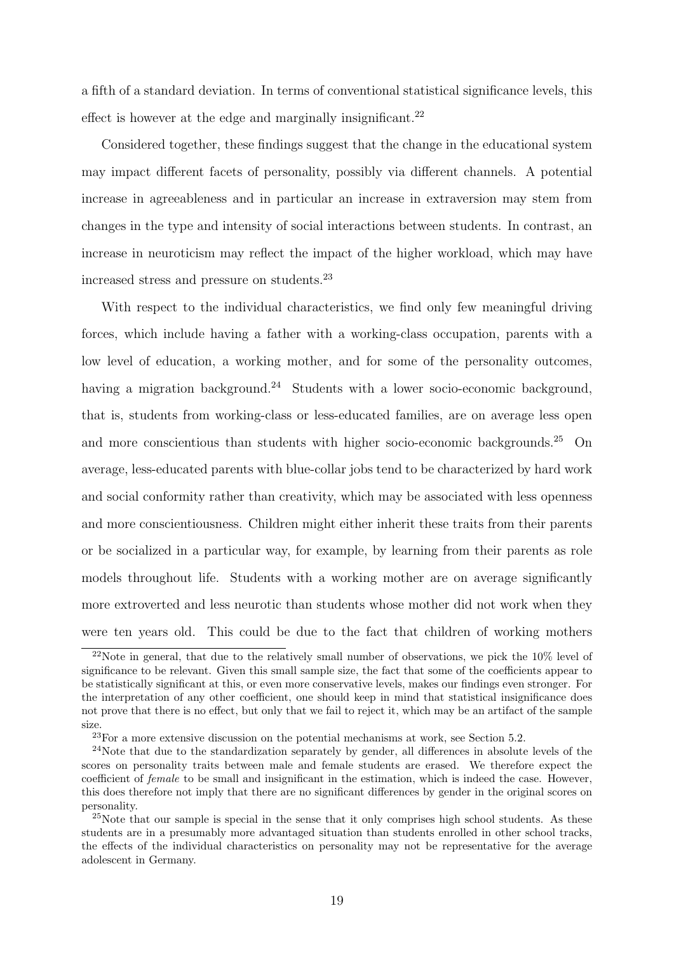a fifth of a standard deviation. In terms of conventional statistical significance levels, this effect is however at the edge and marginally insignificant.<sup>22</sup>

Considered together, these findings suggest that the change in the educational system may impact different facets of personality, possibly via different channels. A potential increase in agreeableness and in particular an increase in extraversion may stem from changes in the type and intensity of social interactions between students. In contrast, an increase in neuroticism may reflect the impact of the higher workload, which may have increased stress and pressure on students.<sup>23</sup>

With respect to the individual characteristics, we find only few meaningful driving forces, which include having a father with a working-class occupation, parents with a low level of education, a working mother, and for some of the personality outcomes, having a migration background.<sup>24</sup> Students with a lower socio-economic background, that is, students from working-class or less-educated families, are on average less open and more conscientious than students with higher socio-economic backgrounds.<sup>25</sup> On average, less-educated parents with blue-collar jobs tend to be characterized by hard work and social conformity rather than creativity, which may be associated with less openness and more conscientiousness. Children might either inherit these traits from their parents or be socialized in a particular way, for example, by learning from their parents as role models throughout life. Students with a working mother are on average significantly more extroverted and less neurotic than students whose mother did not work when they were ten years old. This could be due to the fact that children of working mothers

<sup>&</sup>lt;sup>22</sup>Note in general, that due to the relatively small number of observations, we pick the  $10\%$  level of significance to be relevant. Given this small sample size, the fact that some of the coefficients appear to be statistically significant at this, or even more conservative levels, makes our findings even stronger. For the interpretation of any other coefficient, one should keep in mind that statistical insignificance does not prove that there is no effect, but only that we fail to reject it, which may be an artifact of the sample size.

 $23$ For a more extensive discussion on the potential mechanisms at work, see Section 5.2.

<sup>&</sup>lt;sup>24</sup>Note that due to the standardization separately by gender, all differences in absolute levels of the scores on personality traits between male and female students are erased. We therefore expect the coefficient of female to be small and insignificant in the estimation, which is indeed the case. However, this does therefore not imply that there are no significant differences by gender in the original scores on personality.

 $^{25}$ Note that our sample is special in the sense that it only comprises high school students. As these students are in a presumably more advantaged situation than students enrolled in other school tracks, the effects of the individual characteristics on personality may not be representative for the average adolescent in Germany.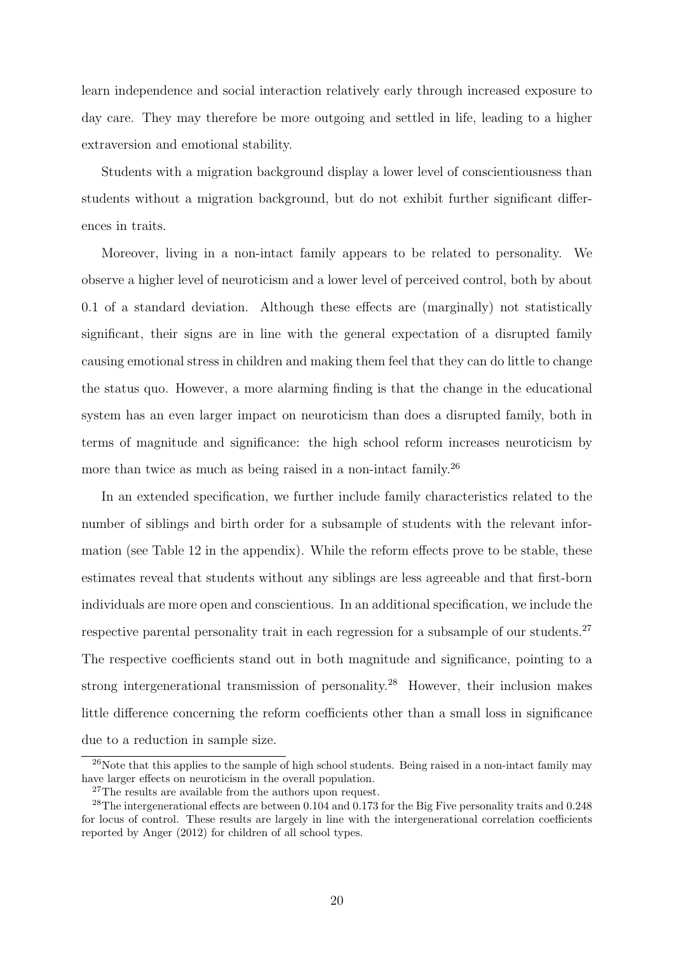learn independence and social interaction relatively early through increased exposure to day care. They may therefore be more outgoing and settled in life, leading to a higher extraversion and emotional stability.

Students with a migration background display a lower level of conscientiousness than students without a migration background, but do not exhibit further significant differences in traits.

Moreover, living in a non-intact family appears to be related to personality. We observe a higher level of neuroticism and a lower level of perceived control, both by about 0.1 of a standard deviation. Although these effects are (marginally) not statistically significant, their signs are in line with the general expectation of a disrupted family causing emotional stress in children and making them feel that they can do little to change the status quo. However, a more alarming finding is that the change in the educational system has an even larger impact on neuroticism than does a disrupted family, both in terms of magnitude and significance: the high school reform increases neuroticism by more than twice as much as being raised in a non-intact family.<sup>26</sup>

In an extended specification, we further include family characteristics related to the number of siblings and birth order for a subsample of students with the relevant information (see Table 12 in the appendix). While the reform effects prove to be stable, these estimates reveal that students without any siblings are less agreeable and that first-born individuals are more open and conscientious. In an additional specification, we include the respective parental personality trait in each regression for a subsample of our students.<sup>27</sup> The respective coefficients stand out in both magnitude and significance, pointing to a strong intergenerational transmission of personality.<sup>28</sup> However, their inclusion makes little difference concerning the reform coefficients other than a small loss in significance due to a reduction in sample size.

 $^{26}$ Note that this applies to the sample of high school students. Being raised in a non-intact family may have larger effects on neuroticism in the overall population.

<sup>&</sup>lt;sup>27</sup>The results are available from the authors upon request.

<sup>&</sup>lt;sup>28</sup>The intergenerational effects are between 0.104 and 0.173 for the Big Five personality traits and 0.248 for locus of control. These results are largely in line with the intergenerational correlation coefficients reported by Anger (2012) for children of all school types.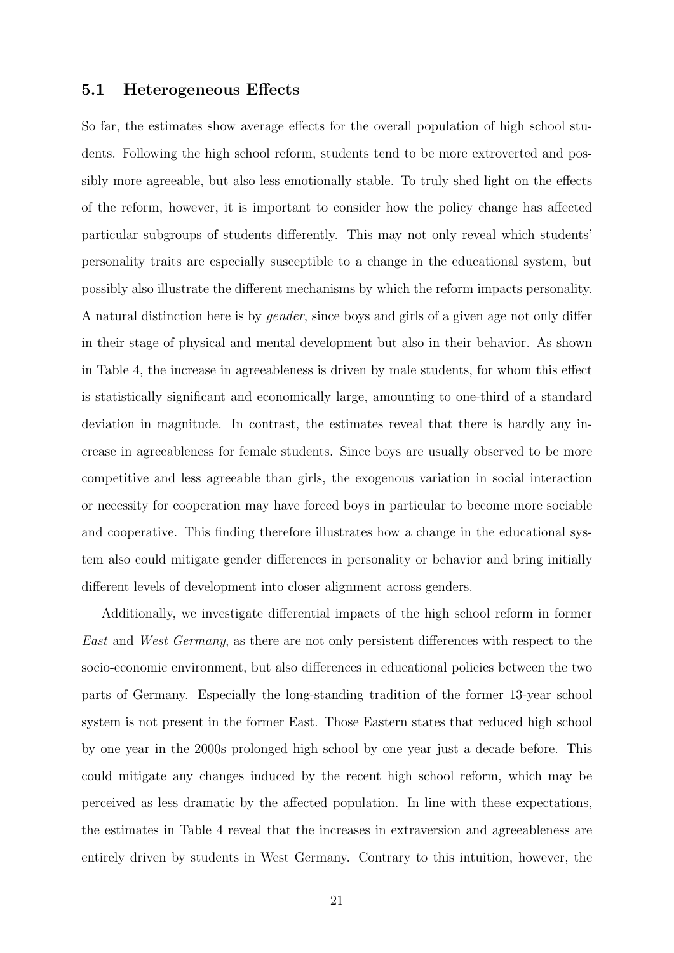#### 5.1 Heterogeneous Effects

So far, the estimates show average effects for the overall population of high school students. Following the high school reform, students tend to be more extroverted and possibly more agreeable, but also less emotionally stable. To truly shed light on the effects of the reform, however, it is important to consider how the policy change has affected particular subgroups of students differently. This may not only reveal which students' personality traits are especially susceptible to a change in the educational system, but possibly also illustrate the different mechanisms by which the reform impacts personality. A natural distinction here is by gender, since boys and girls of a given age not only differ in their stage of physical and mental development but also in their behavior. As shown in Table 4, the increase in agreeableness is driven by male students, for whom this effect is statistically significant and economically large, amounting to one-third of a standard deviation in magnitude. In contrast, the estimates reveal that there is hardly any increase in agreeableness for female students. Since boys are usually observed to be more competitive and less agreeable than girls, the exogenous variation in social interaction or necessity for cooperation may have forced boys in particular to become more sociable and cooperative. This finding therefore illustrates how a change in the educational system also could mitigate gender differences in personality or behavior and bring initially different levels of development into closer alignment across genders.

Additionally, we investigate differential impacts of the high school reform in former East and West Germany, as there are not only persistent differences with respect to the socio-economic environment, but also differences in educational policies between the two parts of Germany. Especially the long-standing tradition of the former 13-year school system is not present in the former East. Those Eastern states that reduced high school by one year in the 2000s prolonged high school by one year just a decade before. This could mitigate any changes induced by the recent high school reform, which may be perceived as less dramatic by the affected population. In line with these expectations, the estimates in Table 4 reveal that the increases in extraversion and agreeableness are entirely driven by students in West Germany. Contrary to this intuition, however, the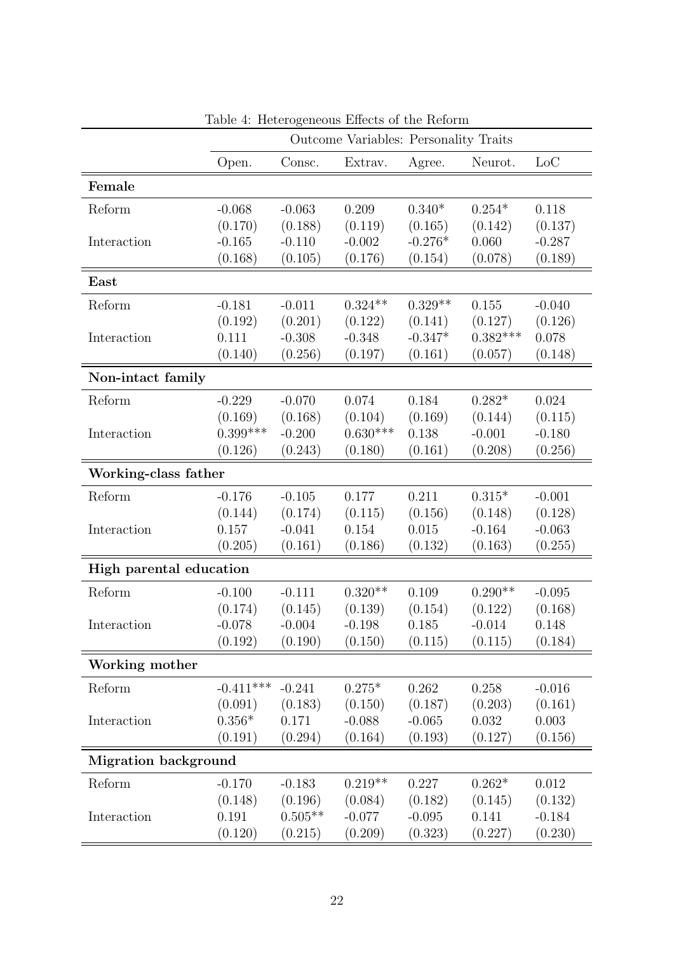|                             | Outcome Variables: Personality Traits |           |            |           |            |          |
|-----------------------------|---------------------------------------|-----------|------------|-----------|------------|----------|
|                             | Open.                                 | Consc.    | Extrav.    | Agree.    | Neurot.    | Loc      |
| Female                      |                                       |           |            |           |            |          |
| Reform                      | $-0.068$                              | $-0.063$  | 0.209      | $0.340*$  | $0.254*$   | 0.118    |
|                             | (0.170)                               | (0.188)   | (0.119)    | (0.165)   | (0.142)    | (0.137)  |
| Interaction                 | $-0.165$                              | $-0.110$  | $-0.002$   | $-0.276*$ | 0.060      | $-0.287$ |
|                             | (0.168)                               | (0.105)   | (0.176)    | (0.154)   | (0.078)    | (0.189)  |
| East                        |                                       |           |            |           |            |          |
| Reform                      | $-0.181$                              | $-0.011$  | $0.324**$  | $0.329**$ | 0.155      | $-0.040$ |
|                             | (0.192)                               | (0.201)   | (0.122)    | (0.141)   | (0.127)    | (0.126)  |
| Interaction                 | 0.111                                 | $-0.308$  | $-0.348$   | $-0.347*$ | $0.382***$ | 0.078    |
|                             | (0.140)                               | (0.256)   | (0.197)    | (0.161)   | (0.057)    | (0.148)  |
| Non-intact family           |                                       |           |            |           |            |          |
| Reform                      | $-0.229$                              | $-0.070$  | 0.074      | 0.184     | $0.282*$   | 0.024    |
|                             | (0.169)                               | (0.168)   | (0.104)    | (0.169)   | (0.144)    | (0.115)  |
| Interaction                 | $0.399***$                            | $-0.200$  | $0.630***$ | 0.138     | $-0.001$   | $-0.180$ |
|                             | (0.126)                               | (0.243)   | (0.180)    | (0.161)   | (0.208)    | (0.256)  |
| Working-class father        |                                       |           |            |           |            |          |
| Reform                      | $-0.176$                              | $-0.105$  | 0.177      | 0.211     | $0.315*$   | $-0.001$ |
|                             | (0.144)                               | (0.174)   | (0.115)    | (0.156)   | (0.148)    | (0.128)  |
| Interaction                 | 0.157                                 | $-0.041$  | 0.154      | 0.015     | $-0.164$   | $-0.063$ |
|                             | (0.205)                               | (0.161)   | (0.186)    | (0.132)   | (0.163)    | (0.255)  |
| High parental education     |                                       |           |            |           |            |          |
| Reform                      | $-0.100$                              | $-0.111$  | $0.320**$  | 0.109     | $0.290**$  | $-0.095$ |
|                             | (0.174)                               | (0.145)   | (0.139)    | (0.154)   | (0.122)    | (0.168)  |
| Interaction                 | $-0.078$                              | $-0.004$  | $-0.198$   | 0.185     | $-0.014$   | 0.148    |
|                             | (0.192)                               | (0.190)   | (0.150)    | (0.115)   | (0.115)    | (0.184)  |
| Working mother              |                                       |           |            |           |            |          |
| Reform                      | $-0.411***$                           | $-0.241$  | $0.275*$   | 0.262     | 0.258      | $-0.016$ |
|                             | (0.091)                               | (0.183)   | (0.150)    | (0.187)   | (0.203)    | (0.161)  |
| Interaction                 | $0.356*$                              | 0.171     | $-0.088$   | $-0.065$  | 0.032      | 0.003    |
|                             | (0.191)                               | (0.294)   | (0.164)    | (0.193)   | (0.127)    | (0.156)  |
| <b>Migration background</b> |                                       |           |            |           |            |          |
| Reform                      | $-0.170$                              | $-0.183$  | $0.219**$  | 0.227     | $0.262*$   | 0.012    |
|                             | (0.148)                               | (0.196)   | (0.084)    | (0.182)   | (0.145)    | (0.132)  |
| Interaction                 | 0.191                                 | $0.505**$ | $-0.077$   | $-0.095$  | 0.141      | $-0.184$ |
|                             | (0.120)                               | (0.215)   | (0.209)    | (0.323)   | (0.227)    | (0.230)  |

Table 4: Heterogeneous Effects of the Reform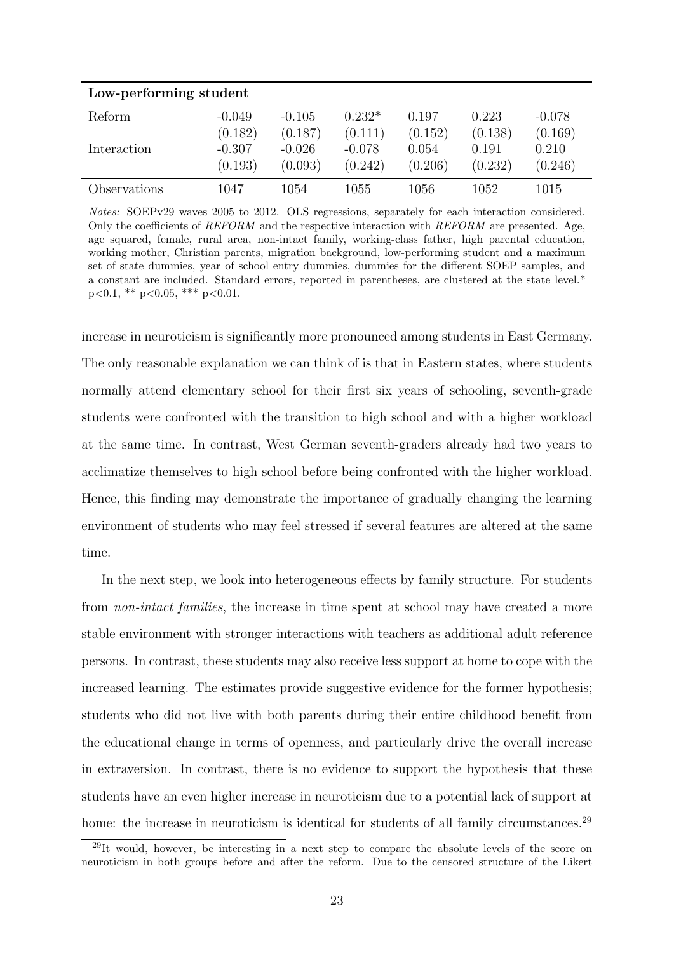| Low-performing student |          |          |          |         |         |          |
|------------------------|----------|----------|----------|---------|---------|----------|
| Reform                 | $-0.049$ | $-0.105$ | $0.232*$ | 0.197   | 0.223   | $-0.078$ |
|                        | (0.182)  | (0.187)  | (0.111)  | (0.152) | (0.138) | (0.169)  |
| Interaction            | $-0.307$ | $-0.026$ | $-0.078$ | 0.054   | 0.191   | 0.210    |
|                        | (0.193)  | (0.093)  | (0.242)  | (0.206) | (0.232) | (0.246)  |
| Observations           | 1047     | 1054     | 1055     | 1056    | 1052    | 1015     |

Notes: SOEPv29 waves 2005 to 2012. OLS regressions, separately for each interaction considered. Only the coefficients of  $REFORM$  and the respective interaction with  $REFORM$  are presented. Age, age squared, female, rural area, non-intact family, working-class father, high parental education, working mother, Christian parents, migration background, low-performing student and a maximum set of state dummies, year of school entry dummies, dummies for the different SOEP samples, and a constant are included. Standard errors, reported in parentheses, are clustered at the state level.\*  $p<0.1$ , \*\*  $p<0.05$ , \*\*\*  $p<0.01$ .

increase in neuroticism is significantly more pronounced among students in East Germany. The only reasonable explanation we can think of is that in Eastern states, where students normally attend elementary school for their first six years of schooling, seventh-grade students were confronted with the transition to high school and with a higher workload at the same time. In contrast, West German seventh-graders already had two years to acclimatize themselves to high school before being confronted with the higher workload. Hence, this finding may demonstrate the importance of gradually changing the learning environment of students who may feel stressed if several features are altered at the same time.

In the next step, we look into heterogeneous effects by family structure. For students from non-intact families, the increase in time spent at school may have created a more stable environment with stronger interactions with teachers as additional adult reference persons. In contrast, these students may also receive less support at home to cope with the increased learning. The estimates provide suggestive evidence for the former hypothesis; students who did not live with both parents during their entire childhood benefit from the educational change in terms of openness, and particularly drive the overall increase in extraversion. In contrast, there is no evidence to support the hypothesis that these students have an even higher increase in neuroticism due to a potential lack of support at home: the increase in neuroticism is identical for students of all family circumstances.<sup>29</sup>

<sup>&</sup>lt;sup>29</sup>It would, however, be interesting in a next step to compare the absolute levels of the score on neuroticism in both groups before and after the reform. Due to the censored structure of the Likert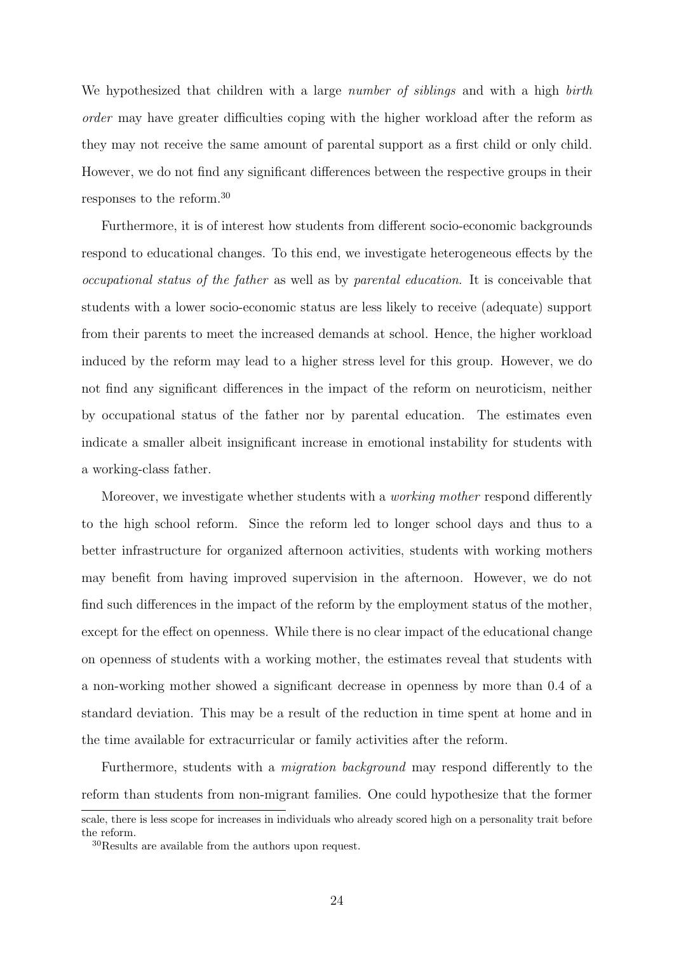We hypothesized that children with a large *number of siblings* and with a high *birth* order may have greater difficulties coping with the higher workload after the reform as they may not receive the same amount of parental support as a first child or only child. However, we do not find any significant differences between the respective groups in their responses to the reform.<sup>30</sup>

Furthermore, it is of interest how students from different socio-economic backgrounds respond to educational changes. To this end, we investigate heterogeneous effects by the occupational status of the father as well as by parental education. It is conceivable that students with a lower socio-economic status are less likely to receive (adequate) support from their parents to meet the increased demands at school. Hence, the higher workload induced by the reform may lead to a higher stress level for this group. However, we do not find any significant differences in the impact of the reform on neuroticism, neither by occupational status of the father nor by parental education. The estimates even indicate a smaller albeit insignificant increase in emotional instability for students with a working-class father.

Moreover, we investigate whether students with a *working mother* respond differently to the high school reform. Since the reform led to longer school days and thus to a better infrastructure for organized afternoon activities, students with working mothers may benefit from having improved supervision in the afternoon. However, we do not find such differences in the impact of the reform by the employment status of the mother, except for the effect on openness. While there is no clear impact of the educational change on openness of students with a working mother, the estimates reveal that students with a non-working mother showed a significant decrease in openness by more than 0.4 of a standard deviation. This may be a result of the reduction in time spent at home and in the time available for extracurricular or family activities after the reform.

Furthermore, students with a migration background may respond differently to the reform than students from non-migrant families. One could hypothesize that the former

scale, there is less scope for increases in individuals who already scored high on a personality trait before the reform.

<sup>30</sup>Results are available from the authors upon request.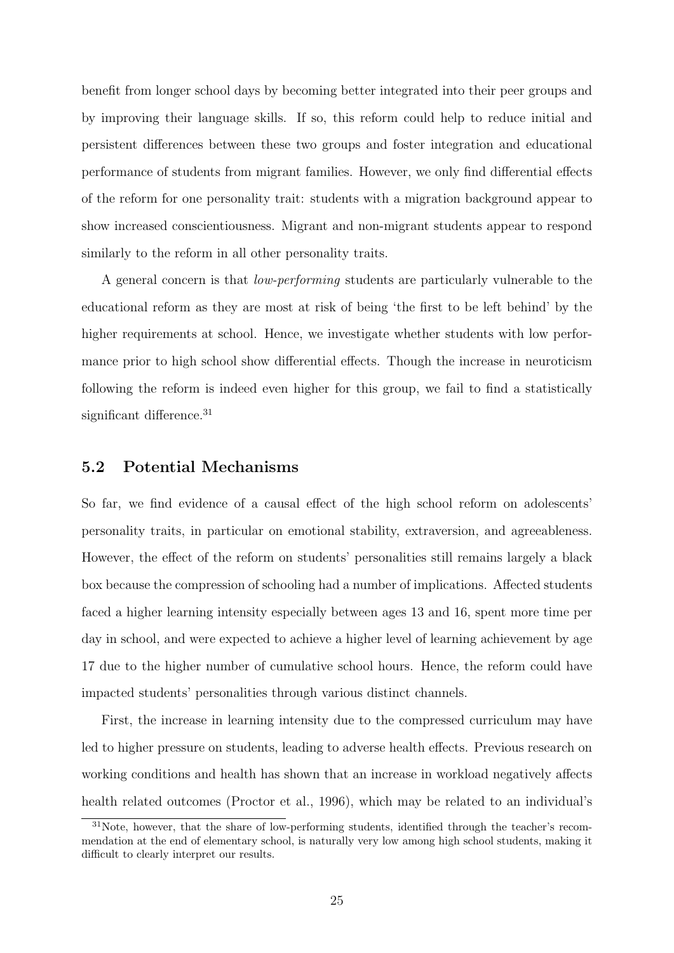benefit from longer school days by becoming better integrated into their peer groups and by improving their language skills. If so, this reform could help to reduce initial and persistent differences between these two groups and foster integration and educational performance of students from migrant families. However, we only find differential effects of the reform for one personality trait: students with a migration background appear to show increased conscientiousness. Migrant and non-migrant students appear to respond similarly to the reform in all other personality traits.

A general concern is that low-performing students are particularly vulnerable to the educational reform as they are most at risk of being 'the first to be left behind' by the higher requirements at school. Hence, we investigate whether students with low performance prior to high school show differential effects. Though the increase in neuroticism following the reform is indeed even higher for this group, we fail to find a statistically significant difference.<sup>31</sup>

#### 5.2 Potential Mechanisms

So far, we find evidence of a causal effect of the high school reform on adolescents' personality traits, in particular on emotional stability, extraversion, and agreeableness. However, the effect of the reform on students' personalities still remains largely a black box because the compression of schooling had a number of implications. Affected students faced a higher learning intensity especially between ages 13 and 16, spent more time per day in school, and were expected to achieve a higher level of learning achievement by age 17 due to the higher number of cumulative school hours. Hence, the reform could have impacted students' personalities through various distinct channels.

First, the increase in learning intensity due to the compressed curriculum may have led to higher pressure on students, leading to adverse health effects. Previous research on working conditions and health has shown that an increase in workload negatively affects health related outcomes (Proctor et al., 1996), which may be related to an individual's

<sup>&</sup>lt;sup>31</sup>Note, however, that the share of low-performing students, identified through the teacher's recommendation at the end of elementary school, is naturally very low among high school students, making it difficult to clearly interpret our results.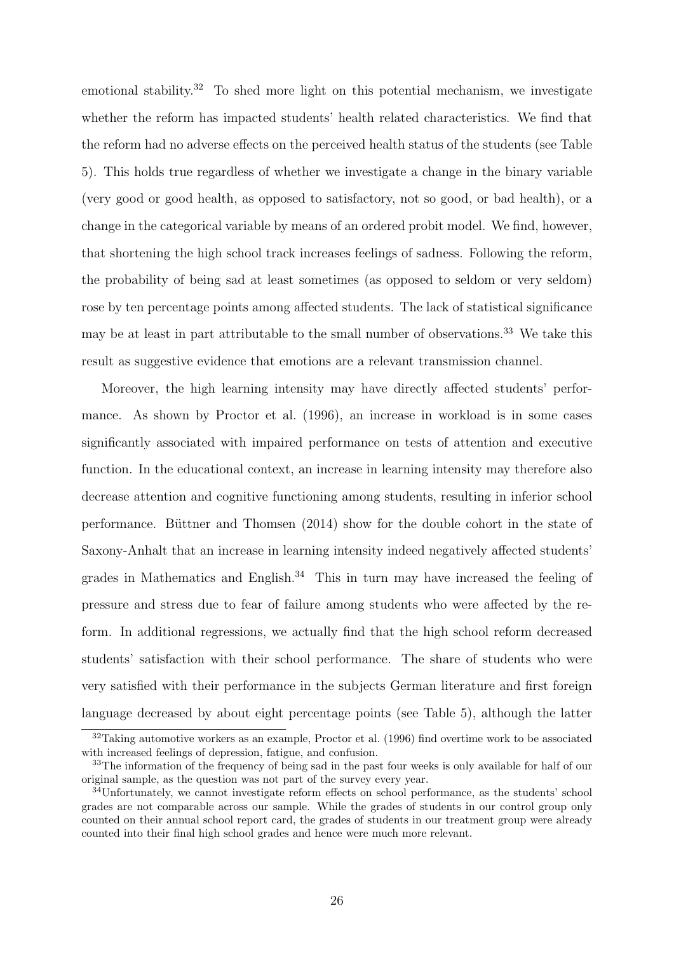emotional stability.<sup>32</sup> To shed more light on this potential mechanism, we investigate whether the reform has impacted students' health related characteristics. We find that the reform had no adverse effects on the perceived health status of the students (see Table 5). This holds true regardless of whether we investigate a change in the binary variable (very good or good health, as opposed to satisfactory, not so good, or bad health), or a change in the categorical variable by means of an ordered probit model. We find, however, that shortening the high school track increases feelings of sadness. Following the reform, the probability of being sad at least sometimes (as opposed to seldom or very seldom) rose by ten percentage points among affected students. The lack of statistical significance may be at least in part attributable to the small number of observations.<sup>33</sup> We take this result as suggestive evidence that emotions are a relevant transmission channel.

Moreover, the high learning intensity may have directly affected students' performance. As shown by Proctor et al. (1996), an increase in workload is in some cases significantly associated with impaired performance on tests of attention and executive function. In the educational context, an increase in learning intensity may therefore also decrease attention and cognitive functioning among students, resulting in inferior school performance. Buttner and Thomsen  $(2014)$  show for the double cohort in the state of Saxony-Anhalt that an increase in learning intensity indeed negatively affected students' grades in Mathematics and English. $34$  This in turn may have increased the feeling of pressure and stress due to fear of failure among students who were affected by the reform. In additional regressions, we actually find that the high school reform decreased students' satisfaction with their school performance. The share of students who were very satisfied with their performance in the subjects German literature and first foreign language decreased by about eight percentage points (see Table 5), although the latter

<sup>&</sup>lt;sup>32</sup>Taking automotive workers as an example, Proctor et al. (1996) find overtime work to be associated with increased feelings of depression, fatigue, and confusion.

<sup>&</sup>lt;sup>33</sup>The information of the frequency of being sad in the past four weeks is only available for half of our original sample, as the question was not part of the survey every year.

<sup>34</sup>Unfortunately, we cannot investigate reform effects on school performance, as the students' school grades are not comparable across our sample. While the grades of students in our control group only counted on their annual school report card, the grades of students in our treatment group were already counted into their final high school grades and hence were much more relevant.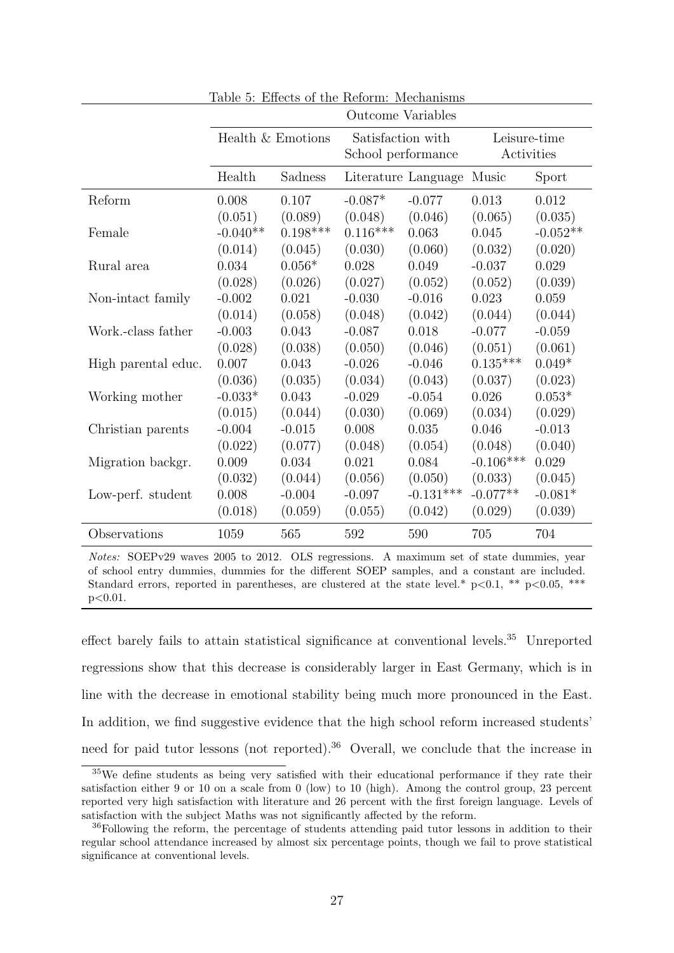|                     | <b>Outcome Variables</b> |            |            |                                         |             |                            |  |
|---------------------|--------------------------|------------|------------|-----------------------------------------|-------------|----------------------------|--|
|                     | Health & Emotions        |            |            | Satisfaction with<br>School performance |             | Leisure-time<br>Activities |  |
|                     | Health                   | Sadness    |            | Literature Language                     | Music       | Sport                      |  |
| Reform              | 0.008                    | 0.107      | $-0.087*$  | $-0.077$                                | 0.013       | 0.012                      |  |
|                     | (0.051)                  | (0.089)    | (0.048)    | (0.046)                                 | (0.065)     | (0.035)                    |  |
| Female              | $-0.040**$               | $0.198***$ | $0.116***$ | 0.063                                   | 0.045       | $-0.052**$                 |  |
|                     | (0.014)                  | (0.045)    | (0.030)    | (0.060)                                 | (0.032)     | (0.020)                    |  |
| Rural area          | 0.034                    | $0.056*$   | 0.028      | 0.049                                   | $-0.037$    | 0.029                      |  |
|                     | (0.028)                  | (0.026)    | (0.027)    | (0.052)                                 | (0.052)     | (0.039)                    |  |
| Non-intact family   | $-0.002$                 | 0.021      | $-0.030$   | $-0.016$                                | 0.023       | 0.059                      |  |
|                     | (0.014)                  | (0.058)    | (0.048)    | (0.042)                                 | (0.044)     | (0.044)                    |  |
| Work.-class father  | $-0.003$                 | 0.043      | $-0.087$   | 0.018                                   | $-0.077$    | $-0.059$                   |  |
|                     | (0.028)                  | (0.038)    | (0.050)    | (0.046)                                 | (0.051)     | (0.061)                    |  |
| High parental educ. | 0.007                    | 0.043      | $-0.026$   | $-0.046$                                | $0.135***$  | $0.049*$                   |  |
|                     | (0.036)                  | (0.035)    | (0.034)    | (0.043)                                 | (0.037)     | (0.023)                    |  |
| Working mother      | $-0.033*$                | 0.043      | $-0.029$   | $-0.054$                                | 0.026       | $0.053*$                   |  |
|                     | (0.015)                  | (0.044)    | (0.030)    | (0.069)                                 | (0.034)     | (0.029)                    |  |
| Christian parents   | $-0.004$                 | $-0.015$   | 0.008      | 0.035                                   | 0.046       | $-0.013$                   |  |
|                     | (0.022)                  | (0.077)    | (0.048)    | (0.054)                                 | (0.048)     | (0.040)                    |  |
| Migration backgr.   | 0.009                    | 0.034      | 0.021      | 0.084                                   | $-0.106***$ | 0.029                      |  |
|                     | (0.032)                  | (0.044)    | (0.056)    | (0.050)                                 | (0.033)     | (0.045)                    |  |
| Low-perf. student   | 0.008                    | $-0.004$   | $-0.097$   | $-0.131***$                             | $-0.077**$  | $-0.081*$                  |  |
|                     | (0.018)                  | (0.059)    | (0.055)    | (0.042)                                 | (0.029)     | (0.039)                    |  |
| Observations        | 1059                     | 565        | 592        | 590                                     | 705         | 704                        |  |

Table 5: Effects of the Reform: Mechanisms

Notes: SOEPv29 waves 2005 to 2012. OLS regressions. A maximum set of state dummies, year of school entry dummies, dummies for the different SOEP samples, and a constant are included. Standard errors, reported in parentheses, are clustered at the state level.\*  $p<0.1$ , \*\*  $p<0.05$ , \*\*\* p<0.01.

effect barely fails to attain statistical significance at conventional levels.<sup>35</sup> Unreported regressions show that this decrease is considerably larger in East Germany, which is in line with the decrease in emotional stability being much more pronounced in the East. In addition, we find suggestive evidence that the high school reform increased students' need for paid tutor lessons (not reported).<sup>36</sup> Overall, we conclude that the increase in

 $35$ We define students as being very satisfied with their educational performance if they rate their satisfaction either 9 or 10 on a scale from 0 (low) to 10 (high). Among the control group, 23 percent reported very high satisfaction with literature and 26 percent with the first foreign language. Levels of satisfaction with the subject Maths was not significantly affected by the reform.

<sup>&</sup>lt;sup>36</sup>Following the reform, the percentage of students attending paid tutor lessons in addition to their regular school attendance increased by almost six percentage points, though we fail to prove statistical significance at conventional levels.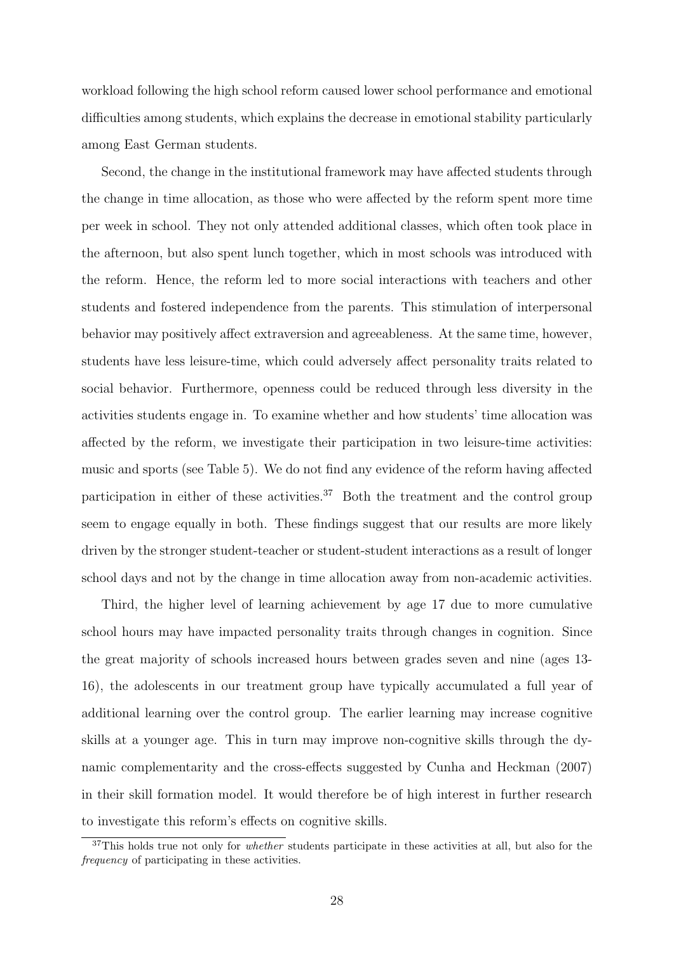workload following the high school reform caused lower school performance and emotional difficulties among students, which explains the decrease in emotional stability particularly among East German students.

Second, the change in the institutional framework may have affected students through the change in time allocation, as those who were affected by the reform spent more time per week in school. They not only attended additional classes, which often took place in the afternoon, but also spent lunch together, which in most schools was introduced with the reform. Hence, the reform led to more social interactions with teachers and other students and fostered independence from the parents. This stimulation of interpersonal behavior may positively affect extraversion and agreeableness. At the same time, however, students have less leisure-time, which could adversely affect personality traits related to social behavior. Furthermore, openness could be reduced through less diversity in the activities students engage in. To examine whether and how students' time allocation was affected by the reform, we investigate their participation in two leisure-time activities: music and sports (see Table 5). We do not find any evidence of the reform having affected participation in either of these activities.<sup>37</sup> Both the treatment and the control group seem to engage equally in both. These findings suggest that our results are more likely driven by the stronger student-teacher or student-student interactions as a result of longer school days and not by the change in time allocation away from non-academic activities.

Third, the higher level of learning achievement by age 17 due to more cumulative school hours may have impacted personality traits through changes in cognition. Since the great majority of schools increased hours between grades seven and nine (ages 13- 16), the adolescents in our treatment group have typically accumulated a full year of additional learning over the control group. The earlier learning may increase cognitive skills at a younger age. This in turn may improve non-cognitive skills through the dynamic complementarity and the cross-effects suggested by Cunha and Heckman (2007) in their skill formation model. It would therefore be of high interest in further research to investigate this reform's effects on cognitive skills.

<sup>&</sup>lt;sup>37</sup>This holds true not only for *whether* students participate in these activities at all, but also for the frequency of participating in these activities.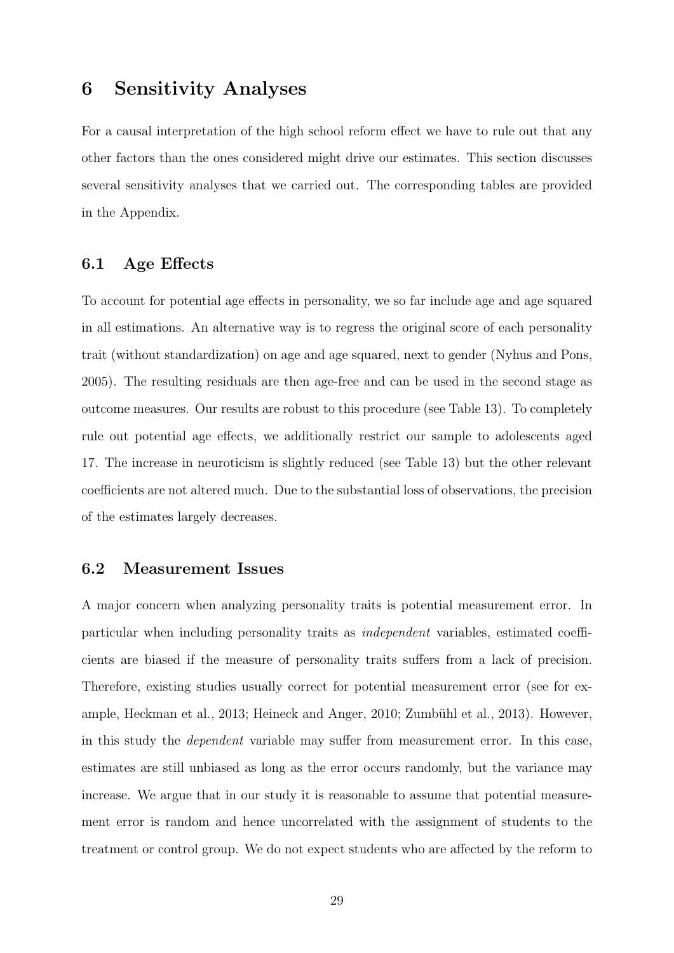### 6 Sensitivity Analyses

For a causal interpretation of the high school reform effect we have to rule out that any other factors than the ones considered might drive our estimates. This section discusses several sensitivity analyses that we carried out. The corresponding tables are provided in the Appendix.

#### 6.1 Age Effects

To account for potential age effects in personality, we so far include age and age squared in all estimations. An alternative way is to regress the original score of each personality trait (without standardization) on age and age squared, next to gender (Nyhus and Pons, 2005). The resulting residuals are then age-free and can be used in the second stage as outcome measures. Our results are robust to this procedure (see Table 13). To completely rule out potential age effects, we additionally restrict our sample to adolescents aged 17. The increase in neuroticism is slightly reduced (see Table 13) but the other relevant coefficients are not altered much. Due to the substantial loss of observations, the precision of the estimates largely decreases.

#### 6.2 Measurement Issues

A major concern when analyzing personality traits is potential measurement error. In particular when including personality traits as independent variables, estimated coefficients are biased if the measure of personality traits suffers from a lack of precision. Therefore, existing studies usually correct for potential measurement error (see for example, Heckman et al., 2013; Heineck and Anger, 2010; Zumbühl et al., 2013). However, in this study the dependent variable may suffer from measurement error. In this case, estimates are still unbiased as long as the error occurs randomly, but the variance may increase. We argue that in our study it is reasonable to assume that potential measurement error is random and hence uncorrelated with the assignment of students to the treatment or control group. We do not expect students who are affected by the reform to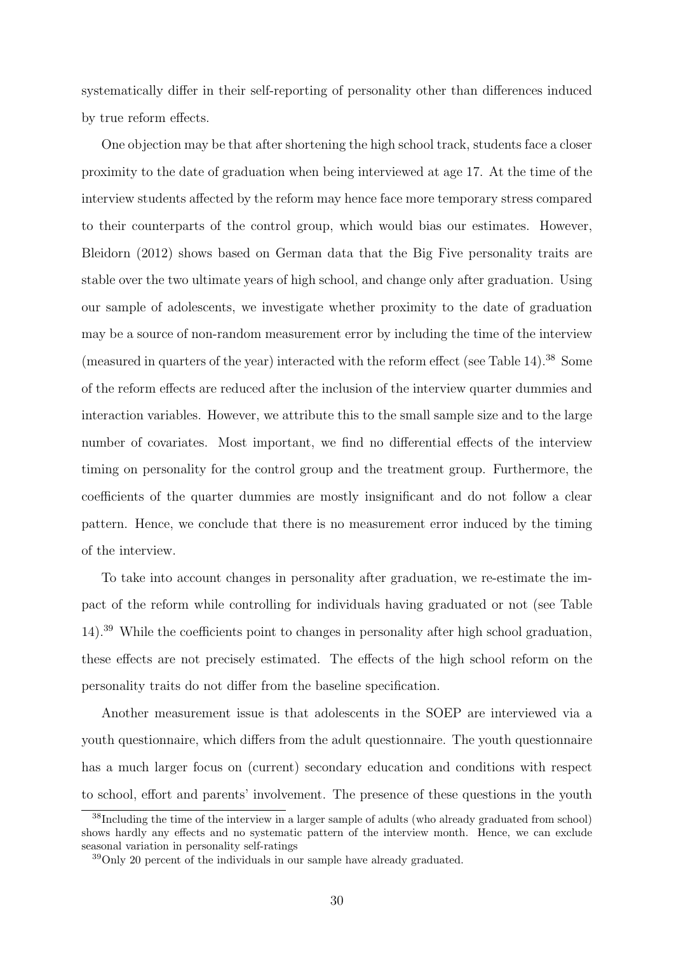systematically differ in their self-reporting of personality other than differences induced by true reform effects.

One objection may be that after shortening the high school track, students face a closer proximity to the date of graduation when being interviewed at age 17. At the time of the interview students affected by the reform may hence face more temporary stress compared to their counterparts of the control group, which would bias our estimates. However, Bleidorn (2012) shows based on German data that the Big Five personality traits are stable over the two ultimate years of high school, and change only after graduation. Using our sample of adolescents, we investigate whether proximity to the date of graduation may be a source of non-random measurement error by including the time of the interview (measured in quarters of the year) interacted with the reform effect (see Table 14).<sup>38</sup> Some of the reform effects are reduced after the inclusion of the interview quarter dummies and interaction variables. However, we attribute this to the small sample size and to the large number of covariates. Most important, we find no differential effects of the interview timing on personality for the control group and the treatment group. Furthermore, the coefficients of the quarter dummies are mostly insignificant and do not follow a clear pattern. Hence, we conclude that there is no measurement error induced by the timing of the interview.

To take into account changes in personality after graduation, we re-estimate the impact of the reform while controlling for individuals having graduated or not (see Table 14).<sup>39</sup> While the coefficients point to changes in personality after high school graduation, these effects are not precisely estimated. The effects of the high school reform on the personality traits do not differ from the baseline specification.

Another measurement issue is that adolescents in the SOEP are interviewed via a youth questionnaire, which differs from the adult questionnaire. The youth questionnaire has a much larger focus on (current) secondary education and conditions with respect to school, effort and parents' involvement. The presence of these questions in the youth

<sup>&</sup>lt;sup>38</sup>Including the time of the interview in a larger sample of adults (who already graduated from school) shows hardly any effects and no systematic pattern of the interview month. Hence, we can exclude seasonal variation in personality self-ratings

<sup>39</sup>Only 20 percent of the individuals in our sample have already graduated.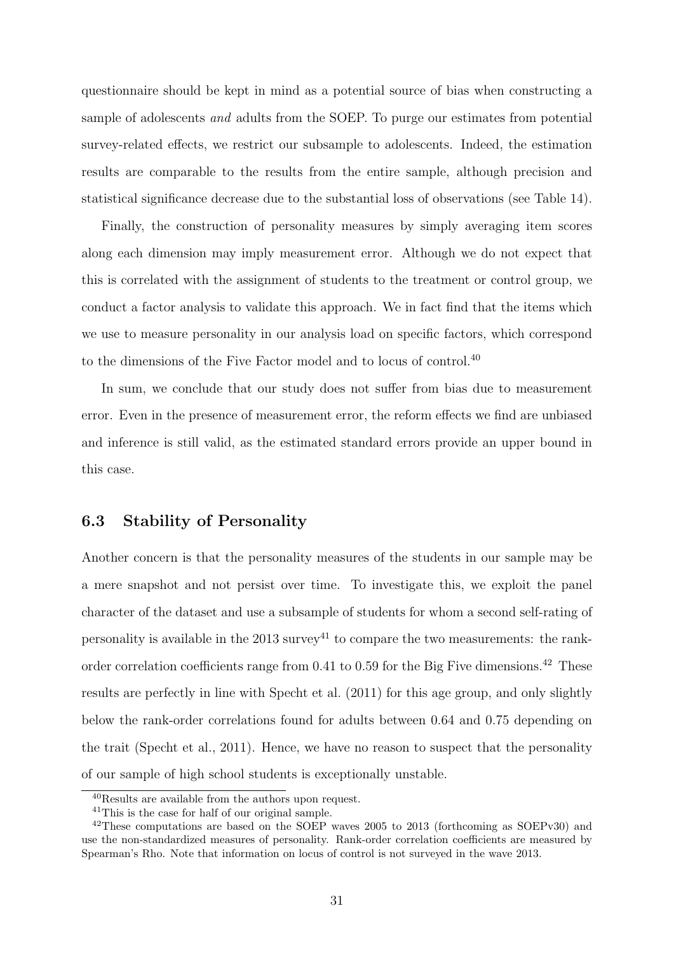questionnaire should be kept in mind as a potential source of bias when constructing a sample of adolescents and adults from the SOEP. To purge our estimates from potential survey-related effects, we restrict our subsample to adolescents. Indeed, the estimation results are comparable to the results from the entire sample, although precision and statistical significance decrease due to the substantial loss of observations (see Table 14).

Finally, the construction of personality measures by simply averaging item scores along each dimension may imply measurement error. Although we do not expect that this is correlated with the assignment of students to the treatment or control group, we conduct a factor analysis to validate this approach. We in fact find that the items which we use to measure personality in our analysis load on specific factors, which correspond to the dimensions of the Five Factor model and to locus of control.<sup>40</sup>

In sum, we conclude that our study does not suffer from bias due to measurement error. Even in the presence of measurement error, the reform effects we find are unbiased and inference is still valid, as the estimated standard errors provide an upper bound in this case.

#### 6.3 Stability of Personality

Another concern is that the personality measures of the students in our sample may be a mere snapshot and not persist over time. To investigate this, we exploit the panel character of the dataset and use a subsample of students for whom a second self-rating of personality is available in the  $2013$  survey<sup>41</sup> to compare the two measurements: the rankorder correlation coefficients range from  $0.41$  to  $0.59$  for the Big Five dimensions.<sup>42</sup> These results are perfectly in line with Specht et al. (2011) for this age group, and only slightly below the rank-order correlations found for adults between 0.64 and 0.75 depending on the trait (Specht et al., 2011). Hence, we have no reason to suspect that the personality of our sample of high school students is exceptionally unstable.

<sup>40</sup>Results are available from the authors upon request.

<sup>41</sup>This is the case for half of our original sample.

<sup>42</sup>These computations are based on the SOEP waves 2005 to 2013 (forthcoming as SOEPv30) and use the non-standardized measures of personality. Rank-order correlation coefficients are measured by Spearman's Rho. Note that information on locus of control is not surveyed in the wave 2013.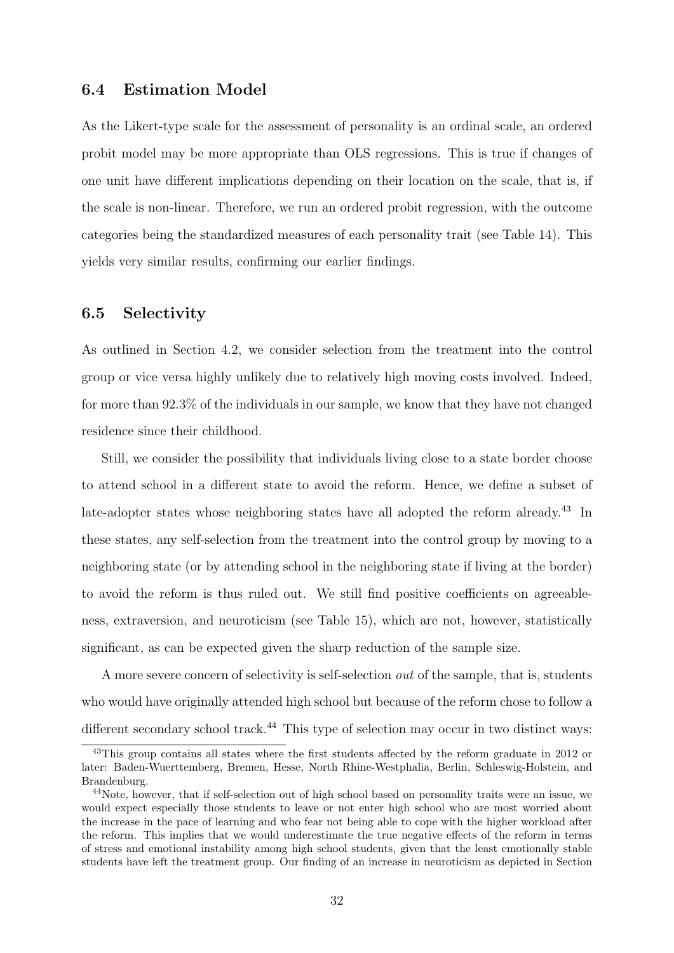#### 6.4 Estimation Model

As the Likert-type scale for the assessment of personality is an ordinal scale, an ordered probit model may be more appropriate than OLS regressions. This is true if changes of one unit have different implications depending on their location on the scale, that is, if the scale is non-linear. Therefore, we run an ordered probit regression, with the outcome categories being the standardized measures of each personality trait (see Table 14). This yields very similar results, confirming our earlier findings.

#### 6.5 Selectivity

As outlined in Section 4.2, we consider selection from the treatment into the control group or vice versa highly unlikely due to relatively high moving costs involved. Indeed, for more than 92.3% of the individuals in our sample, we know that they have not changed residence since their childhood.

Still, we consider the possibility that individuals living close to a state border choose to attend school in a different state to avoid the reform. Hence, we define a subset of late-adopter states whose neighboring states have all adopted the reform already.<sup>43</sup> In these states, any self-selection from the treatment into the control group by moving to a neighboring state (or by attending school in the neighboring state if living at the border) to avoid the reform is thus ruled out. We still find positive coefficients on agreeableness, extraversion, and neuroticism (see Table 15), which are not, however, statistically significant, as can be expected given the sharp reduction of the sample size.

A more severe concern of selectivity is self-selection out of the sample, that is, students who would have originally attended high school but because of the reform chose to follow a different secondary school track.<sup>44</sup> This type of selection may occur in two distinct ways:

<sup>&</sup>lt;sup>43</sup>This group contains all states where the first students affected by the reform graduate in 2012 or later: Baden-Wuerttemberg, Bremen, Hesse, North Rhine-Westphalia, Berlin, Schleswig-Holstein, and Brandenburg.

<sup>44</sup>Note, however, that if self-selection out of high school based on personality traits were an issue, we would expect especially those students to leave or not enter high school who are most worried about the increase in the pace of learning and who fear not being able to cope with the higher workload after the reform. This implies that we would underestimate the true negative effects of the reform in terms of stress and emotional instability among high school students, given that the least emotionally stable students have left the treatment group. Our finding of an increase in neuroticism as depicted in Section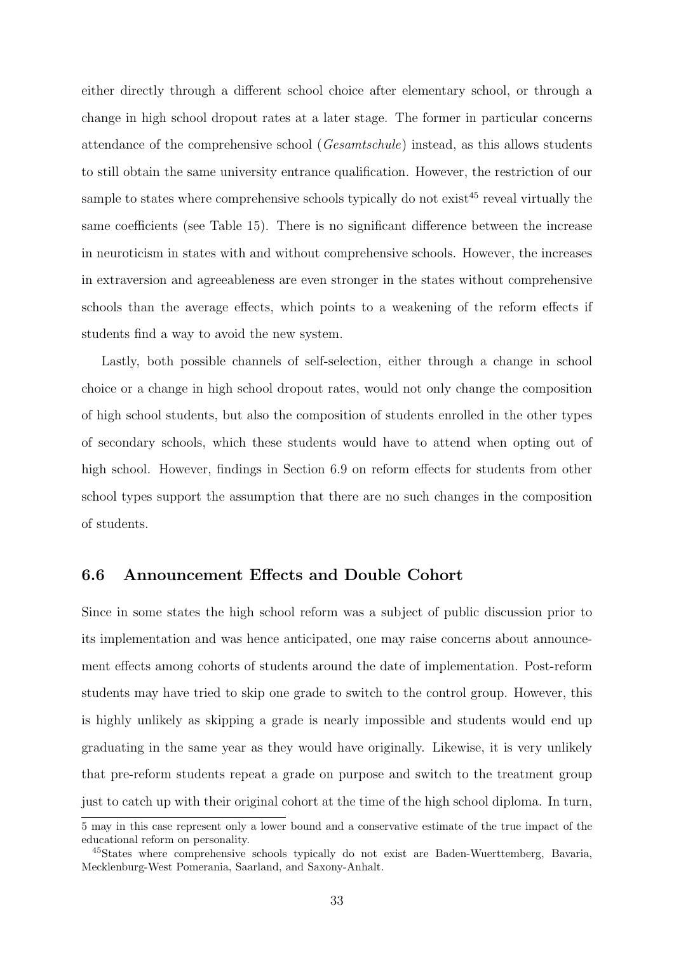either directly through a different school choice after elementary school, or through a change in high school dropout rates at a later stage. The former in particular concerns attendance of the comprehensive school (Gesamtschule) instead, as this allows students to still obtain the same university entrance qualification. However, the restriction of our sample to states where comprehensive schools typically do not exist<sup>45</sup> reveal virtually the same coefficients (see Table 15). There is no significant difference between the increase in neuroticism in states with and without comprehensive schools. However, the increases in extraversion and agreeableness are even stronger in the states without comprehensive schools than the average effects, which points to a weakening of the reform effects if students find a way to avoid the new system.

Lastly, both possible channels of self-selection, either through a change in school choice or a change in high school dropout rates, would not only change the composition of high school students, but also the composition of students enrolled in the other types of secondary schools, which these students would have to attend when opting out of high school. However, findings in Section 6.9 on reform effects for students from other school types support the assumption that there are no such changes in the composition of students.

#### 6.6 Announcement Effects and Double Cohort

Since in some states the high school reform was a subject of public discussion prior to its implementation and was hence anticipated, one may raise concerns about announcement effects among cohorts of students around the date of implementation. Post-reform students may have tried to skip one grade to switch to the control group. However, this is highly unlikely as skipping a grade is nearly impossible and students would end up graduating in the same year as they would have originally. Likewise, it is very unlikely that pre-reform students repeat a grade on purpose and switch to the treatment group just to catch up with their original cohort at the time of the high school diploma. In turn,

<sup>5</sup> may in this case represent only a lower bound and a conservative estimate of the true impact of the educational reform on personality.

<sup>45</sup>States where comprehensive schools typically do not exist are Baden-Wuerttemberg, Bavaria, Mecklenburg-West Pomerania, Saarland, and Saxony-Anhalt.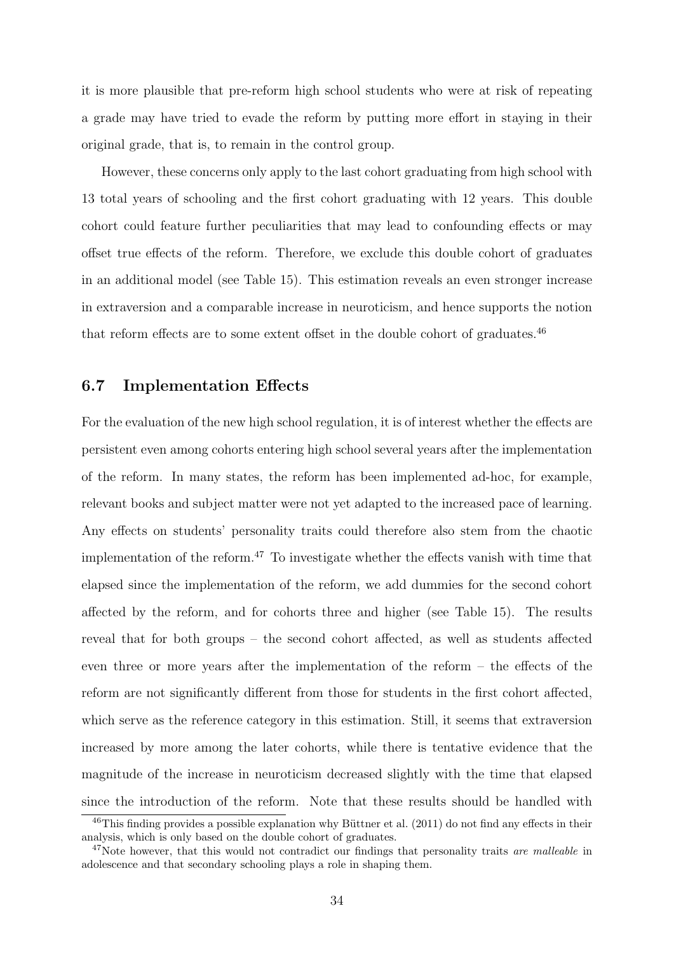it is more plausible that pre-reform high school students who were at risk of repeating a grade may have tried to evade the reform by putting more effort in staying in their original grade, that is, to remain in the control group.

However, these concerns only apply to the last cohort graduating from high school with 13 total years of schooling and the first cohort graduating with 12 years. This double cohort could feature further peculiarities that may lead to confounding effects or may offset true effects of the reform. Therefore, we exclude this double cohort of graduates in an additional model (see Table 15). This estimation reveals an even stronger increase in extraversion and a comparable increase in neuroticism, and hence supports the notion that reform effects are to some extent offset in the double cohort of graduates.<sup>46</sup>

#### 6.7 Implementation Effects

For the evaluation of the new high school regulation, it is of interest whether the effects are persistent even among cohorts entering high school several years after the implementation of the reform. In many states, the reform has been implemented ad-hoc, for example, relevant books and subject matter were not yet adapted to the increased pace of learning. Any effects on students' personality traits could therefore also stem from the chaotic implementation of the reform.<sup>47</sup> To investigate whether the effects vanish with time that elapsed since the implementation of the reform, we add dummies for the second cohort affected by the reform, and for cohorts three and higher (see Table 15). The results reveal that for both groups – the second cohort affected, as well as students affected even three or more years after the implementation of the reform – the effects of the reform are not significantly different from those for students in the first cohort affected, which serve as the reference category in this estimation. Still, it seems that extraversion increased by more among the later cohorts, while there is tentative evidence that the magnitude of the increase in neuroticism decreased slightly with the time that elapsed since the introduction of the reform. Note that these results should be handled with

 $^{46}$ This finding provides a possible explanation why Büttner et al. (2011) do not find any effects in their analysis, which is only based on the double cohort of graduates.

 $47$ Note however, that this would not contradict our findings that personality traits are malleable in adolescence and that secondary schooling plays a role in shaping them.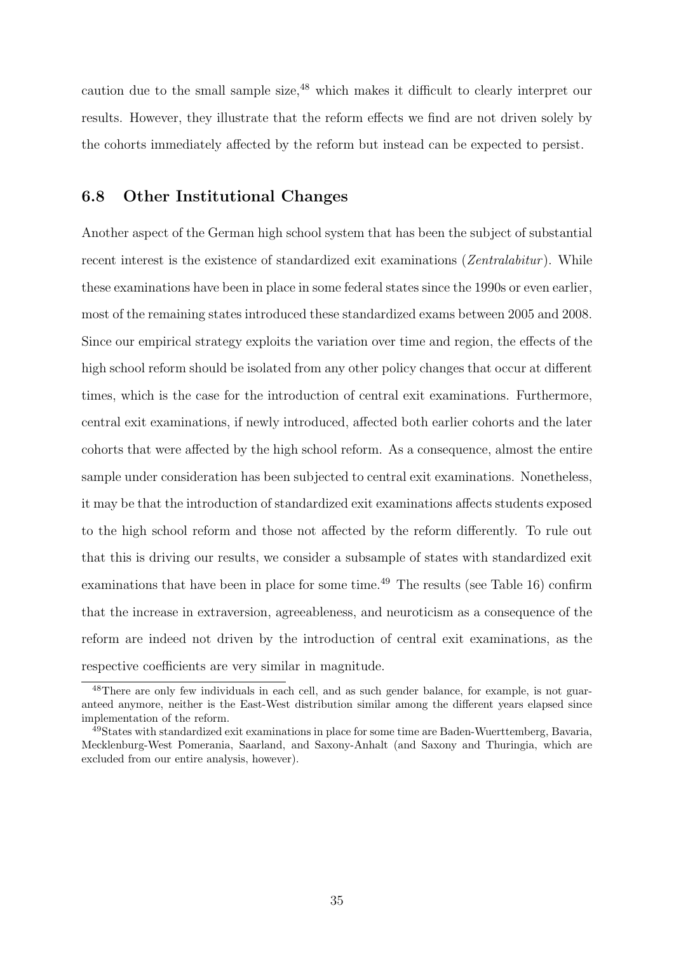caution due to the small sample size,<sup>48</sup> which makes it difficult to clearly interpret our results. However, they illustrate that the reform effects we find are not driven solely by the cohorts immediately affected by the reform but instead can be expected to persist.

#### 6.8 Other Institutional Changes

Another aspect of the German high school system that has been the subject of substantial recent interest is the existence of standardized exit examinations (Zentralabitur). While these examinations have been in place in some federal states since the 1990s or even earlier, most of the remaining states introduced these standardized exams between 2005 and 2008. Since our empirical strategy exploits the variation over time and region, the effects of the high school reform should be isolated from any other policy changes that occur at different times, which is the case for the introduction of central exit examinations. Furthermore, central exit examinations, if newly introduced, affected both earlier cohorts and the later cohorts that were affected by the high school reform. As a consequence, almost the entire sample under consideration has been subjected to central exit examinations. Nonetheless, it may be that the introduction of standardized exit examinations affects students exposed to the high school reform and those not affected by the reform differently. To rule out that this is driving our results, we consider a subsample of states with standardized exit examinations that have been in place for some time.<sup> $49$ </sup> The results (see Table 16) confirm that the increase in extraversion, agreeableness, and neuroticism as a consequence of the reform are indeed not driven by the introduction of central exit examinations, as the respective coefficients are very similar in magnitude.

<sup>48</sup>There are only few individuals in each cell, and as such gender balance, for example, is not guaranteed anymore, neither is the East-West distribution similar among the different years elapsed since implementation of the reform.

<sup>&</sup>lt;sup>49</sup>States with standardized exit examinations in place for some time are Baden-Wuerttemberg, Bavaria, Mecklenburg-West Pomerania, Saarland, and Saxony-Anhalt (and Saxony and Thuringia, which are excluded from our entire analysis, however).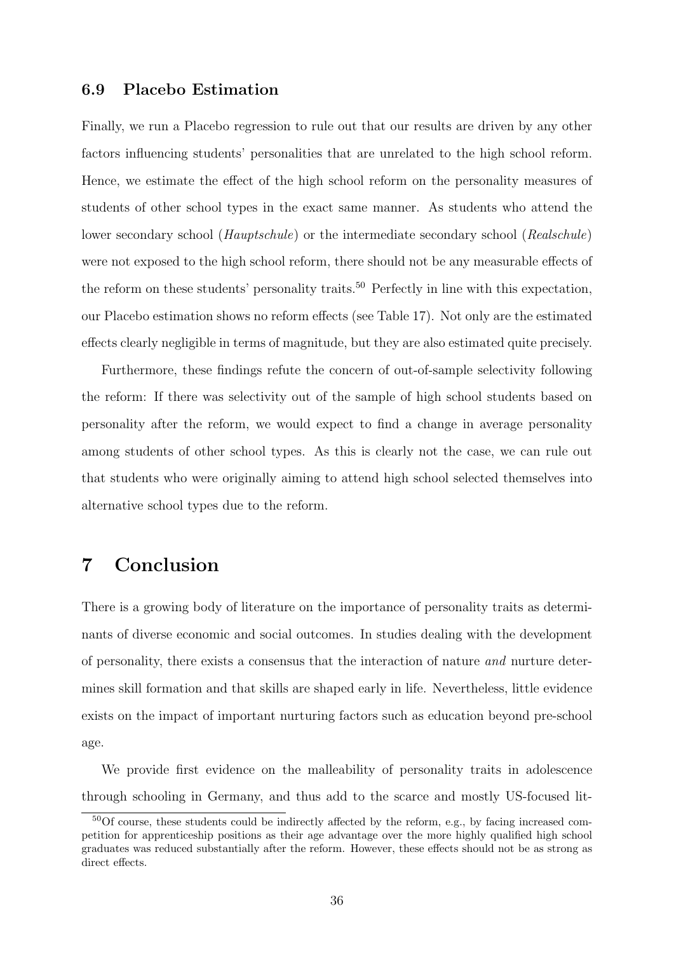#### 6.9 Placebo Estimation

Finally, we run a Placebo regression to rule out that our results are driven by any other factors influencing students' personalities that are unrelated to the high school reform. Hence, we estimate the effect of the high school reform on the personality measures of students of other school types in the exact same manner. As students who attend the lower secondary school (*Hauptschule*) or the intermediate secondary school (*Realschule*) were not exposed to the high school reform, there should not be any measurable effects of the reform on these students' personality traits.<sup>50</sup> Perfectly in line with this expectation, our Placebo estimation shows no reform effects (see Table 17). Not only are the estimated effects clearly negligible in terms of magnitude, but they are also estimated quite precisely.

Furthermore, these findings refute the concern of out-of-sample selectivity following the reform: If there was selectivity out of the sample of high school students based on personality after the reform, we would expect to find a change in average personality among students of other school types. As this is clearly not the case, we can rule out that students who were originally aiming to attend high school selected themselves into alternative school types due to the reform.

### 7 Conclusion

There is a growing body of literature on the importance of personality traits as determinants of diverse economic and social outcomes. In studies dealing with the development of personality, there exists a consensus that the interaction of nature and nurture determines skill formation and that skills are shaped early in life. Nevertheless, little evidence exists on the impact of important nurturing factors such as education beyond pre-school age.

We provide first evidence on the malleability of personality traits in adolescence through schooling in Germany, and thus add to the scarce and mostly US-focused lit-

<sup>50</sup>Of course, these students could be indirectly affected by the reform, e.g., by facing increased competition for apprenticeship positions as their age advantage over the more highly qualified high school graduates was reduced substantially after the reform. However, these effects should not be as strong as direct effects.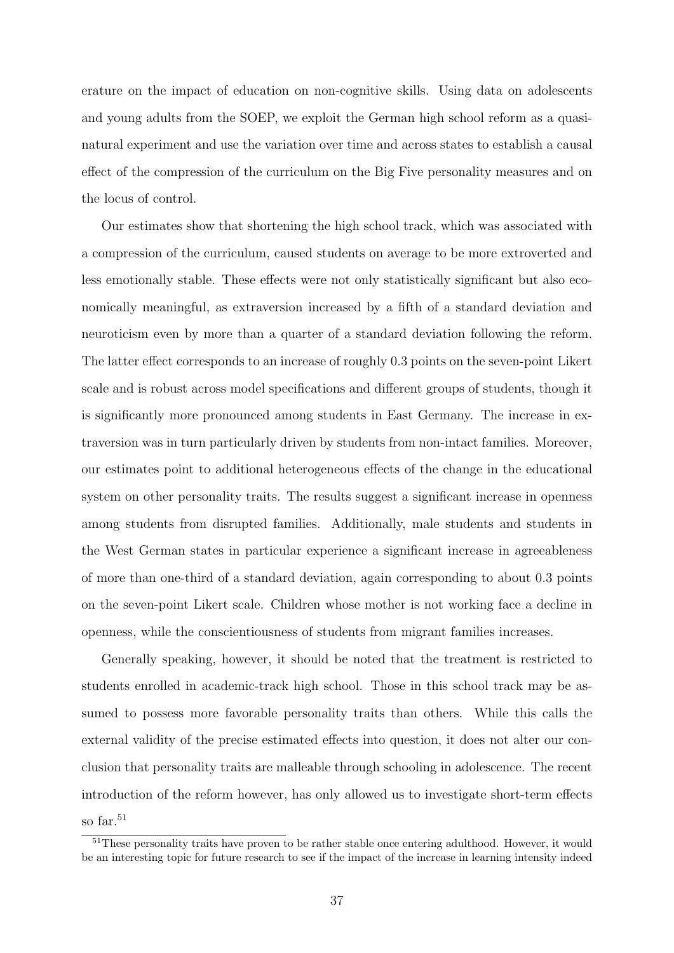erature on the impact of education on non-cognitive skills. Using data on adolescents and young adults from the SOEP, we exploit the German high school reform as a quasinatural experiment and use the variation over time and across states to establish a causal effect of the compression of the curriculum on the Big Five personality measures and on the locus of control.

Our estimates show that shortening the high school track, which was associated with a compression of the curriculum, caused students on average to be more extroverted and less emotionally stable. These effects were not only statistically significant but also economically meaningful, as extraversion increased by a fifth of a standard deviation and neuroticism even by more than a quarter of a standard deviation following the reform. The latter effect corresponds to an increase of roughly 0.3 points on the seven-point Likert scale and is robust across model specifications and different groups of students, though it is significantly more pronounced among students in East Germany. The increase in extraversion was in turn particularly driven by students from non-intact families. Moreover, our estimates point to additional heterogeneous effects of the change in the educational system on other personality traits. The results suggest a significant increase in openness among students from disrupted families. Additionally, male students and students in the West German states in particular experience a significant increase in agreeableness of more than one-third of a standard deviation, again corresponding to about 0.3 points on the seven-point Likert scale. Children whose mother is not working face a decline in openness, while the conscientiousness of students from migrant families increases.

Generally speaking, however, it should be noted that the treatment is restricted to students enrolled in academic-track high school. Those in this school track may be assumed to possess more favorable personality traits than others. While this calls the external validity of the precise estimated effects into question, it does not alter our conclusion that personality traits are malleable through schooling in adolescence. The recent introduction of the reform however, has only allowed us to investigate short-term effects so far.<sup>51</sup>

<sup>&</sup>lt;sup>51</sup>These personality traits have proven to be rather stable once entering adulthood. However, it would be an interesting topic for future research to see if the impact of the increase in learning intensity indeed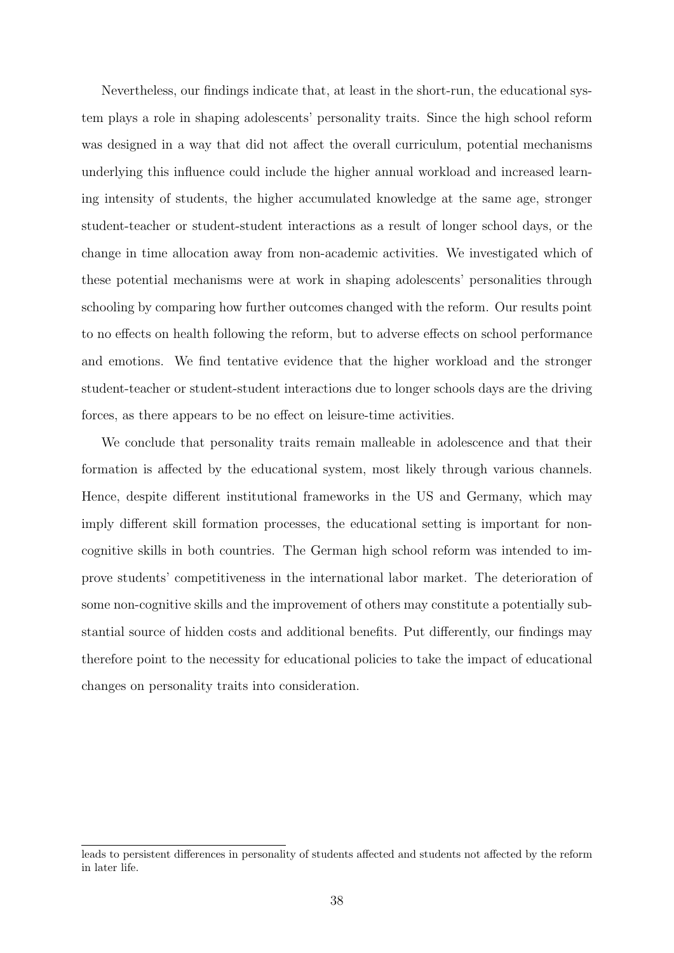Nevertheless, our findings indicate that, at least in the short-run, the educational system plays a role in shaping adolescents' personality traits. Since the high school reform was designed in a way that did not affect the overall curriculum, potential mechanisms underlying this influence could include the higher annual workload and increased learning intensity of students, the higher accumulated knowledge at the same age, stronger student-teacher or student-student interactions as a result of longer school days, or the change in time allocation away from non-academic activities. We investigated which of these potential mechanisms were at work in shaping adolescents' personalities through schooling by comparing how further outcomes changed with the reform. Our results point to no effects on health following the reform, but to adverse effects on school performance and emotions. We find tentative evidence that the higher workload and the stronger student-teacher or student-student interactions due to longer schools days are the driving forces, as there appears to be no effect on leisure-time activities.

We conclude that personality traits remain malleable in adolescence and that their formation is affected by the educational system, most likely through various channels. Hence, despite different institutional frameworks in the US and Germany, which may imply different skill formation processes, the educational setting is important for noncognitive skills in both countries. The German high school reform was intended to improve students' competitiveness in the international labor market. The deterioration of some non-cognitive skills and the improvement of others may constitute a potentially substantial source of hidden costs and additional benefits. Put differently, our findings may therefore point to the necessity for educational policies to take the impact of educational changes on personality traits into consideration.

leads to persistent differences in personality of students affected and students not affected by the reform in later life.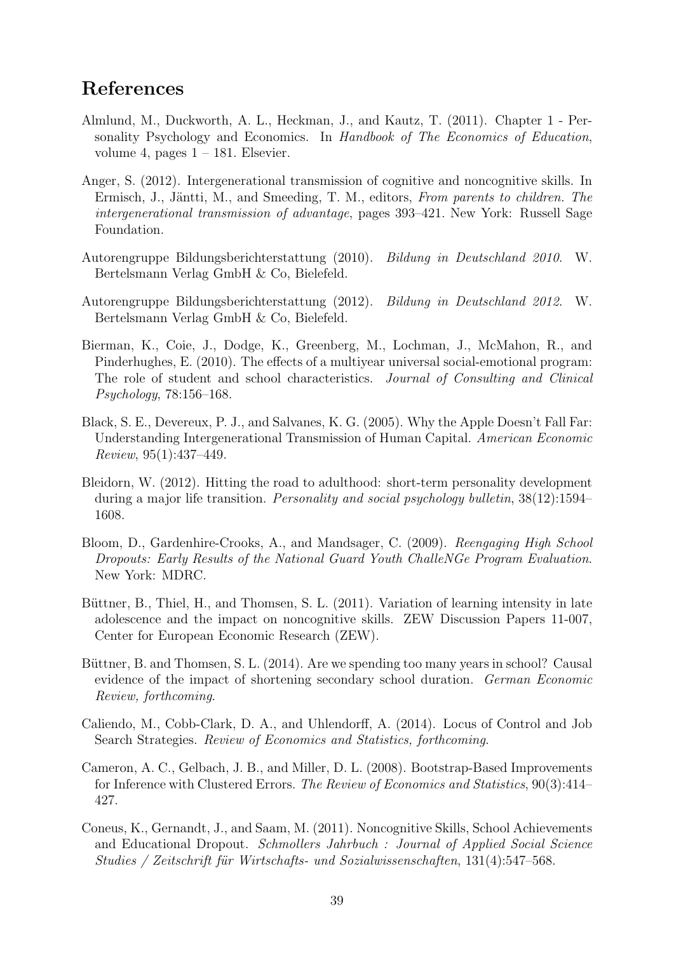### References

- Almlund, M., Duckworth, A. L., Heckman, J., and Kautz, T. (2011). Chapter 1 Personality Psychology and Economics. In Handbook of The Economics of Education, volume 4, pages  $1 - 181$ . Elsevier.
- Anger, S. (2012). Intergenerational transmission of cognitive and noncognitive skills. In Ermisch, J., Jäntti, M., and Smeeding, T. M., editors, From parents to children. The intergenerational transmission of advantage, pages 393–421. New York: Russell Sage Foundation.
- Autorengruppe Bildungsberichterstattung (2010). Bildung in Deutschland 2010. W. Bertelsmann Verlag GmbH & Co, Bielefeld.
- Autorengruppe Bildungsberichterstattung (2012). Bildung in Deutschland 2012. W. Bertelsmann Verlag GmbH & Co, Bielefeld.
- Bierman, K., Coie, J., Dodge, K., Greenberg, M., Lochman, J., McMahon, R., and Pinderhughes, E. (2010). The effects of a multiyear universal social-emotional program: The role of student and school characteristics. Journal of Consulting and Clinical Psychology, 78:156–168.
- Black, S. E., Devereux, P. J., and Salvanes, K. G. (2005). Why the Apple Doesn't Fall Far: Understanding Intergenerational Transmission of Human Capital. American Economic Review, 95(1):437–449.
- Bleidorn, W. (2012). Hitting the road to adulthood: short-term personality development during a major life transition. Personality and social psychology bulletin, 38(12):1594– 1608.
- Bloom, D., Gardenhire-Crooks, A., and Mandsager, C. (2009). Reengaging High School Dropouts: Early Results of the National Guard Youth ChalleNGe Program Evaluation. New York: MDRC.
- Büttner, B., Thiel, H., and Thomsen, S. L. (2011). Variation of learning intensity in late adolescence and the impact on noncognitive skills. ZEW Discussion Papers 11-007, Center for European Economic Research (ZEW).
- Büttner, B. and Thomsen, S. L. (2014). Are we spending too many years in school? Causal evidence of the impact of shortening secondary school duration. German Economic Review, forthcoming.
- Caliendo, M., Cobb-Clark, D. A., and Uhlendorff, A. (2014). Locus of Control and Job Search Strategies. Review of Economics and Statistics, forthcoming.
- Cameron, A. C., Gelbach, J. B., and Miller, D. L. (2008). Bootstrap-Based Improvements for Inference with Clustered Errors. The Review of Economics and Statistics, 90(3):414– 427.
- Coneus, K., Gernandt, J., and Saam, M. (2011). Noncognitive Skills, School Achievements and Educational Dropout. Schmollers Jahrbuch : Journal of Applied Social Science Studies / Zeitschrift für Wirtschafts- und Sozialwissenschaften,  $131(4):547-568$ .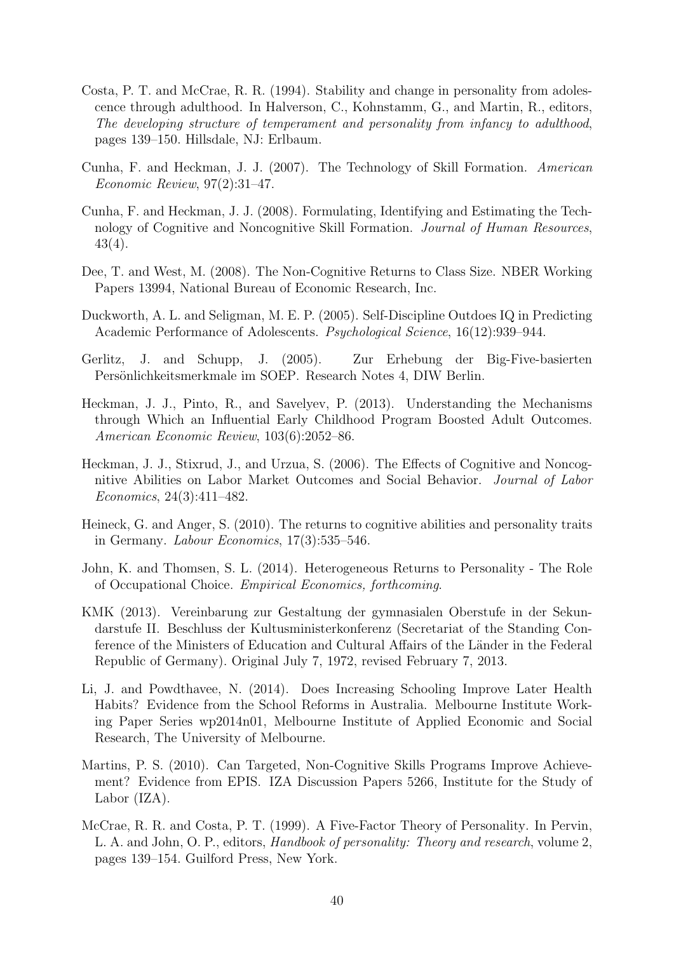- Costa, P. T. and McCrae, R. R. (1994). Stability and change in personality from adolescence through adulthood. In Halverson, C., Kohnstamm, G., and Martin, R., editors, The developing structure of temperament and personality from infancy to adulthood, pages 139–150. Hillsdale, NJ: Erlbaum.
- Cunha, F. and Heckman, J. J. (2007). The Technology of Skill Formation. American Economic Review, 97(2):31–47.
- Cunha, F. and Heckman, J. J. (2008). Formulating, Identifying and Estimating the Technology of Cognitive and Noncognitive Skill Formation. Journal of Human Resources, 43(4).
- Dee, T. and West, M. (2008). The Non-Cognitive Returns to Class Size. NBER Working Papers 13994, National Bureau of Economic Research, Inc.
- Duckworth, A. L. and Seligman, M. E. P. (2005). Self-Discipline Outdoes IQ in Predicting Academic Performance of Adolescents. Psychological Science, 16(12):939–944.
- Gerlitz, J. and Schupp, J. (2005). Zur Erhebung der Big-Five-basierten Persönlichkeitsmerkmale im SOEP. Research Notes 4, DIW Berlin.
- Heckman, J. J., Pinto, R., and Savelyev, P. (2013). Understanding the Mechanisms through Which an Influential Early Childhood Program Boosted Adult Outcomes. American Economic Review, 103(6):2052–86.
- Heckman, J. J., Stixrud, J., and Urzua, S. (2006). The Effects of Cognitive and Noncognitive Abilities on Labor Market Outcomes and Social Behavior. Journal of Labor Economics, 24(3):411–482.
- Heineck, G. and Anger, S. (2010). The returns to cognitive abilities and personality traits in Germany. Labour Economics, 17(3):535–546.
- John, K. and Thomsen, S. L. (2014). Heterogeneous Returns to Personality The Role of Occupational Choice. Empirical Economics, forthcoming.
- KMK (2013). Vereinbarung zur Gestaltung der gymnasialen Oberstufe in der Sekundarstufe II. Beschluss der Kultusministerkonferenz (Secretariat of the Standing Conference of the Ministers of Education and Cultural Affairs of the Länder in the Federal Republic of Germany). Original July 7, 1972, revised February 7, 2013.
- Li, J. and Powdthavee, N. (2014). Does Increasing Schooling Improve Later Health Habits? Evidence from the School Reforms in Australia. Melbourne Institute Working Paper Series wp2014n01, Melbourne Institute of Applied Economic and Social Research, The University of Melbourne.
- Martins, P. S. (2010). Can Targeted, Non-Cognitive Skills Programs Improve Achievement? Evidence from EPIS. IZA Discussion Papers 5266, Institute for the Study of Labor (IZA).
- McCrae, R. R. and Costa, P. T. (1999). A Five-Factor Theory of Personality. In Pervin, L. A. and John, O. P., editors, *Handbook of personality: Theory and research*, volume 2, pages 139–154. Guilford Press, New York.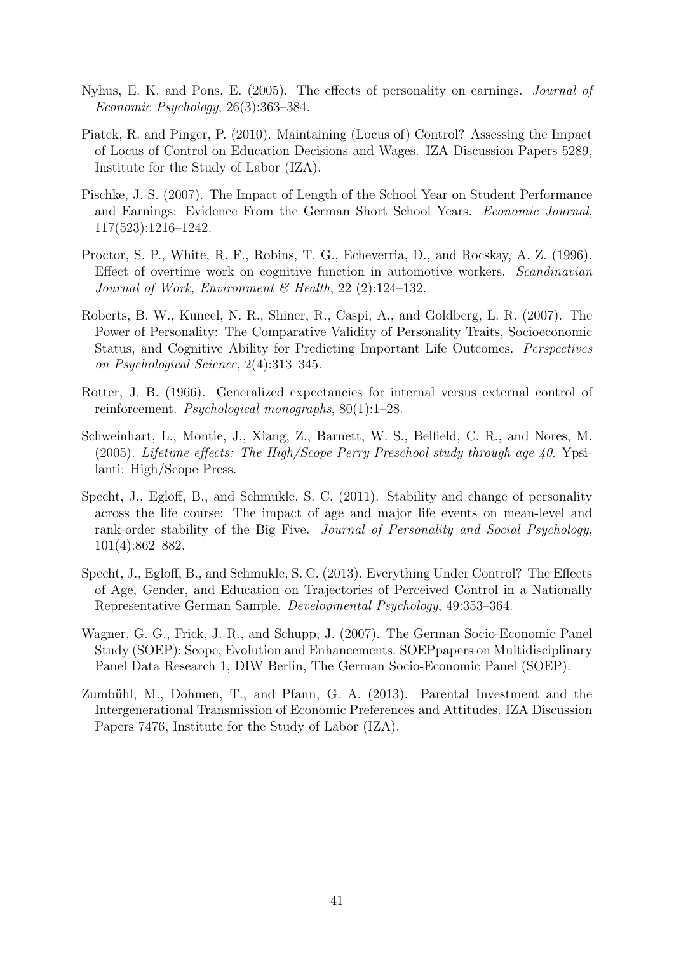- Nyhus, E. K. and Pons, E. (2005). The effects of personality on earnings. Journal of Economic Psychology, 26(3):363–384.
- Piatek, R. and Pinger, P. (2010). Maintaining (Locus of) Control? Assessing the Impact of Locus of Control on Education Decisions and Wages. IZA Discussion Papers 5289, Institute for the Study of Labor (IZA).
- Pischke, J.-S. (2007). The Impact of Length of the School Year on Student Performance and Earnings: Evidence From the German Short School Years. Economic Journal, 117(523):1216–1242.
- Proctor, S. P., White, R. F., Robins, T. G., Echeverria, D., and Rocskay, A. Z. (1996). Effect of overtime work on cognitive function in automotive workers. Scandinavian Journal of Work, Environment & Health,  $22$  (2):124–132.
- Roberts, B. W., Kuncel, N. R., Shiner, R., Caspi, A., and Goldberg, L. R. (2007). The Power of Personality: The Comparative Validity of Personality Traits, Socioeconomic Status, and Cognitive Ability for Predicting Important Life Outcomes. Perspectives on Psychological Science, 2(4):313–345.
- Rotter, J. B. (1966). Generalized expectancies for internal versus external control of reinforcement. Psychological monographs, 80(1):1–28.
- Schweinhart, L., Montie, J., Xiang, Z., Barnett, W. S., Belfield, C. R., and Nores, M. (2005). Lifetime effects: The High/Scope Perry Preschool study through age 40. Ypsilanti: High/Scope Press.
- Specht, J., Egloff, B., and Schmukle, S. C. (2011). Stability and change of personality across the life course: The impact of age and major life events on mean-level and rank-order stability of the Big Five. Journal of Personality and Social Psychology, 101(4):862–882.
- Specht, J., Egloff, B., and Schmukle, S. C. (2013). Everything Under Control? The Effects of Age, Gender, and Education on Trajectories of Perceived Control in a Nationally Representative German Sample. Developmental Psychology, 49:353–364.
- Wagner, G. G., Frick, J. R., and Schupp, J. (2007). The German Socio-Economic Panel Study (SOEP): Scope, Evolution and Enhancements. SOEPpapers on Multidisciplinary Panel Data Research 1, DIW Berlin, The German Socio-Economic Panel (SOEP).
- Zumbühl, M., Dohmen, T., and Pfann, G. A. (2013). Parental Investment and the Intergenerational Transmission of Economic Preferences and Attitudes. IZA Discussion Papers 7476, Institute for the Study of Labor (IZA).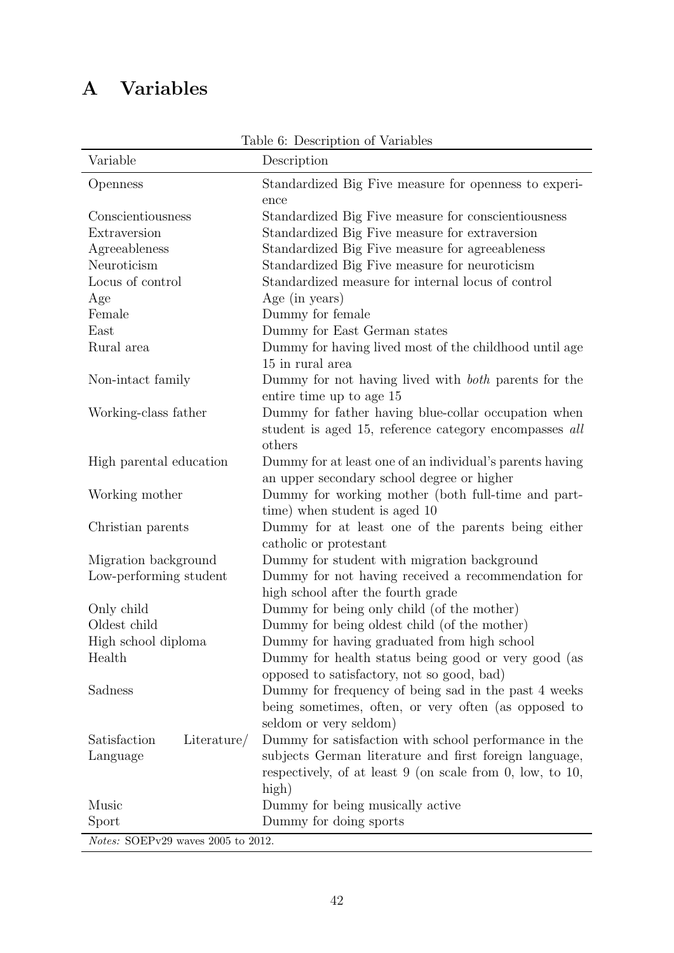# A Variables

| Variable                           | Lable 0. Description of variables<br>Description            |  |  |  |  |
|------------------------------------|-------------------------------------------------------------|--|--|--|--|
| Openness                           | Standardized Big Five measure for openness to experi-       |  |  |  |  |
|                                    | ence                                                        |  |  |  |  |
| Conscientiousness                  | Standardized Big Five measure for conscientiousness         |  |  |  |  |
| Extraversion                       | Standardized Big Five measure for extraversion              |  |  |  |  |
| Agreeableness                      | Standardized Big Five measure for agreeableness             |  |  |  |  |
| Neuroticism                        | Standardized Big Five measure for neuroticism               |  |  |  |  |
| Locus of control                   | Standardized measure for internal locus of control          |  |  |  |  |
| Age                                | Age (in years)                                              |  |  |  |  |
| Female                             | Dummy for female                                            |  |  |  |  |
| East                               | Dummy for East German states                                |  |  |  |  |
| Rural area                         | Dummy for having lived most of the childhood until age      |  |  |  |  |
|                                    | 15 in rural area                                            |  |  |  |  |
| Non-intact family                  | Dummy for not having lived with <i>both</i> parents for the |  |  |  |  |
|                                    | entire time up to age 15                                    |  |  |  |  |
| Working-class father               | Dummy for father having blue-collar occupation when         |  |  |  |  |
|                                    | student is aged 15, reference category encompasses all      |  |  |  |  |
|                                    | others                                                      |  |  |  |  |
| High parental education            | Dummy for at least one of an individual's parents having    |  |  |  |  |
|                                    | an upper secondary school degree or higher                  |  |  |  |  |
| Working mother                     | Dummy for working mother (both full-time and part-          |  |  |  |  |
|                                    | time) when student is aged 10                               |  |  |  |  |
| Christian parents                  | Dummy for at least one of the parents being either          |  |  |  |  |
|                                    | catholic or protestant                                      |  |  |  |  |
| Migration background               | Dummy for student with migration background                 |  |  |  |  |
| Low-performing student             | Dummy for not having received a recommendation for          |  |  |  |  |
|                                    | high school after the fourth grade                          |  |  |  |  |
| Only child                         | Dummy for being only child (of the mother)                  |  |  |  |  |
| Oldest child                       | Dummy for being oldest child (of the mother)                |  |  |  |  |
| High school diploma                | Dummy for having graduated from high school                 |  |  |  |  |
| Health                             | Dummy for health status being good or very good (as         |  |  |  |  |
|                                    | opposed to satisfactory, not so good, bad)                  |  |  |  |  |
| Sadness                            | Dummy for frequency of being sad in the past 4 weeks        |  |  |  |  |
|                                    | being sometimes, often, or very often (as opposed to        |  |  |  |  |
|                                    | seldom or very seldom)                                      |  |  |  |  |
| Satisfaction<br>Literature/        | Dummy for satisfaction with school performance in the       |  |  |  |  |
| Language                           | subjects German literature and first foreign language,      |  |  |  |  |
|                                    | respectively, of at least $9$ (on scale from 0, low, to 10, |  |  |  |  |
|                                    | high)                                                       |  |  |  |  |
| Music                              | Dummy for being musically active                            |  |  |  |  |
| Sport                              | Dummy for doing sports                                      |  |  |  |  |
| Notes: SOEPv29 waves 2005 to 2012. |                                                             |  |  |  |  |

Table 6: Description of Variables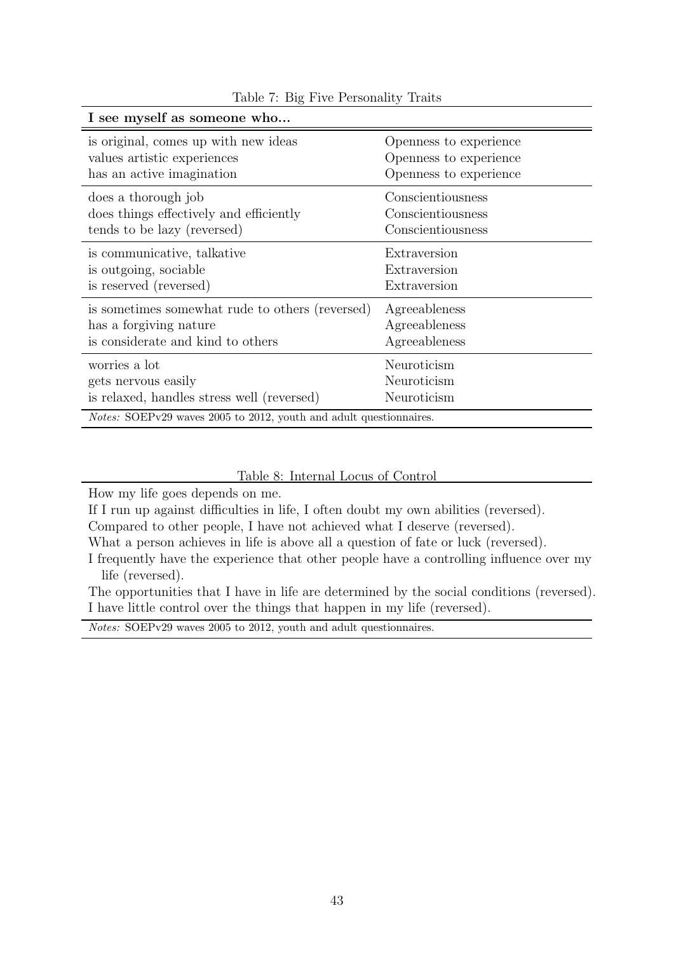| I see myself as someone who                                               |                        |
|---------------------------------------------------------------------------|------------------------|
| is original, comes up with new ideas                                      | Openness to experience |
| values artistic experiences                                               | Openness to experience |
| has an active imagination                                                 | Openness to experience |
| does a thorough job                                                       | Conscientiousness      |
| does things effectively and efficiently                                   | Conscientiousness      |
| tends to be lazy (reversed)                                               | Conscientiousness      |
| is communicative, talkative                                               | Extraversion           |
| is outgoing, sociable                                                     | Extraversion           |
| is reserved (reversed)                                                    | Extraversion           |
| is sometimes somewhat rude to others (reversed)                           | Agreeableness          |
| has a forgiving nature                                                    | Agreeableness          |
| is considerate and kind to others                                         | Agreeableness          |
| worries a lot                                                             | Neuroticism            |
| gets nervous easily                                                       | Neuroticism            |
| is relaxed, handles stress well (reversed)                                | Neuroticism            |
| <i>Notes:</i> SOEPv29 waves 2005 to 2012, youth and adult questionnaires. |                        |

Table 7: Big Five Personality Traits

Table 8: Internal Locus of Control

How my life goes depends on me.

If I run up against difficulties in life, I often doubt my own abilities (reversed).

Compared to other people, I have not achieved what I deserve (reversed).

What a person achieves in life is above all a question of fate or luck (reversed).

I frequently have the experience that other people have a controlling influence over my life (reversed).

The opportunities that I have in life are determined by the social conditions (reversed). I have little control over the things that happen in my life (reversed).

Notes: SOEPv29 waves 2005 to 2012, youth and adult questionnaires.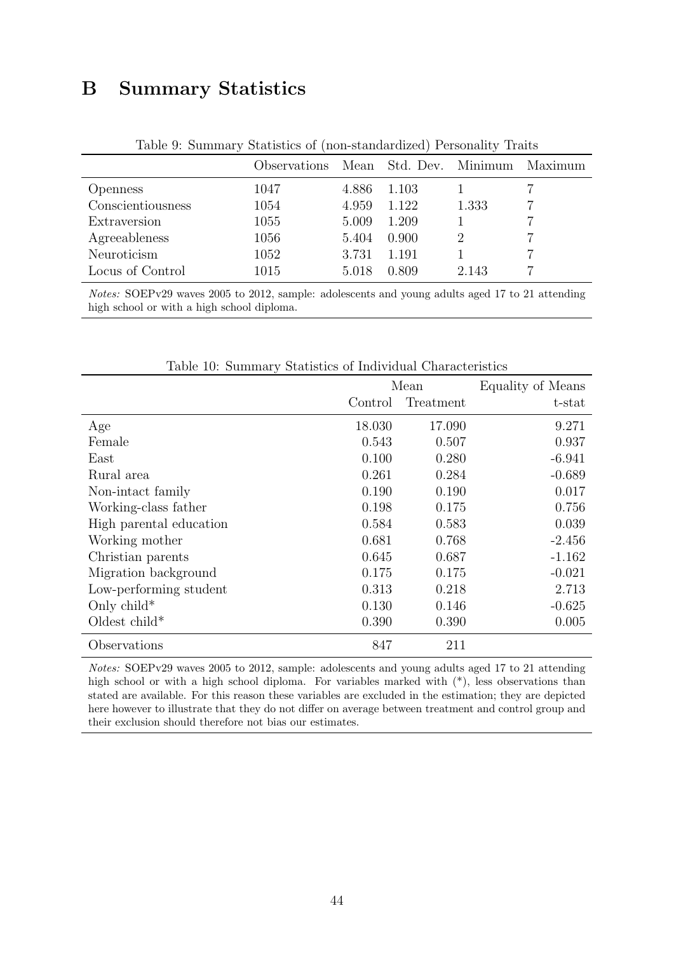## B Summary Statistics

| <i><b>Observations</b></i> |       |       |       | Maximum                |
|----------------------------|-------|-------|-------|------------------------|
| 1047                       | 4.886 | 1.103 |       |                        |
| 1054                       | 4.959 | 1.122 | 1.333 |                        |
| 1055                       | 5.009 | 1.209 |       |                        |
| 1056                       | 5.404 | 0.900 |       |                        |
| 1052                       | 3.731 | 1.191 |       |                        |
| 1015                       | 5.018 | 0.809 | 2.143 |                        |
|                            |       |       |       | Mean Std. Dev. Minimum |

Table 9: Summary Statistics of (non-standardized) Personality Traits

Notes: SOEPv29 waves 2005 to 2012, sample: adolescents and young adults aged 17 to 21 attending high school or with a high school diploma.

|                         | Mean    |           | Equality of Means |
|-------------------------|---------|-----------|-------------------|
|                         | Control | Treatment | t-stat            |
| Age                     | 18.030  | 17.090    | 9.271             |
| Female                  | 0.543   | 0.507     | 0.937             |
| East                    | 0.100   | 0.280     | $-6.941$          |
| Rural area              | 0.261   | 0.284     | $-0.689$          |
| Non-intact family       | 0.190   | 0.190     | 0.017             |
| Working-class father    | 0.198   | 0.175     | 0.756             |
| High parental education | 0.584   | 0.583     | 0.039             |
| Working mother          | 0.681   | 0.768     | $-2.456$          |
| Christian parents       | 0.645   | 0.687     | $-1.162$          |
| Migration background    | 0.175   | 0.175     | $-0.021$          |
| Low-performing student  | 0.313   | 0.218     | 2.713             |
| Only child*             | 0.130   | 0.146     | $-0.625$          |
| Oldest child*           | 0.390   | 0.390     | 0.005             |
| Observations            | 847     | 211       |                   |

Table 10: Summary Statistics of Individual Characteristics

Notes: SOEPv29 waves 2005 to 2012, sample: adolescents and young adults aged 17 to 21 attending high school or with a high school diploma. For variables marked with  $(*)$ , less observations than stated are available. For this reason these variables are excluded in the estimation; they are depicted here however to illustrate that they do not differ on average between treatment and control group and their exclusion should therefore not bias our estimates.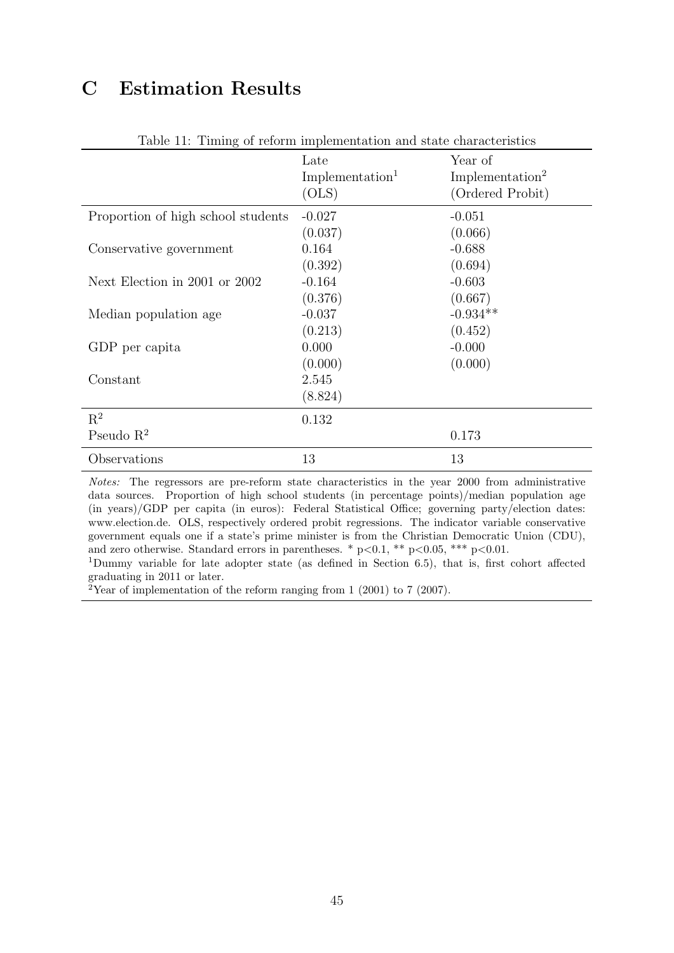# C Estimation Results

|                                    | Late<br>Implementation <sup>1</sup><br>(OLS) | Year of<br>Implementation <sup>2</sup><br>(Ordered Probit) |
|------------------------------------|----------------------------------------------|------------------------------------------------------------|
| Proportion of high school students | $-0.027$<br>(0.037)                          | $-0.051$<br>(0.066)                                        |
| Conservative government            | 0.164                                        | $-0.688$                                                   |
| Next Election in 2001 or 2002      | (0.392)<br>$-0.164$                          | (0.694)<br>$-0.603$                                        |
| Median population age              | (0.376)<br>$-0.037$                          | (0.667)<br>$-0.934**$                                      |
| GDP per capita                     | (0.213)<br>0.000                             | (0.452)<br>$-0.000$                                        |
|                                    | (0.000)                                      | (0.000)                                                    |
| Constant                           | 2.545<br>(8.824)                             |                                                            |
| $\mathbf{R}^2$                     | 0.132                                        |                                                            |
| Pseudo $R^2$                       |                                              | 0.173                                                      |
| Observations                       | 13                                           | 13                                                         |

#### Table 11: Timing of reform implementation and state characteristics

Notes: The regressors are pre-reform state characteristics in the year 2000 from administrative data sources. Proportion of high school students (in percentage points)/median population age (in years)/GDP per capita (in euros): Federal Statistical Office; governing party/election dates: www.election.de. OLS, respectively ordered probit regressions. The indicator variable conservative government equals one if a state's prime minister is from the Christian Democratic Union (CDU), and zero otherwise. Standard errors in parentheses. \* p<0.1, \*\* p<0.05, \*\*\* p<0.01.

<sup>1</sup>Dummy variable for late adopter state (as defined in Section 6.5), that is, first cohort affected graduating in 2011 or later.

 $2$ Year of implementation of the reform ranging from 1 (2001) to 7 (2007).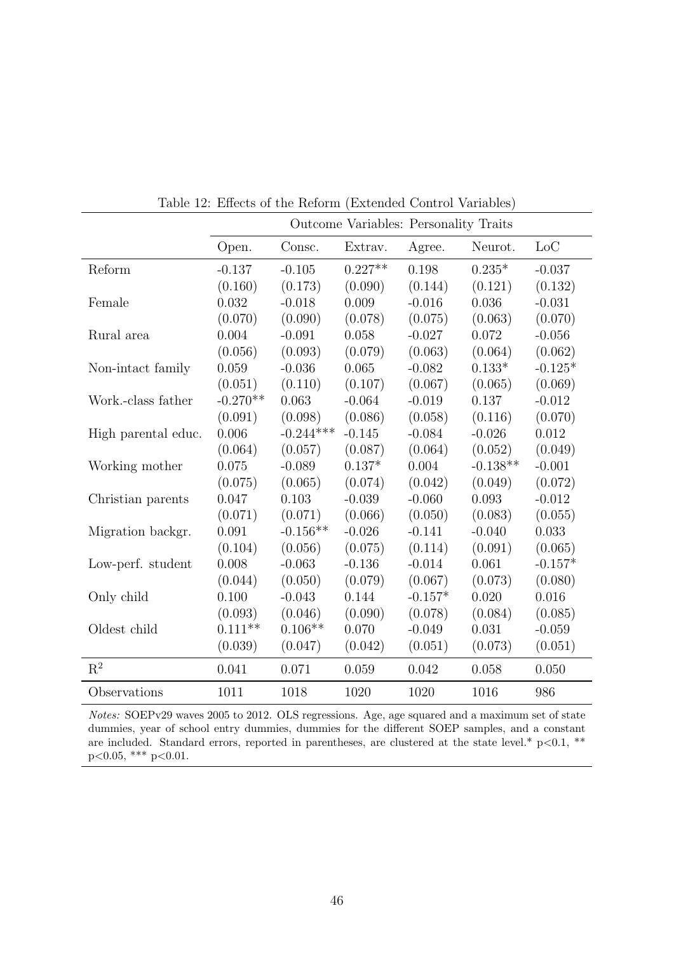|                     | Outcome Variables: Personality Traits |             |           |           |            |           |
|---------------------|---------------------------------------|-------------|-----------|-----------|------------|-----------|
|                     | Open.                                 | Consc.      | Extrav.   | Agree.    | Neurot.    | LoC       |
| Reform              | $-0.137$                              | $-0.105$    | $0.227**$ | $0.198\,$ | $0.235*$   | $-0.037$  |
|                     | (0.160)                               | (0.173)     | (0.090)   | (0.144)   | (0.121)    | (0.132)   |
| Female              | 0.032                                 | $-0.018$    | 0.009     | $-0.016$  | 0.036      | $-0.031$  |
|                     | (0.070)                               | (0.090)     | (0.078)   | (0.075)   | (0.063)    | (0.070)   |
| Rural area          | 0.004                                 | $-0.091$    | 0.058     | $-0.027$  | 0.072      | $-0.056$  |
|                     | (0.056)                               | (0.093)     | (0.079)   | (0.063)   | (0.064)    | (0.062)   |
| Non-intact family   | 0.059                                 | $-0.036$    | 0.065     | $-0.082$  | $0.133*$   | $-0.125*$ |
|                     | (0.051)                               | (0.110)     | (0.107)   | (0.067)   | (0.065)    | (0.069)   |
| Work.-class father  | $-0.270**$                            | 0.063       | $-0.064$  | $-0.019$  | 0.137      | $-0.012$  |
|                     | (0.091)                               | (0.098)     | (0.086)   | (0.058)   | (0.116)    | (0.070)   |
| High parental educ. | 0.006                                 | $-0.244***$ | $-0.145$  | $-0.084$  | $-0.026$   | 0.012     |
|                     | (0.064)                               | (0.057)     | (0.087)   | (0.064)   | (0.052)    | (0.049)   |
| Working mother      | 0.075                                 | $-0.089$    | $0.137*$  | 0.004     | $-0.138**$ | $-0.001$  |
|                     | (0.075)                               | (0.065)     | (0.074)   | (0.042)   | (0.049)    | (0.072)   |
| Christian parents   | 0.047                                 | 0.103       | $-0.039$  | $-0.060$  | 0.093      | $-0.012$  |
|                     | (0.071)                               | (0.071)     | (0.066)   | (0.050)   | (0.083)    | (0.055)   |
| Migration backgr.   | 0.091                                 | $-0.156**$  | $-0.026$  | $-0.141$  | $-0.040$   | 0.033     |
|                     | (0.104)                               | (0.056)     | (0.075)   | (0.114)   | (0.091)    | (0.065)   |
| Low-perf. student   | 0.008                                 | $-0.063$    | $-0.136$  | $-0.014$  | 0.061      | $-0.157*$ |
|                     | (0.044)                               | (0.050)     | (0.079)   | (0.067)   | (0.073)    | (0.080)   |
| Only child          | 0.100                                 | $-0.043$    | 0.144     | $-0.157*$ | 0.020      | 0.016     |
|                     | (0.093)                               | (0.046)     | (0.090)   | (0.078)   | (0.084)    | (0.085)   |
| Oldest child        | $0.111**$                             | $0.106**$   | 0.070     | $-0.049$  | 0.031      | $-0.059$  |
|                     | (0.039)                               | (0.047)     | (0.042)   | (0.051)   | (0.073)    | (0.051)   |
| $\mathbf{R}^2$      | 0.041                                 | 0.071       | 0.059     | 0.042     | 0.058      | 0.050     |
| Observations        | 1011                                  | 1018        | 1020      | 1020      | 1016       | 986       |

Table 12: Effects of the Reform (Extended Control Variables)

Notes: SOEPv29 waves 2005 to 2012. OLS regressions. Age, age squared and a maximum set of state dummies, year of school entry dummies, dummies for the different SOEP samples, and a constant are included. Standard errors, reported in parentheses, are clustered at the state level.\*  $p<0.1$ , \*\*  $p<0.05$ , \*\*\*  $p<0.01$ .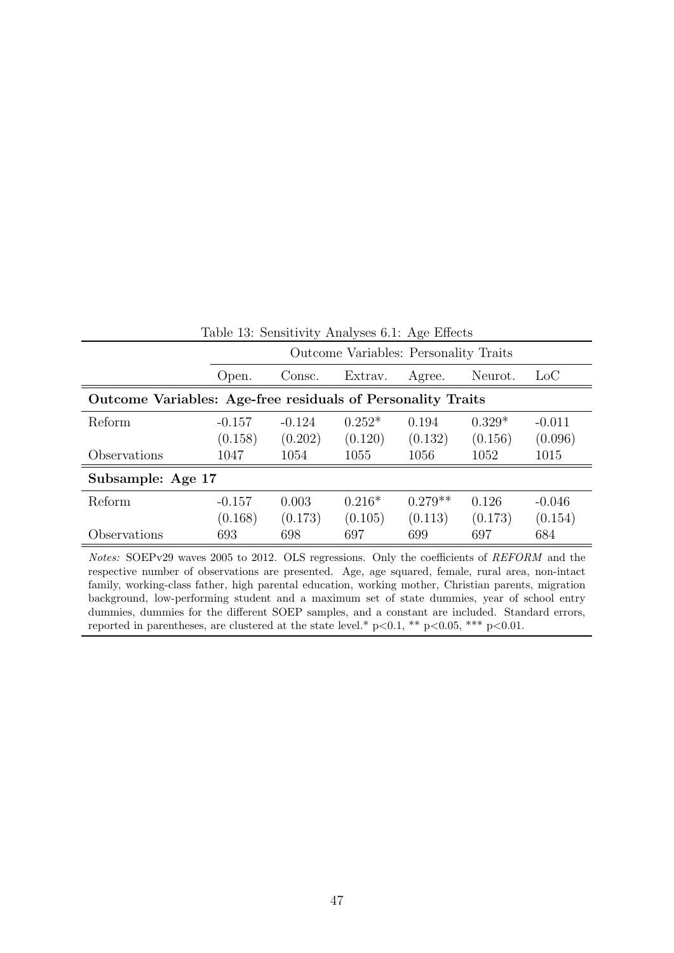| Table 13: Sensitivity Analyses 6.1: Age Effects             |                                       |          |          |           |          |          |  |
|-------------------------------------------------------------|---------------------------------------|----------|----------|-----------|----------|----------|--|
|                                                             | Outcome Variables: Personality Traits |          |          |           |          |          |  |
|                                                             | Open.                                 | Consc.   | Extrav.  | Agree.    | Neurot.  | LoC      |  |
| Outcome Variables: Age-free residuals of Personality Traits |                                       |          |          |           |          |          |  |
| Reform                                                      | $-0.157$                              | $-0.124$ | $0.252*$ | 0.194     | $0.329*$ | $-0.011$ |  |
|                                                             | (0.158)                               | (0.202)  | (0.120)  | (0.132)   | (0.156)  | (0.096)  |  |
| Observations                                                | 1047                                  | 1054     | 1055     | 1056      | 1052     | 1015     |  |
| Subsample: Age 17                                           |                                       |          |          |           |          |          |  |
| Reform                                                      | $-0.157$                              | 0.003    | $0.216*$ | $0.279**$ | 0.126    | $-0.046$ |  |
|                                                             | (0.168)                               | (0.173)  | (0.105)  | (0.113)   | (0.173)  | (0.154)  |  |
| Observations                                                | 693                                   | 698      | 697      | 699       | 697      | 684      |  |

Notes: SOEPv29 waves 2005 to 2012. OLS regressions. Only the coefficients of REFORM and the respective number of observations are presented. Age, age squared, female, rural area, non-intact family, working-class father, high parental education, working mother, Christian parents, migration background, low-performing student and a maximum set of state dummies, year of school entry dummies, dummies for the different SOEP samples, and a constant are included. Standard errors, reported in parentheses, are clustered at the state level.\*  $p<0.1$ , \*\*  $p<0.05$ , \*\*\*  $p<0.01$ .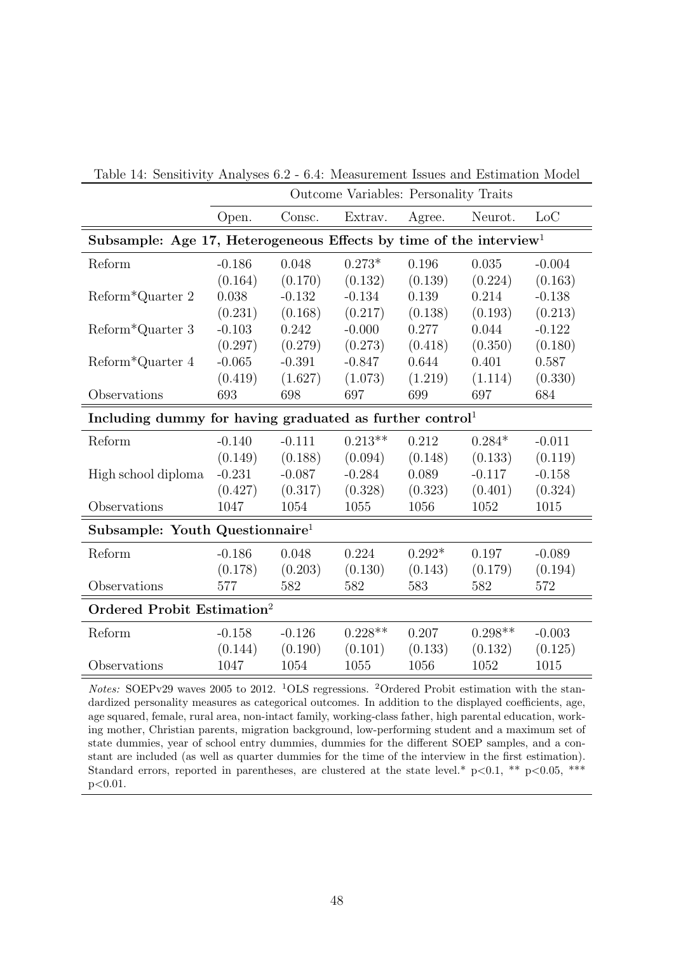|                                                                                | Outcome Variables: Personality Traits |          |           |          |           |          |
|--------------------------------------------------------------------------------|---------------------------------------|----------|-----------|----------|-----------|----------|
|                                                                                | Open.                                 | Consc.   | Extrav.   | Agree.   | Neurot.   | Loc      |
| Subsample: Age 17, Heterogeneous Effects by time of the interview <sup>1</sup> |                                       |          |           |          |           |          |
| Reform                                                                         | $-0.186$                              | 0.048    | $0.273*$  | 0.196    | 0.035     | $-0.004$ |
|                                                                                | (0.164)                               | (0.170)  | (0.132)   | (0.139)  | (0.224)   | (0.163)  |
| Reform*Quarter 2                                                               | 0.038                                 | $-0.132$ | $-0.134$  | 0.139    | 0.214     | $-0.138$ |
|                                                                                | (0.231)                               | (0.168)  | (0.217)   | (0.138)  | (0.193)   | (0.213)  |
| Reform*Quarter 3                                                               | $-0.103$                              | 0.242    | $-0.000$  | 0.277    | 0.044     | $-0.122$ |
|                                                                                | (0.297)                               | (0.279)  | (0.273)   | (0.418)  | (0.350)   | (0.180)  |
| Reform*Quarter 4                                                               | $-0.065$                              | $-0.391$ | $-0.847$  | 0.644    | 0.401     | 0.587    |
|                                                                                | (0.419)                               | (1.627)  | (1.073)   | (1.219)  | (1.114)   | (0.330)  |
| Observations                                                                   | 693                                   | 698      | 697       | 699      | 697       | 684      |
| Including dummy for having graduated as further control <sup>1</sup>           |                                       |          |           |          |           |          |
| Reform                                                                         | $-0.140$                              | $-0.111$ | $0.213**$ | 0.212    | $0.284*$  | $-0.011$ |
|                                                                                | (0.149)                               | (0.188)  | (0.094)   | (0.148)  | (0.133)   | (0.119)  |
| High school diploma                                                            | $-0.231$                              | $-0.087$ | $-0.284$  | 0.089    | $-0.117$  | $-0.158$ |
|                                                                                | (0.427)                               | (0.317)  | (0.328)   | (0.323)  | (0.401)   | (0.324)  |
| Observations                                                                   | 1047                                  | 1054     | 1055      | 1056     | 1052      | 1015     |
| Subsample: Youth Questionnaire <sup>1</sup>                                    |                                       |          |           |          |           |          |
| Reform                                                                         | $-0.186$                              | 0.048    | 0.224     | $0.292*$ | 0.197     | $-0.089$ |
|                                                                                | (0.178)                               | (0.203)  | (0.130)   | (0.143)  | (0.179)   | (0.194)  |
| Observations                                                                   | 577                                   | 582      | 582       | 583      | 582       | 572      |
| Ordered Probit Estimation <sup>2</sup>                                         |                                       |          |           |          |           |          |
| Reform                                                                         | $-0.158$                              | $-0.126$ | $0.228**$ | 0.207    | $0.298**$ | $-0.003$ |
|                                                                                | (0.144)                               | (0.190)  | (0.101)   | (0.133)  | (0.132)   | (0.125)  |
| Observations                                                                   | 1047                                  | 1054     | 1055      | 1056     | 1052      | 1015     |
|                                                                                |                                       |          |           |          |           |          |

Table 14: Sensitivity Analyses 6.2 - 6.4: Measurement Issues and Estimation Model

*Notes:* SOEPv29 waves 2005 to 2012. <sup>1</sup>OLS regressions. <sup>2</sup>Ordered Probit estimation with the standardized personality measures as categorical outcomes. In addition to the displayed coefficients, age, age squared, female, rural area, non-intact family, working-class father, high parental education, working mother, Christian parents, migration background, low-performing student and a maximum set of state dummies, year of school entry dummies, dummies for the different SOEP samples, and a constant are included (as well as quarter dummies for the time of the interview in the first estimation). Standard errors, reported in parentheses, are clustered at the state level.\*  $p<0.1$ , \*\*  $p<0.05$ , \*\*\* p<0.01.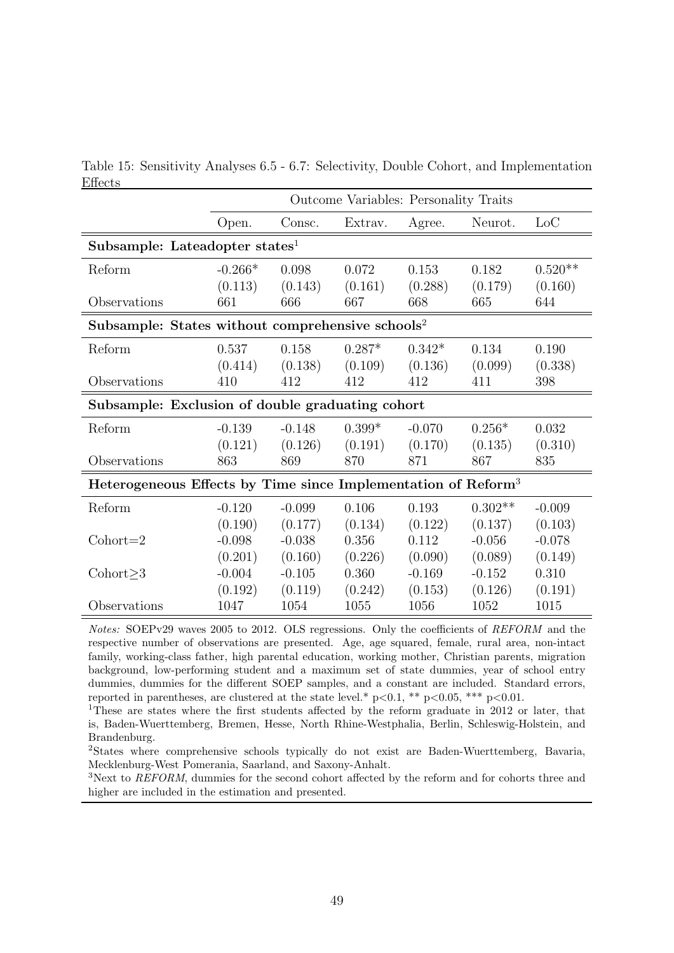|                                                                           | Outcome Variables: Personality Traits |          |          |          |           |           |  |
|---------------------------------------------------------------------------|---------------------------------------|----------|----------|----------|-----------|-----------|--|
|                                                                           | Open.                                 | Consc.   | Extrav.  | Agree.   | Neurot.   | Loc       |  |
| Subsample: Lateadopter states <sup>1</sup>                                |                                       |          |          |          |           |           |  |
| Reform                                                                    | $-0.266*$                             | 0.098    | 0.072    | 0.153    | 0.182     | $0.520**$ |  |
|                                                                           | (0.113)                               | (0.143)  | (0.161)  | (0.288)  | (0.179)   | (0.160)   |  |
| Observations                                                              | 661                                   | 666      | 667      | 668      | 665       | 644       |  |
| Subsample: States without comprehensive schools <sup>2</sup>              |                                       |          |          |          |           |           |  |
| Reform                                                                    | 0.537                                 | 0.158    | $0.287*$ | $0.342*$ | 0.134     | 0.190     |  |
|                                                                           | (0.414)                               | (0.138)  | (0.109)  | (0.136)  | (0.099)   | (0.338)   |  |
| Observations                                                              | 410                                   | 412      | 412      | 412      | 411       | 398       |  |
| Subsample: Exclusion of double graduating cohort                          |                                       |          |          |          |           |           |  |
| Reform                                                                    | $-0.139$                              | $-0.148$ | $0.399*$ | $-0.070$ | $0.256*$  | 0.032     |  |
|                                                                           | (0.121)                               | (0.126)  | (0.191)  | (0.170)  | (0.135)   | (0.310)   |  |
| Observations                                                              | 863                                   | 869      | 870      | 871      | 867       | 835       |  |
| Heterogeneous Effects by Time since Implementation of Reform <sup>3</sup> |                                       |          |          |          |           |           |  |
| Reform                                                                    | $-0.120$                              | $-0.099$ | 0.106    | 0.193    | $0.302**$ | $-0.009$  |  |
|                                                                           | (0.190)                               | (0.177)  | (0.134)  | (0.122)  | (0.137)   | (0.103)   |  |
| $\text{Cohort}=2$                                                         | $-0.098$                              | $-0.038$ | 0.356    | 0.112    | $-0.056$  | $-0.078$  |  |
|                                                                           | (0.201)                               | (0.160)  | (0.226)  | (0.090)  | (0.089)   | (0.149)   |  |
| $\text{Cohort}\geq3$                                                      | $-0.004$                              | $-0.105$ | 0.360    | $-0.169$ | $-0.152$  | 0.310     |  |
|                                                                           | (0.192)                               | (0.119)  | (0.242)  | (0.153)  | (0.126)   | (0.191)   |  |
| Observations                                                              | 1047                                  | 1054     | 1055     | 1056     | 1052      | 1015      |  |

Table 15: Sensitivity Analyses 6.5 - 6.7: Selectivity, Double Cohort, and Implementation Effects

Notes: SOEPv29 waves 2005 to 2012. OLS regressions. Only the coefficients of REFORM and the respective number of observations are presented. Age, age squared, female, rural area, non-intact family, working-class father, high parental education, working mother, Christian parents, migration background, low-performing student and a maximum set of state dummies, year of school entry dummies, dummies for the different SOEP samples, and a constant are included. Standard errors, reported in parentheses, are clustered at the state level.\* p<0.1, \*\* p<0.05, \*\*\* p<0.01.

<sup>1</sup>These are states where the first students affected by the reform graduate in 2012 or later, that is, Baden-Wuerttemberg, Bremen, Hesse, North Rhine-Westphalia, Berlin, Schleswig-Holstein, and Brandenburg.

<sup>2</sup>States where comprehensive schools typically do not exist are Baden-Wuerttemberg, Bavaria, Mecklenburg-West Pomerania, Saarland, and Saxony-Anhalt.

<sup>3</sup>Next to REFORM, dummies for the second cohort affected by the reform and for cohorts three and higher are included in the estimation and presented.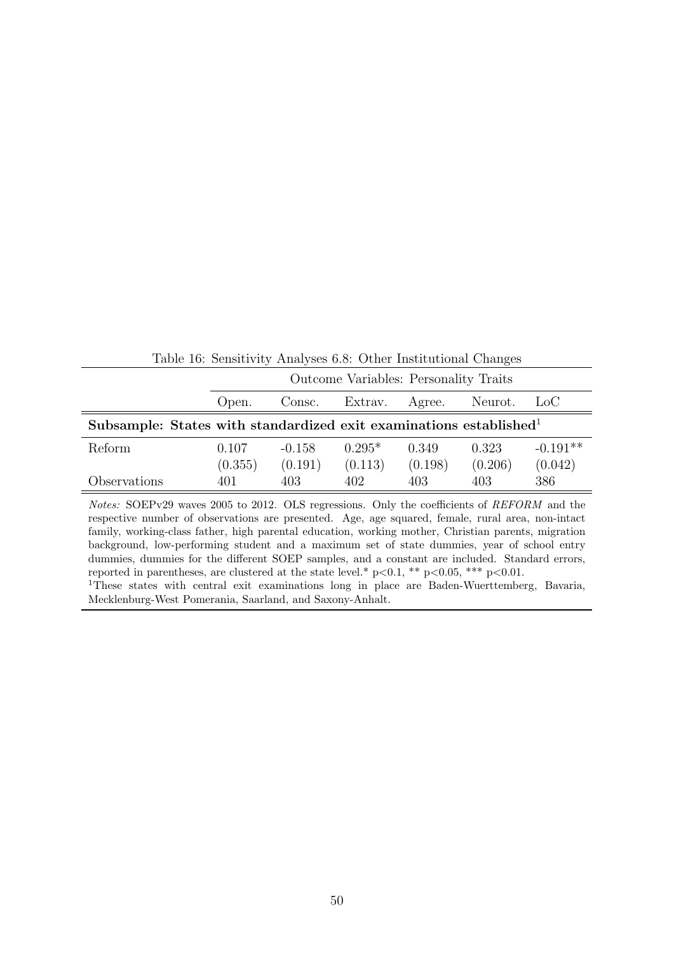|                                                                                                                                                                                                                                                                                                                                                                                                                                                                                                                 | Outcome Variables: Personality Traits |                     |                     |                  |                  |                       |  |
|-----------------------------------------------------------------------------------------------------------------------------------------------------------------------------------------------------------------------------------------------------------------------------------------------------------------------------------------------------------------------------------------------------------------------------------------------------------------------------------------------------------------|---------------------------------------|---------------------|---------------------|------------------|------------------|-----------------------|--|
|                                                                                                                                                                                                                                                                                                                                                                                                                                                                                                                 | Open.                                 | Consc.              | Extrav.             | Agree.           | Neurot.          | $_{\rm Loc}$          |  |
| Subsample: States with standardized exit examinations established $\mathbf{d}^{\perp}$                                                                                                                                                                                                                                                                                                                                                                                                                          |                                       |                     |                     |                  |                  |                       |  |
| Reform                                                                                                                                                                                                                                                                                                                                                                                                                                                                                                          | 0.107<br>(0.355)                      | $-0.158$<br>(0.191) | $0.295*$<br>(0.113) | 0.349<br>(0.198) | 0.323<br>(0.206) | $-0.191**$<br>(0.042) |  |
| Observations                                                                                                                                                                                                                                                                                                                                                                                                                                                                                                    | 401                                   | 403                 | 402                 | 403              | 403              | 386                   |  |
| <i>Notes:</i> SOEPv29 waves 2005 to 2012. OLS regressions. Only the coefficients of REFORM and the<br>respective number of observations are presented. Age, age squared, female, rural area, non-intact<br>family, working-class father, high parental education, working mother, Christian parents, migration<br>background, low-performing student and a maximum set of state dummies, year of school entry<br>dummies, dummies for the different SOEP samples, and a constant are included. Standard errors, |                                       |                     |                     |                  |                  |                       |  |

Table 16: Sensitivity Analyses 6.8: Other Institutional Changes

<sup>1</sup>These states with central exit examinations long in place are Baden-Wuerttemberg, Bavaria, Mecklenburg-West Pomerania, Saarland, and Saxony-Anhalt.

reported in parentheses, are clustered at the state level.\*  $p<0.1$ , \*\*  $p<0.05$ , \*\*\*  $p<0.01$ .